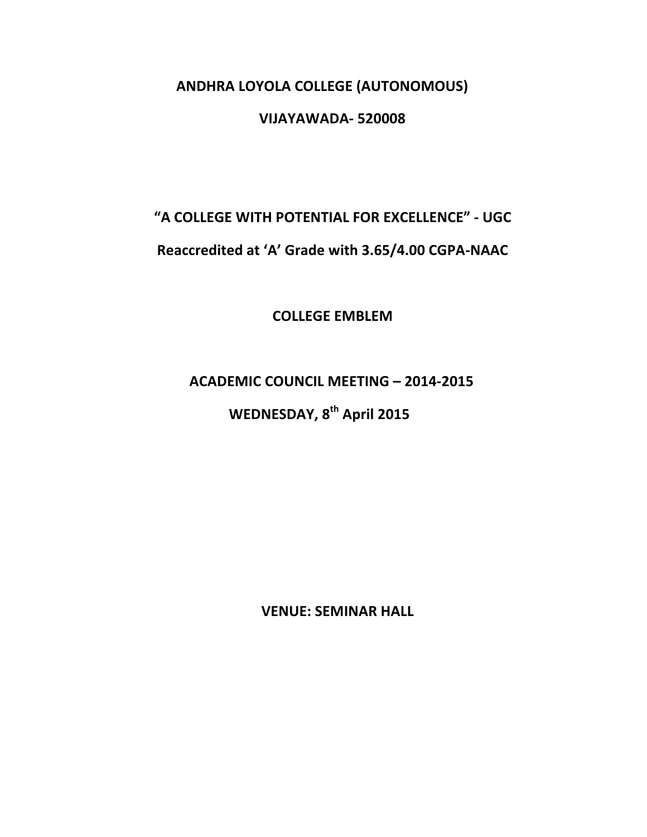## **ANDHRA LOYOLA COLLEGE (AUTONOMOUS)**

## **VIJAYAWADA- 520008**

# **"A COLLEGE WITH POTENTIAL FOR EXCELLENCE" - UGC**

# Reaccredited at 'A' Grade with 3.65/4.00 CGPA-NAAC

**COLLEGE EMBLEM**

# **ACADEMIC COUNCIL MEETING - 2014-2015**

# **WEDNESDAY, 8<sup>th</sup> April 2015**

**VENUE: SEMINAR HALL**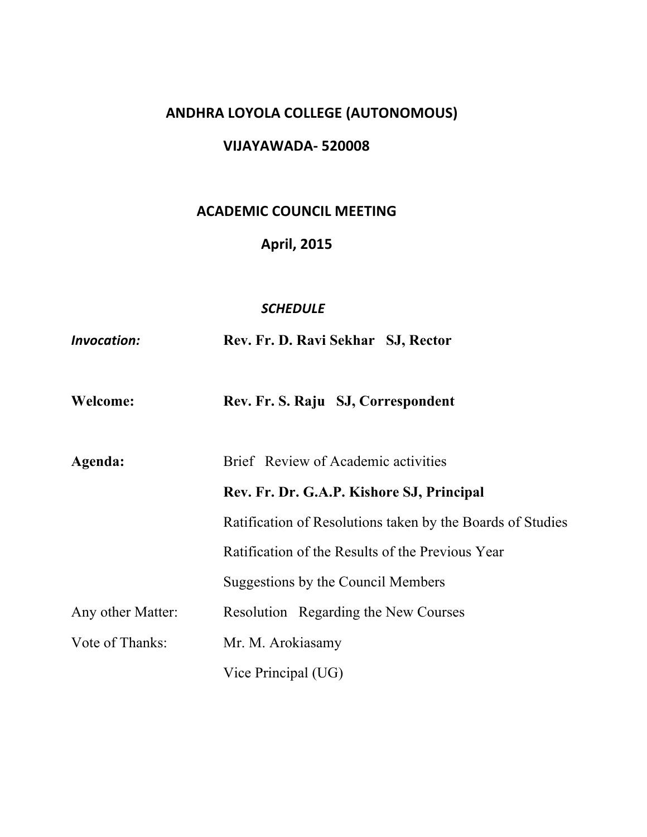# **ANDHRA LOYOLA COLLEGE (AUTONOMOUS)**

## **VIJAYAWADA- 520008**

# **ACADEMIC COUNCIL MEETING**

## **April, 2015**

#### *SCHEDULE*

*Invocation:* **Rev. Fr. D. Ravi Sekhar SJ, Rector**

| Welcome: |  | Rev. Fr. S. Raju SJ, Correspondent |
|----------|--|------------------------------------|
|----------|--|------------------------------------|

| Agenda:           | Brief Review of Academic activities                        |  |  |
|-------------------|------------------------------------------------------------|--|--|
|                   | Rev. Fr. Dr. G.A.P. Kishore SJ, Principal                  |  |  |
|                   | Ratification of Resolutions taken by the Boards of Studies |  |  |
|                   | Ratification of the Results of the Previous Year           |  |  |
|                   | Suggestions by the Council Members                         |  |  |
| Any other Matter: | Resolution Regarding the New Courses                       |  |  |
| Vote of Thanks:   | Mr. M. Arokiasamy                                          |  |  |
|                   | Vice Principal (UG)                                        |  |  |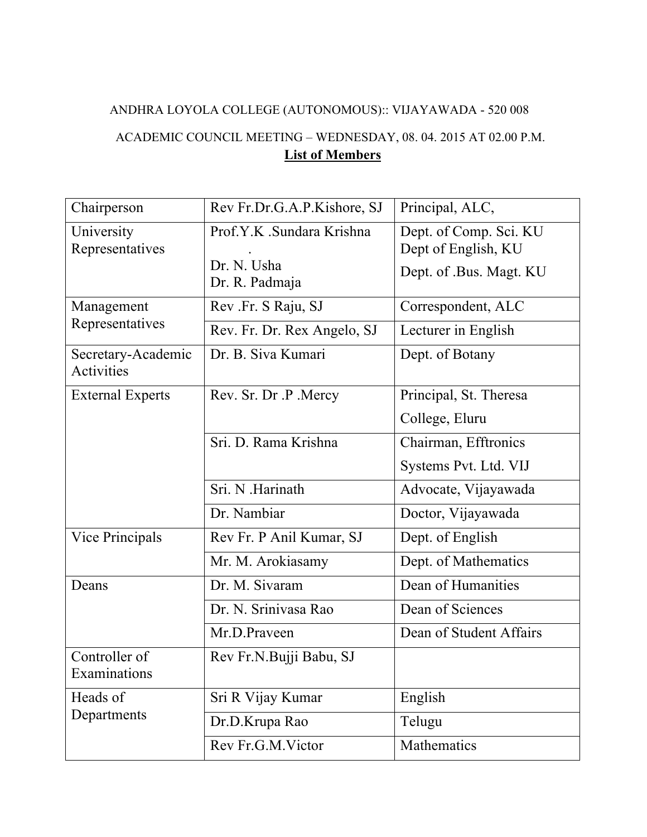# ANDHRA LOYOLA COLLEGE (AUTONOMOUS):: VIJAYAWADA - 520 008 ACADEMIC COUNCIL MEETING – WEDNESDAY, 08. 04. 2015 AT 02.00 P.M.

# **List of Members**

| Chairperson                      | Rev Fr.Dr.G.A.P.Kishore, SJ              | Principal, ALC,                               |
|----------------------------------|------------------------------------------|-----------------------------------------------|
| University<br>Representatives    | Prof.Y.K .Sundara Krishna<br>Dr. N. Usha | Dept. of Comp. Sci. KU<br>Dept of English, KU |
|                                  | Dr. R. Padmaja                           | Dept. of .Bus. Magt. KU                       |
| Management                       | Rev Fr. S Raju, SJ                       | Correspondent, ALC                            |
| Representatives                  | Rev. Fr. Dr. Rex Angelo, SJ              | Lecturer in English                           |
| Secretary-Academic<br>Activities | Dr. B. Siva Kumari                       | Dept. of Botany                               |
| <b>External Experts</b>          | Rev. Sr. Dr.P. Mercy                     | Principal, St. Theresa                        |
|                                  |                                          | College, Eluru                                |
|                                  | Sri. D. Rama Krishna                     | Chairman, Efftronics                          |
|                                  |                                          | Systems Pvt. Ltd. VIJ                         |
|                                  | Sri. N .Harinath                         | Advocate, Vijayawada                          |
|                                  | Dr. Nambiar                              | Doctor, Vijayawada                            |
| <b>Vice Principals</b>           | Rev Fr. P Anil Kumar, SJ                 | Dept. of English                              |
|                                  | Mr. M. Arokiasamy                        | Dept. of Mathematics                          |
| Deans                            | Dr. M. Sivaram                           | Dean of Humanities                            |
|                                  | Dr. N. Srinivasa Rao                     | Dean of Sciences                              |
|                                  | Mr.D.Praveen                             | Dean of Student Affairs                       |
| Controller of<br>Examinations    | Rev Fr.N.Bujji Babu, SJ                  |                                               |
| Heads of                         | Sri R Vijay Kumar                        | English                                       |
| Departments                      | Dr.D.Krupa Rao                           | Telugu                                        |
|                                  | Rev Fr.G.M.Victor                        | Mathematics                                   |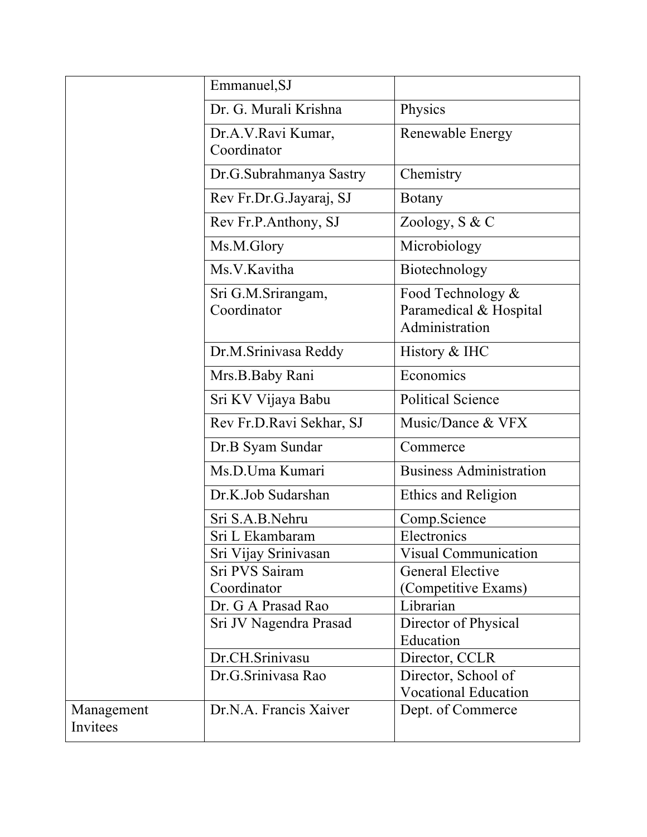|            | Emmanuel, SJ                      |                                                               |
|------------|-----------------------------------|---------------------------------------------------------------|
|            | Dr. G. Murali Krishna             | Physics                                                       |
|            | Dr.A.V.Ravi Kumar,<br>Coordinator | Renewable Energy                                              |
|            | Dr.G.Subrahmanya Sastry           | Chemistry                                                     |
|            | Rev Fr.Dr.G.Jayaraj, SJ           | <b>Botany</b>                                                 |
|            | Rev Fr.P.Anthony, SJ              | Zoology, S & C                                                |
|            | Ms.M.Glory                        | Microbiology                                                  |
|            | Ms.V.Kavitha                      | Biotechnology                                                 |
|            | Sri G.M.Srirangam,<br>Coordinator | Food Technology &<br>Paramedical & Hospital<br>Administration |
|            | Dr.M.Srinivasa Reddy              | History & IHC                                                 |
|            | Mrs.B.Baby Rani                   | Economics                                                     |
|            | Sri KV Vijaya Babu                | <b>Political Science</b>                                      |
|            | Rev Fr.D.Ravi Sekhar, SJ          | Music/Dance & VFX                                             |
|            | Dr.B Syam Sundar                  | Commerce                                                      |
|            | Ms.D.Uma Kumari                   | <b>Business Administration</b>                                |
|            | Dr.K.Job Sudarshan                | Ethics and Religion                                           |
|            | Sri S.A.B.Nehru                   | Comp.Science                                                  |
|            | Sri L Ekambaram                   | Electronics                                                   |
|            | Sri Vijay Srinivasan              | <b>Visual Communication</b>                                   |
|            | Sri PVS Sairam                    | <b>General Elective</b>                                       |
|            | Coordinator                       | (Competitive Exams)                                           |
|            | Dr. G A Prasad Rao                | Librarian                                                     |
|            | Sri JV Nagendra Prasad            | Director of Physical                                          |
|            |                                   | Education                                                     |
|            | Dr.CH.Srinivasu                   | Director, CCLR                                                |
|            | Dr.G.Srinivasa Rao                | Director, School of                                           |
|            |                                   | <b>Vocational Education</b>                                   |
| Management | Dr.N.A. Francis Xaiver            | Dept. of Commerce                                             |
| Invitees   |                                   |                                                               |
|            |                                   |                                                               |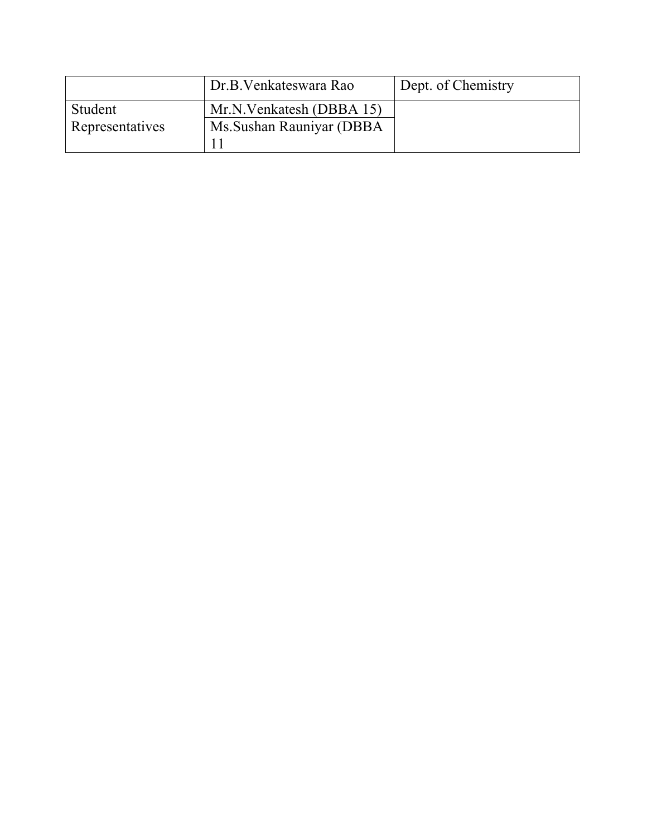|                 | Dr.B. Venkateswara Rao    | Dept. of Chemistry |
|-----------------|---------------------------|--------------------|
| Student         | Mr.N.Venkatesh (DBBA 15)  |                    |
| Representatives | Ms. Sushan Rauniyar (DBBA |                    |
|                 |                           |                    |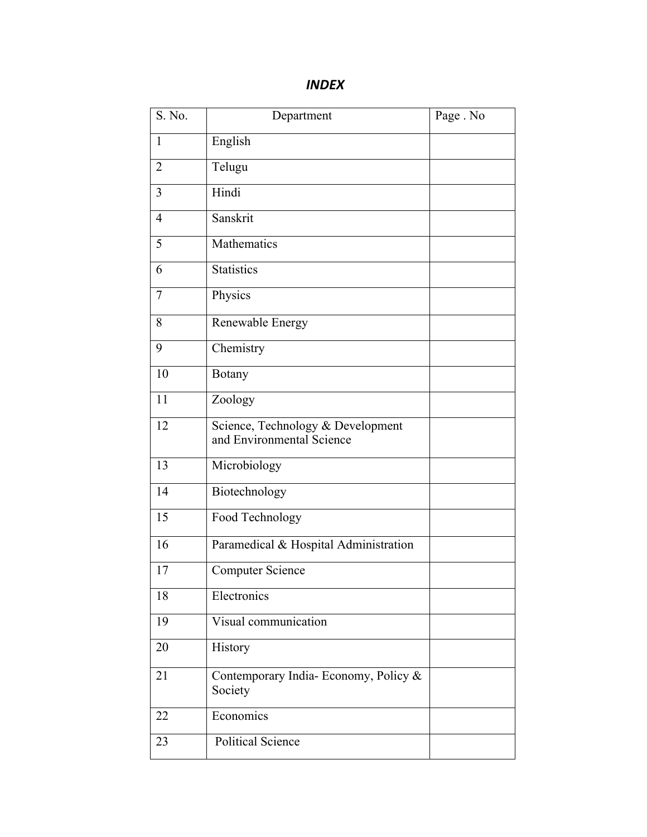| S. No.         | Department                                                     | Page . No |
|----------------|----------------------------------------------------------------|-----------|
| $\mathbf{1}$   | English                                                        |           |
| $\overline{2}$ | Telugu                                                         |           |
| 3              | Hindi                                                          |           |
| $\overline{4}$ | Sanskrit                                                       |           |
| 5              | Mathematics                                                    |           |
| 6              | <b>Statistics</b>                                              |           |
| $\overline{7}$ | Physics                                                        |           |
| 8              | Renewable Energy                                               |           |
| 9              | Chemistry                                                      |           |
| 10             | <b>Botany</b>                                                  |           |
| 11             | Zoology                                                        |           |
| 12             | Science, Technology & Development<br>and Environmental Science |           |
| 13             | Microbiology                                                   |           |
| 14             | Biotechnology                                                  |           |
| 15             | Food Technology                                                |           |
| 16             | Paramedical & Hospital Administration                          |           |
| 17             | <b>Computer Science</b>                                        |           |
| 18             | Electronics                                                    |           |
| 19             | Visual communication                                           |           |
| 20             | History                                                        |           |
| 21             | Contemporary India-Economy, Policy &<br>Society                |           |
| 22             | Economics                                                      |           |
| 23             | <b>Political Science</b>                                       |           |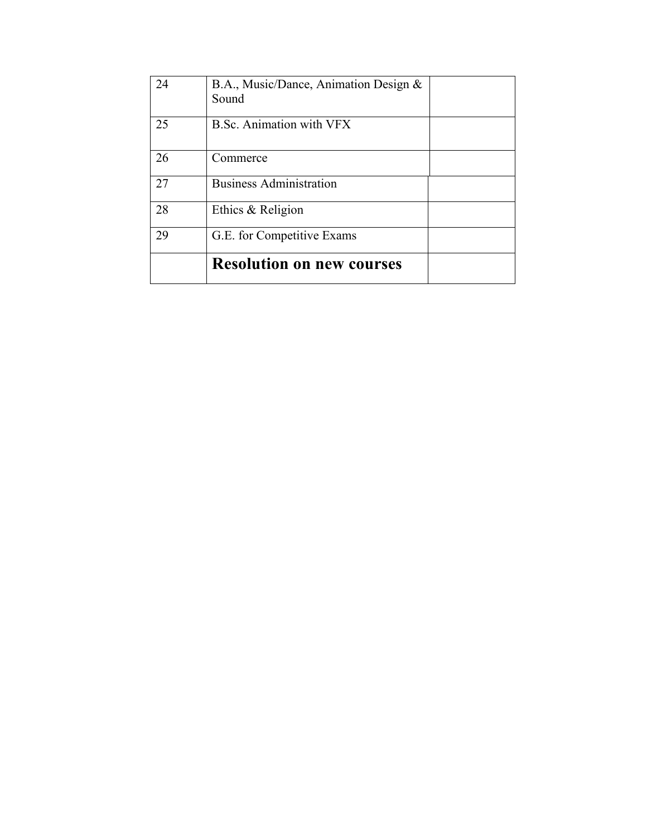| 24 | B.A., Music/Dance, Animation Design &<br>Sound |  |
|----|------------------------------------------------|--|
| 25 | <b>B.Sc. Animation with VFX</b>                |  |
| 26 | Commerce                                       |  |
| 27 | <b>Business Administration</b>                 |  |
| 28 | Ethics & Religion                              |  |
| 29 | G.E. for Competitive Exams                     |  |
|    | <b>Resolution on new courses</b>               |  |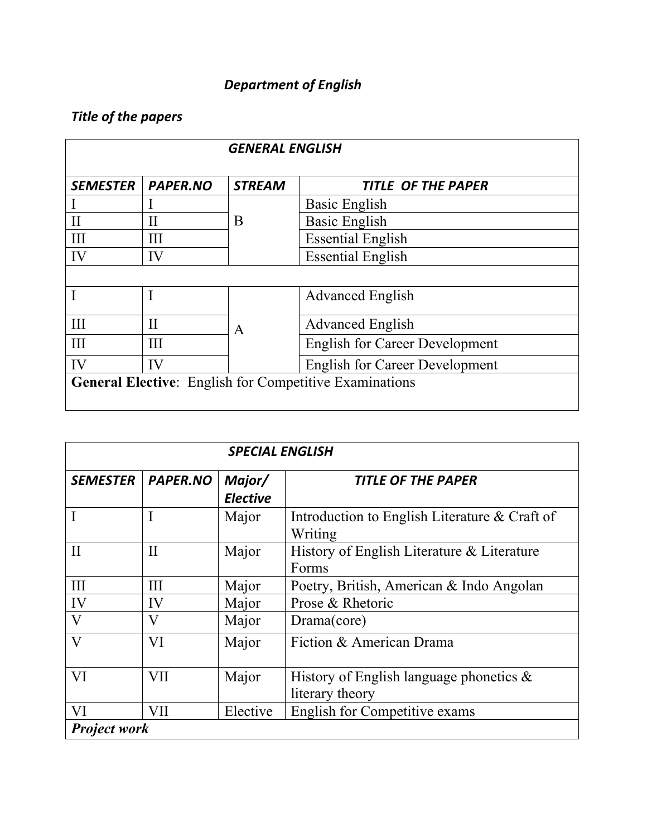# *Department of English*

# *Title of the papers*

| <b>GENERAL ENGLISH</b>                                        |                 |               |                                       |
|---------------------------------------------------------------|-----------------|---------------|---------------------------------------|
| <b>SEMESTER</b>                                               | <b>PAPER.NO</b> | <b>STREAM</b> | <b>TITLE OF THE PAPER</b>             |
|                                                               |                 |               | <b>Basic English</b>                  |
| H                                                             | $\mathbf{I}$    | B             | <b>Basic English</b>                  |
| Ш                                                             | Ш               |               | <b>Essential English</b>              |
| IV                                                            | IV              |               | <b>Essential English</b>              |
|                                                               |                 |               |                                       |
|                                                               |                 |               | <b>Advanced English</b>               |
| III                                                           | H               | A             | <b>Advanced English</b>               |
| III                                                           | III             |               | <b>English for Career Development</b> |
| IV                                                            | IV              |               | <b>English for Career Development</b> |
| <b>General Elective:</b> English for Competitive Examinations |                 |               |                                       |

| <b>SPECIAL ENGLISH</b> |                 |                           |                                                               |
|------------------------|-----------------|---------------------------|---------------------------------------------------------------|
| <b>SEMESTER</b>        | <b>PAPER.NO</b> | Major/<br><b>Elective</b> | <b>TITLE OF THE PAPER</b>                                     |
| I                      |                 | Major                     | Introduction to English Literature & Craft of<br>Writing      |
| $\mathbf{I}$           | $\rm II$        | Major                     | History of English Literature & Literature<br>Forms           |
| III                    | Ш               | Major                     | Poetry, British, American & Indo Angolan                      |
| IV                     | IV              | Major                     | Prose & Rhetoric                                              |
| V                      | V               | Major                     | Drama(core)                                                   |
| $\mathbf{V}$           | VI              | Major                     | Fiction & American Drama                                      |
| VI                     | VII             | Major                     | History of English language phonetics $\&$<br>literary theory |
| VI                     | VII             | Elective                  | <b>English for Competitive exams</b>                          |
| <b>Project work</b>    |                 |                           |                                                               |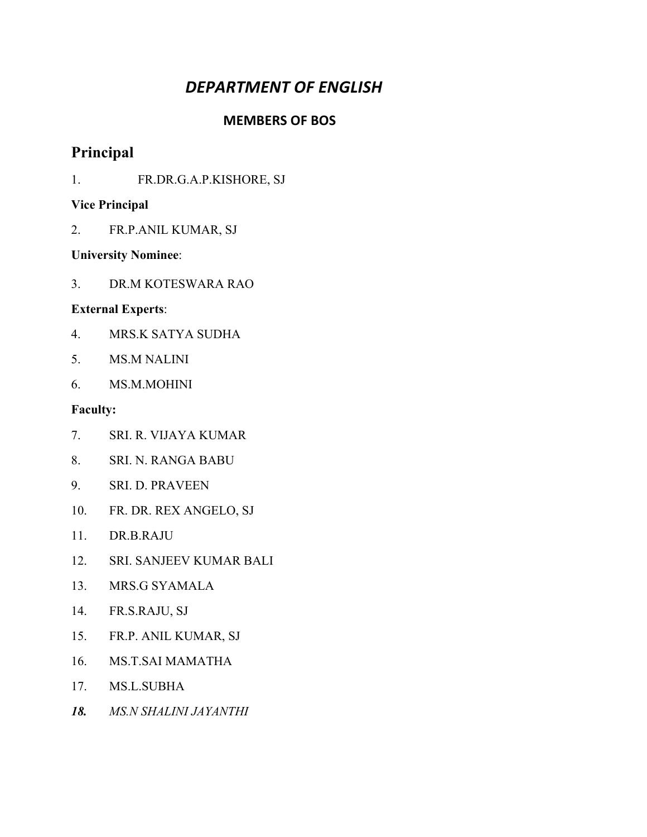# *DEPARTMENT OF ENGLISH*

#### **MEMBERS OF BOS**

# **Principal**

1. FR.DR.G.A.P.KISHORE, SJ

#### **Vice Principal**

2. FR.P.ANIL KUMAR, SJ

#### **University Nominee**:

3. DR.M KOTESWARA RAO

#### **External Experts**:

- 4. MRS.K SATYA SUDHA
- 5. MS.M NALINI
- 6. MS.M.MOHINI

- 7. SRI. R. VIJAYA KUMAR
- 8. SRI. N. RANGA BABU
- 9. SRI. D. PRAVEEN
- 10. FR. DR. REX ANGELO, SJ
- 11. DR.B.RAJU
- 12. SRI. SANJEEV KUMAR BALI
- 13. MRS.G SYAMALA
- 14. FR.S.RAJU, SJ
- 15. FR.P. ANIL KUMAR, SJ
- 16. MS.T.SAI MAMATHA
- 17. MS.L.SUBHA
- *18. MS.N SHALINI JAYANTHI*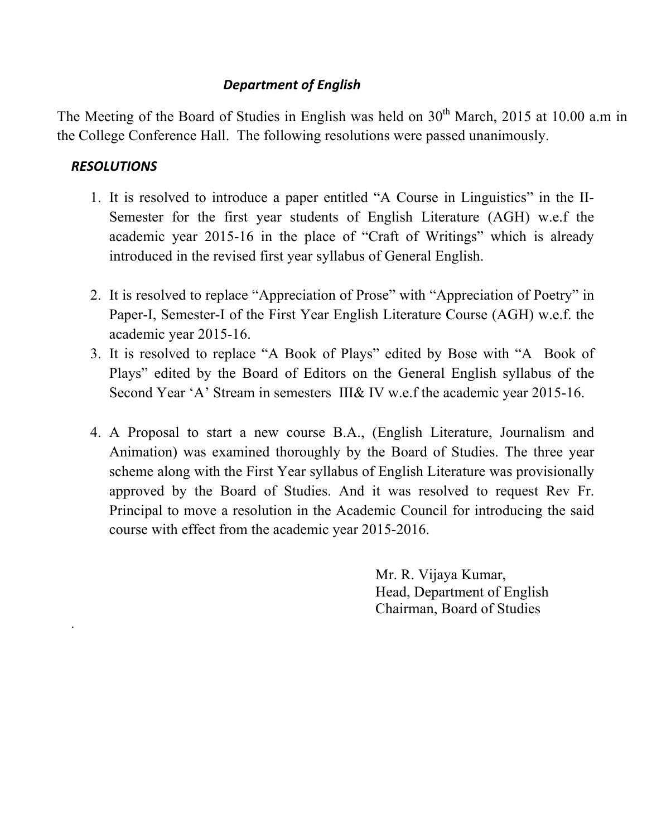## *Department of English*

The Meeting of the Board of Studies in English was held on 30<sup>th</sup> March, 2015 at 10.00 a.m in the College Conference Hall. The following resolutions were passed unanimously.

## *RESOLUTIONS*

.

- 1. It is resolved to introduce a paper entitled "A Course in Linguistics" in the II-Semester for the first year students of English Literature (AGH) w.e.f the academic year 2015-16 in the place of "Craft of Writings" which is already introduced in the revised first year syllabus of General English.
- 2. It is resolved to replace "Appreciation of Prose" with "Appreciation of Poetry" in Paper-I, Semester-I of the First Year English Literature Course (AGH) w.e.f. the academic year 2015-16.
- 3. It is resolved to replace "A Book of Plays" edited by Bose with "A Book of Plays" edited by the Board of Editors on the General English syllabus of the Second Year 'A' Stream in semesters III& IV w.e.f the academic year 2015-16.
- 4. A Proposal to start a new course B.A., (English Literature, Journalism and Animation) was examined thoroughly by the Board of Studies. The three year scheme along with the First Year syllabus of English Literature was provisionally approved by the Board of Studies. And it was resolved to request Rev Fr. Principal to move a resolution in the Academic Council for introducing the said course with effect from the academic year 2015-2016.

Mr. R. Vijaya Kumar, Head, Department of English Chairman, Board of Studies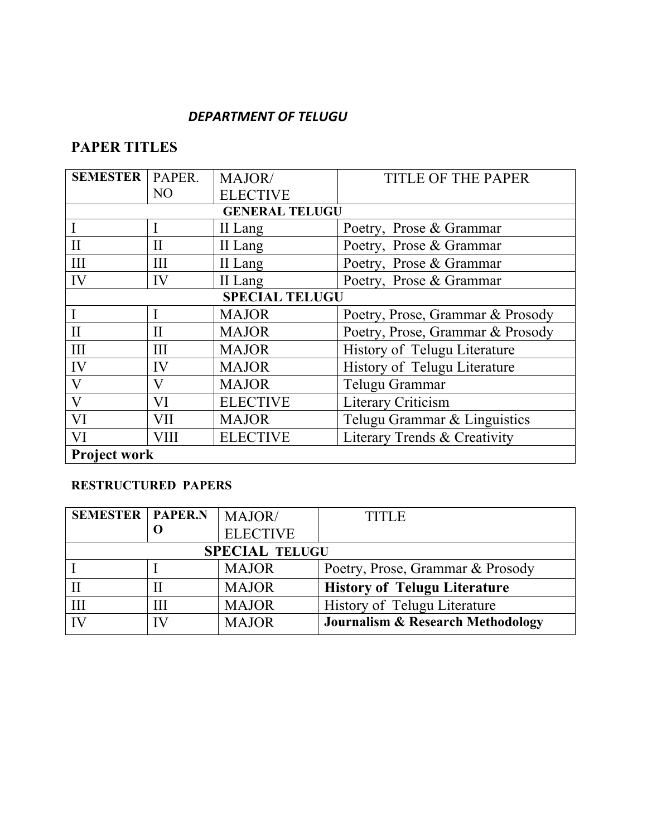### *DEPARTMENT OF TELUGU*

# **PAPER TITLES**

| <b>SEMESTER</b>       | PAPER.         | MAJOR/                | <b>TITLE OF THE PAPER</b>        |
|-----------------------|----------------|-----------------------|----------------------------------|
|                       | N <sub>O</sub> | <b>ELECTIVE</b>       |                                  |
|                       |                | <b>GENERAL TELUGU</b> |                                  |
|                       |                | II Lang               | Poetry, Prose & Grammar          |
| $_{\rm II}$           | $_{\rm II}$    | II Lang               | Poetry, Prose & Grammar          |
| III                   | III            | II Lang               | Poetry, Prose & Grammar          |
| IV                    | IV             | II Lang               | Poetry, Prose & Grammar          |
| <b>SPECIAL TELUGU</b> |                |                       |                                  |
|                       |                | <b>MAJOR</b>          | Poetry, Prose, Grammar & Prosody |
| $\rm II$              | $\mathbf{I}$   | <b>MAJOR</b>          | Poetry, Prose, Grammar & Prosody |
| III                   | Ш              | <b>MAJOR</b>          | History of Telugu Literature     |
| IV                    | IV             | <b>MAJOR</b>          | History of Telugu Literature     |
| V                     | V              | <b>MAJOR</b>          | Telugu Grammar                   |
| $\bf V$               | VI             | <b>ELECTIVE</b>       | Literary Criticism               |
| VI                    | VII            | <b>MAJOR</b>          | Telugu Grammar & Linguistics     |
| VI                    | VIII           | <b>ELECTIVE</b>       | Literary Trends & Creativity     |
| <b>Project work</b>   |                |                       |                                  |

## **RESTRUCTURED PAPERS**

| <b>SEMESTER   PAPER.N</b> |    | MAJOR/                | <b>TITLE</b>                                 |
|---------------------------|----|-----------------------|----------------------------------------------|
|                           |    | <b>ELECTIVE</b>       |                                              |
|                           |    | <b>SPECIAL TELUGU</b> |                                              |
|                           |    | <b>MAJOR</b>          | Poetry, Prose, Grammar & Prosody             |
|                           |    | <b>MAJOR</b>          | <b>History of Telugu Literature</b>          |
| Ш                         | Ш  | <b>MAJOR</b>          | History of Telugu Literature                 |
| IV                        | IV | <b>MAJOR</b>          | <b>Journalism &amp; Research Methodology</b> |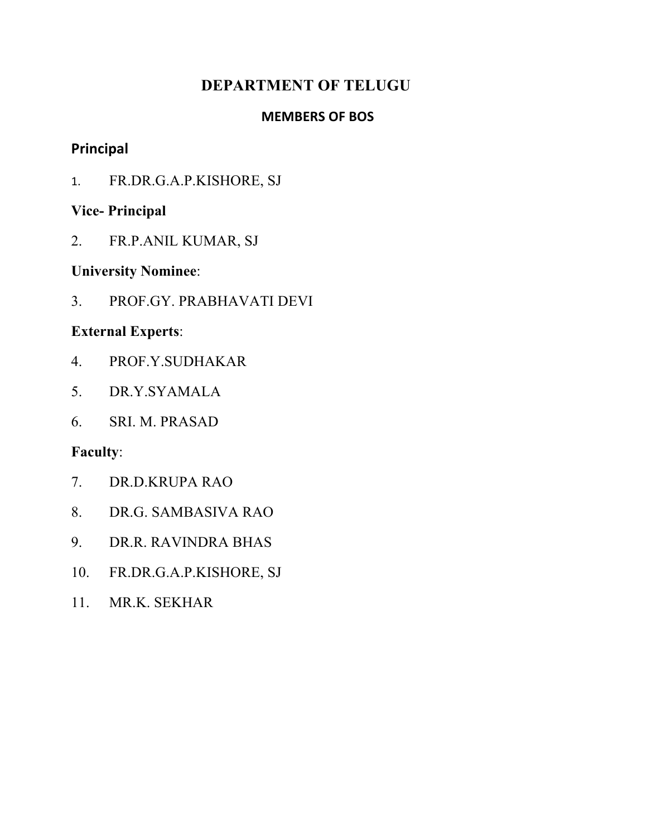# **DEPARTMENT OF TELUGU**

## **MEMBERS OF BOS**

## **Principal**

1. FR.DR.G.A.P.KISHORE, SJ

# **Vice- Principal**

2. FR.P.ANIL KUMAR, SJ

## **University Nominee**:

3. PROF.GY. PRABHAVATI DEVI

# **External Experts**:

- 4. PROF.Y.SUDHAKAR
- 5. DR.Y.SYAMALA
- 6. SRI. M. PRASAD

- 7. DR.D.KRUPA RAO
- 8. DR.G. SAMBASIVA RAO
- 9. DR.R. RAVINDRA BHAS
- 10. FR.DR.G.A.P.KISHORE, SJ
- 11. MR.K. SEKHAR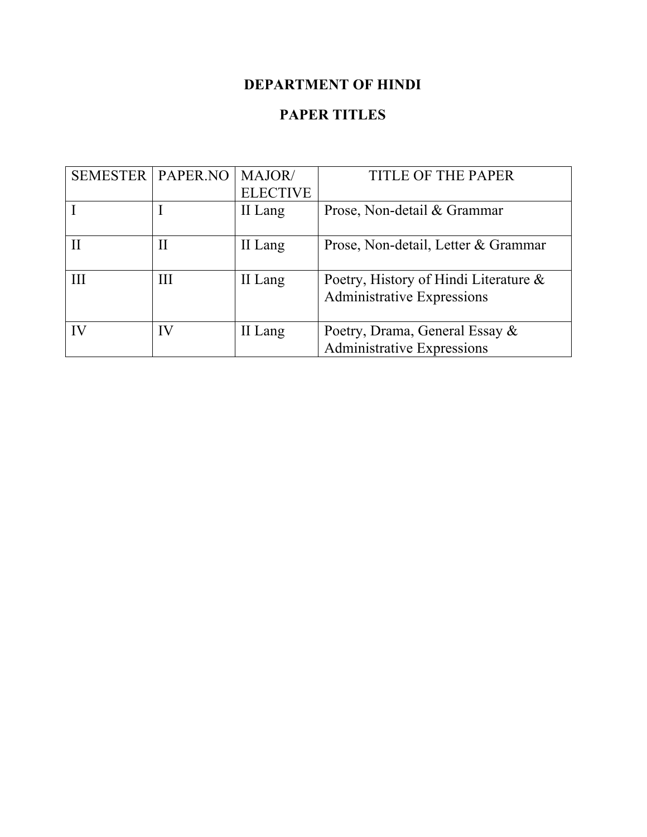# **DEPARTMENT OF HINDI**

# **PAPER TITLES**

| <b>SEMESTER   PAPER.NO</b> |    | MAJOR/          | <b>TITLE OF THE PAPER</b>             |
|----------------------------|----|-----------------|---------------------------------------|
|                            |    | <b>ELECTIVE</b> |                                       |
|                            |    | II Lang         | Prose, Non-detail & Grammar           |
|                            |    |                 |                                       |
|                            | П  | II Lang         | Prose, Non-detail, Letter & Grammar   |
|                            |    |                 |                                       |
| Ш                          | Ш  | II Lang         | Poetry, History of Hindi Literature & |
|                            |    |                 | <b>Administrative Expressions</b>     |
|                            |    |                 |                                       |
| IV                         | IV | II Lang         | Poetry, Drama, General Essay &        |
|                            |    |                 | <b>Administrative Expressions</b>     |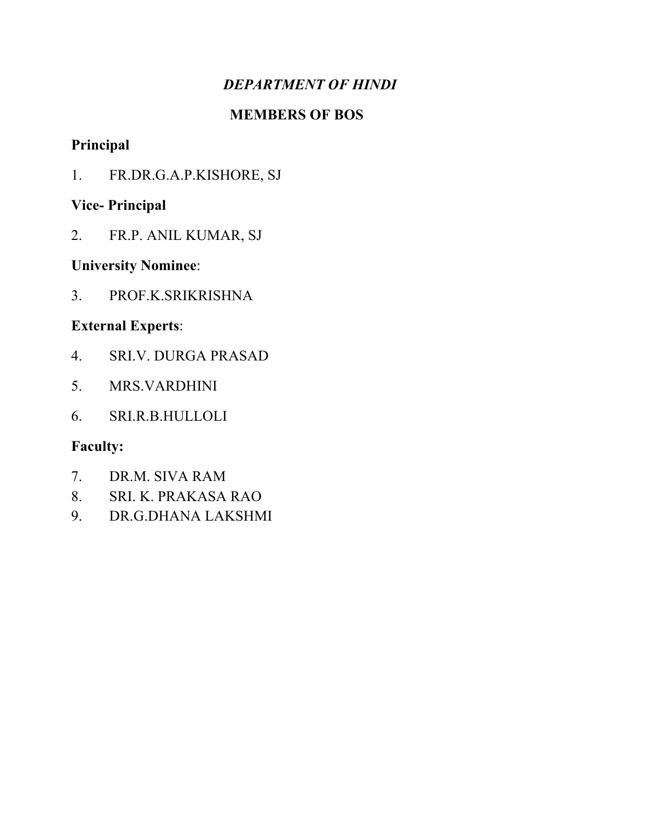# *DEPARTMENT OF HINDI*

## **MEMBERS OF BOS**

# **Principal**

1. FR.DR.G.A.P.KISHORE, SJ

# **Vice- Principal**

2. FR.P. ANIL KUMAR, SJ

# **University Nominee**:

3. PROF.K.SRIKRISHNA

# **External Experts**:

- 4. SRI.V. DURGA PRASAD
- 5. MRS.VARDHINI
- 6. SRI.R.B.HULLOLI

- 7. DR.M. SIVA RAM
- 8. SRI. K. PRAKASA RAO
- 9. DR.G.DHANA LAKSHMI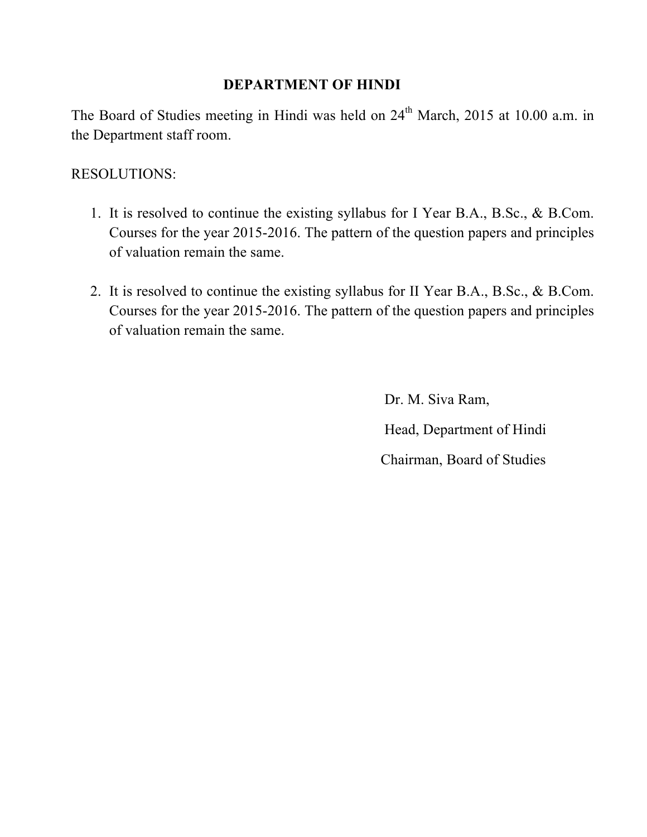## **DEPARTMENT OF HINDI**

The Board of Studies meeting in Hindi was held on  $24<sup>th</sup>$  March, 2015 at 10.00 a.m. in the Department staff room.

# RESOLUTIONS:

- 1. It is resolved to continue the existing syllabus for I Year B.A., B.Sc., & B.Com. Courses for the year 2015-2016. The pattern of the question papers and principles of valuation remain the same.
- 2. It is resolved to continue the existing syllabus for II Year B.A., B.Sc., & B.Com. Courses for the year 2015-2016. The pattern of the question papers and principles of valuation remain the same.

 Dr. M. Siva Ram, Head, Department of Hindi Chairman, Board of Studies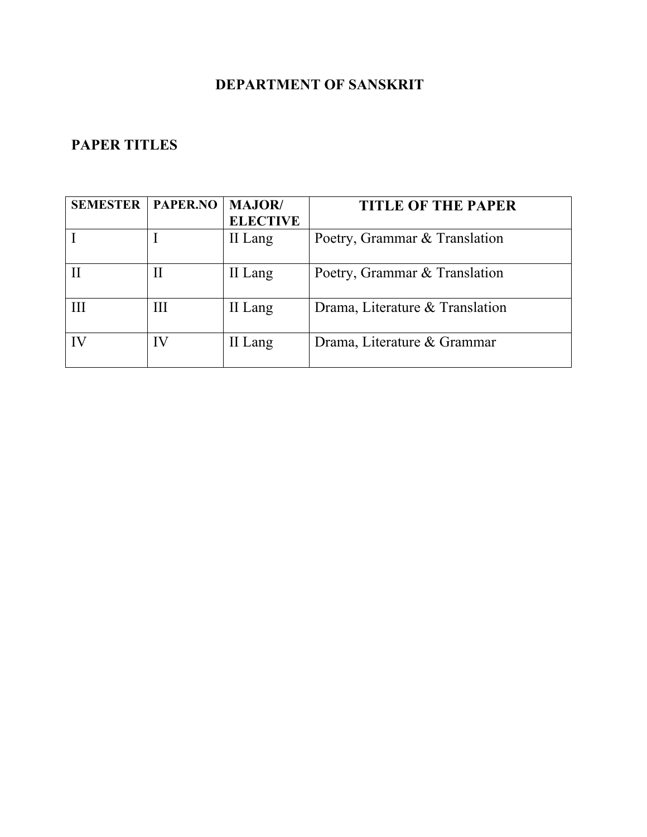# **DEPARTMENT OF SANSKRIT**

# **PAPER TITLES**

| <b>SEMESTER</b> | PAPER.NO | <b>MAJOR</b> /  | <b>TITLE OF THE PAPER</b>       |
|-----------------|----------|-----------------|---------------------------------|
|                 |          | <b>ELECTIVE</b> |                                 |
|                 |          | II Lang         | Poetry, Grammar & Translation   |
|                 | Н        | II Lang         | Poetry, Grammar & Translation   |
| Ш               | III      | II Lang         | Drama, Literature & Translation |
| IV              | IV       | II Lang         | Drama, Literature & Grammar     |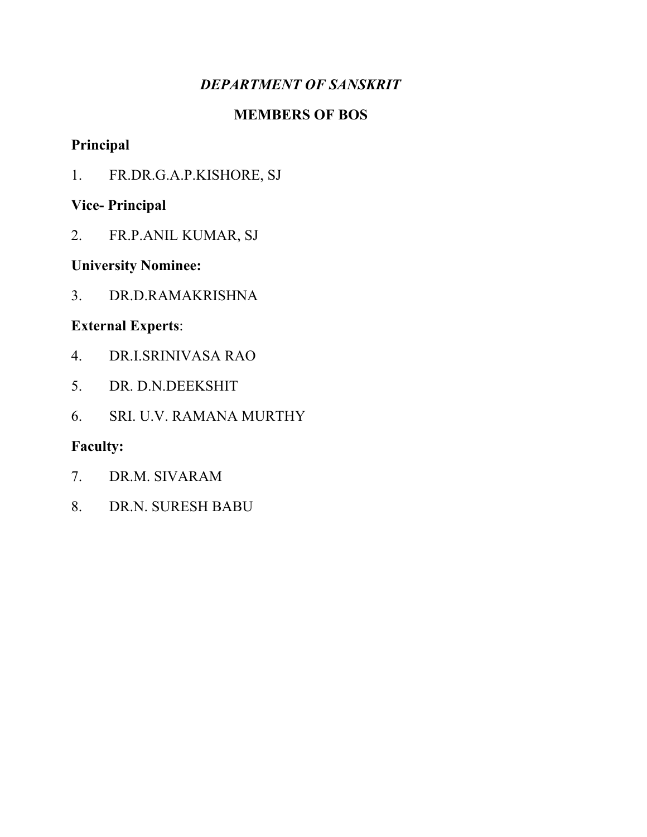# *DEPARTMENT OF SANSKRIT*

## **MEMBERS OF BOS**

# **Principal**

1. FR.DR.G.A.P.KISHORE, SJ

# **Vice- Principal**

2. FR.P.ANIL KUMAR, SJ

# **University Nominee:**

3. DR.D.RAMAKRISHNA

# **External Experts**:

- 4. DR.I.SRINIVASA RAO
- 5. DR. D.N.DEEKSHIT
- 6. SRI. U.V. RAMANA MURTHY

- 7. DR.M. SIVARAM
- 8. DR.N. SURESH BABU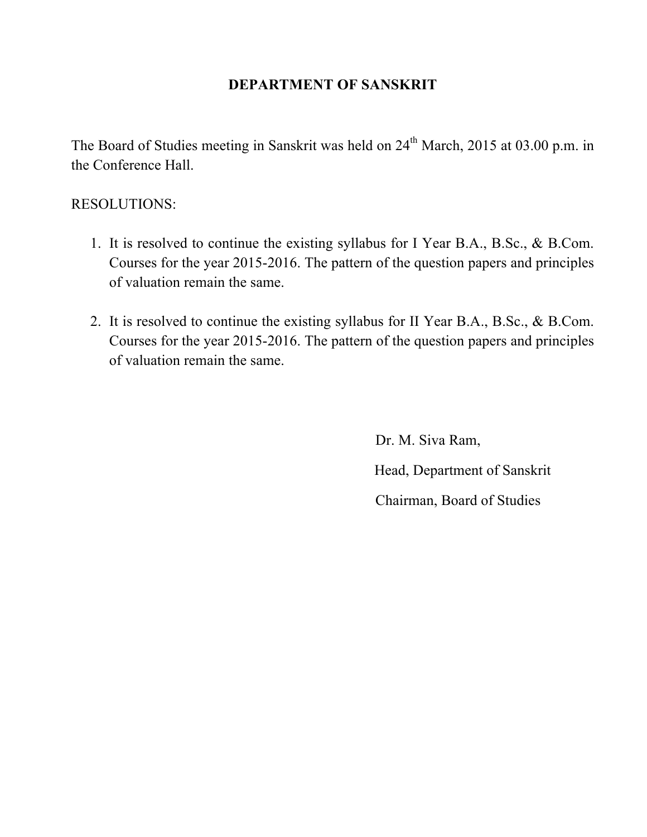## **DEPARTMENT OF SANSKRIT**

The Board of Studies meeting in Sanskrit was held on 24<sup>th</sup> March, 2015 at 03.00 p.m. in the Conference Hall.

## RESOLUTIONS:

- 1. It is resolved to continue the existing syllabus for I Year B.A., B.Sc., & B.Com. Courses for the year 2015-2016. The pattern of the question papers and principles of valuation remain the same.
- 2. It is resolved to continue the existing syllabus for II Year B.A., B.Sc., & B.Com. Courses for the year 2015-2016. The pattern of the question papers and principles of valuation remain the same.

Dr. M. Siva Ram, Head, Department of Sanskrit Chairman, Board of Studies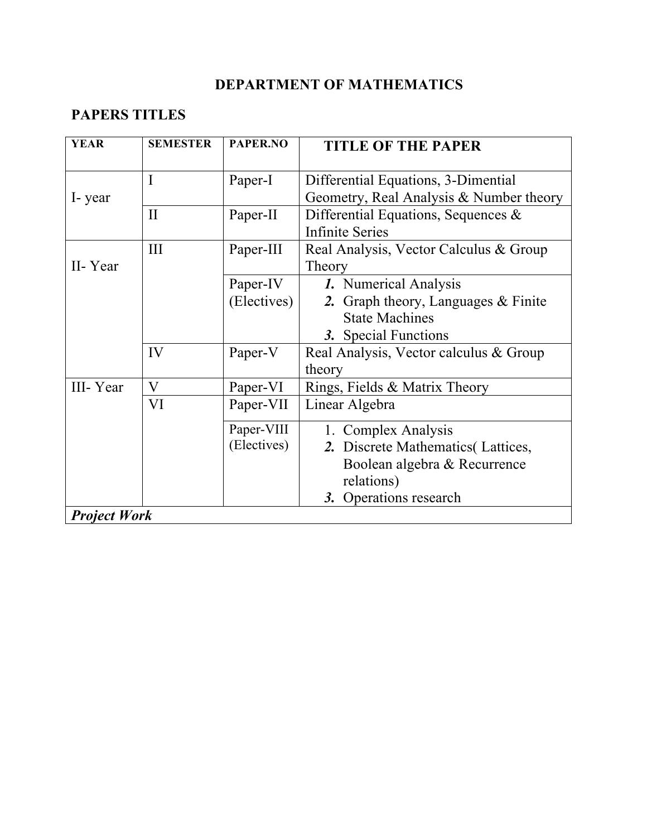# *DEPARTMENT OF MATHEMATICS*

# **PAPERS TITLES**

| <b>YEAR</b>         | <b>SEMESTER</b> | PAPER.NO                | <b>TITLE OF THE PAPER</b>                                                                                       |  |  |
|---------------------|-----------------|-------------------------|-----------------------------------------------------------------------------------------------------------------|--|--|
| I-year              | I               | Paper-I                 | Differential Equations, 3-Dimential<br>Geometry, Real Analysis & Number theory                                  |  |  |
|                     | $\mathbf{I}$    | Paper-II                | Differential Equations, Sequences $\&$<br><b>Infinite Series</b>                                                |  |  |
| II-Year             | III             | Paper-III               | Real Analysis, Vector Calculus & Group<br>Theory                                                                |  |  |
|                     |                 | Paper-IV<br>(Electives) | 1. Numerical Analysis<br>2. Graph theory, Languages $&$ Finite<br><b>State Machines</b><br>3. Special Functions |  |  |
|                     | IV              | Paper-V                 | Real Analysis, Vector calculus & Group<br>theory                                                                |  |  |
| III-Year            | V               | Paper-VI                | Rings, Fields & Matrix Theory                                                                                   |  |  |
|                     | VI              | Paper-VII               | Linear Algebra                                                                                                  |  |  |
|                     |                 | Paper-VIII              | 1. Complex Analysis                                                                                             |  |  |
|                     |                 | (Electives)             | 2. Discrete Mathematics (Lattices,                                                                              |  |  |
|                     |                 |                         | Boolean algebra & Recurrence                                                                                    |  |  |
|                     |                 |                         | relations)                                                                                                      |  |  |
|                     |                 |                         | 3. Operations research                                                                                          |  |  |
| <b>Project Work</b> |                 |                         |                                                                                                                 |  |  |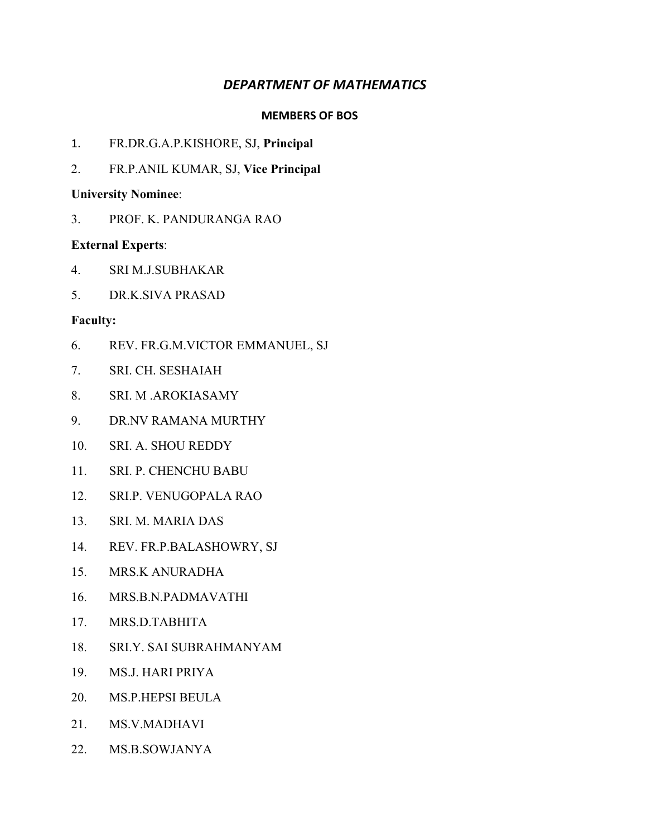#### *DEPARTMENT OF MATHEMATICS*

#### **MEMBERS OF BOS**

- 1. FR.DR.G.A.P.KISHORE, SJ, **Principal**
- 2. FR.P.ANIL KUMAR, SJ, **Vice Principal**

#### **University Nominee**:

3. PROF. K. PANDURANGA RAO

#### **External Experts**:

- 4. SRI M.J.SUBHAKAR
- 5. DR.K.SIVA PRASAD

- 6. REV. FR.G.M.VICTOR EMMANUEL, SJ
- 7. SRI. CH. SESHAIAH
- 8. SRI. M .AROKIASAMY
- 9. DR.NV RAMANA MURTHY
- 10. SRI. A. SHOU REDDY
- 11. SRI. P. CHENCHU BABU
- 12. SRI.P. VENUGOPALA RAO
- 13. SRI. M. MARIA DAS
- 14. REV. FR.P.BALASHOWRY, SJ
- 15. MRS.K ANURADHA
- 16. MRS.B.N.PADMAVATHI
- 17. MRS.D.TABHITA
- 18. SRI.Y. SAI SUBRAHMANYAM
- 19. MS.J. HARI PRIYA
- 20. MS.P.HEPSI BEULA
- 21. MS.V.MADHAVI
- 22. MS.B.SOWJANYA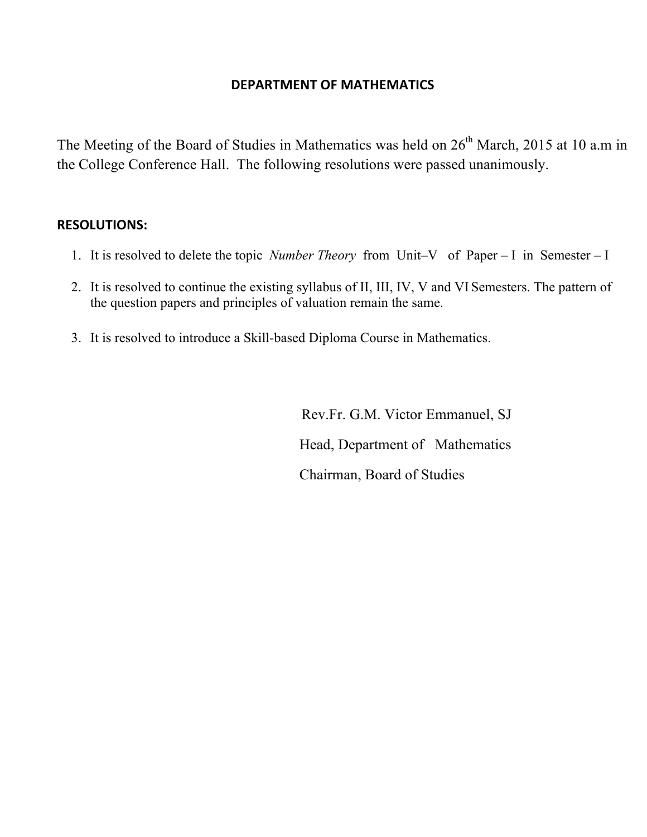#### **DEPARTMENT OF MATHEMATICS**

The Meeting of the Board of Studies in Mathematics was held on 26<sup>th</sup> March, 2015 at 10 a.m in the College Conference Hall. The following resolutions were passed unanimously.

#### **RESOLUTIONS:**

- 1. It is resolved to delete the topic *Number Theory* from Unit–V of Paper I in Semester I
- 2. It is resolved to continue the existing syllabus of II, III, IV, V and VI Semesters. The pattern of the question papers and principles of valuation remain the same.
- 3. It is resolved to introduce a Skill-based Diploma Course in Mathematics.

Rev.Fr. G.M. Victor Emmanuel, SJ Head, Department of Mathematics Chairman, Board of Studies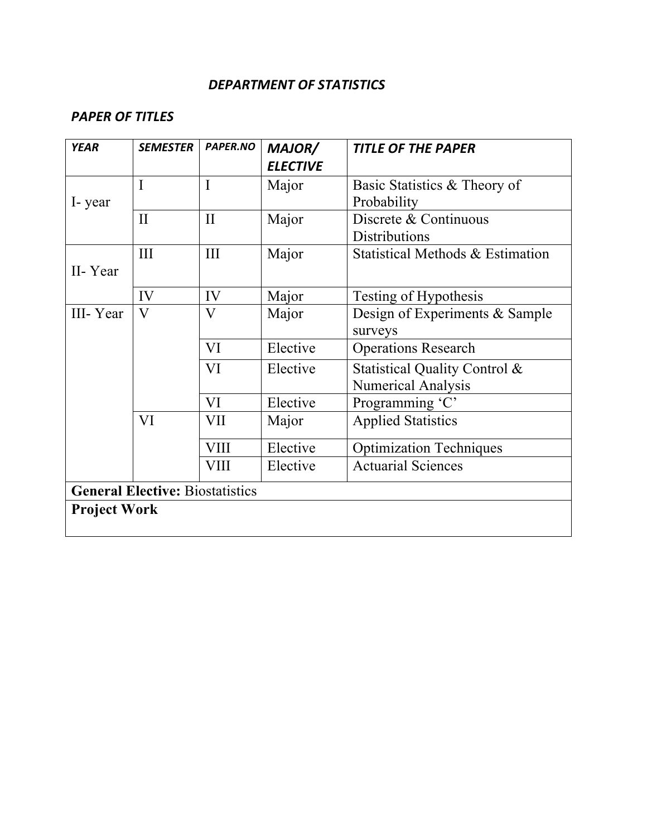#### *DEPARTMENT OF STATISTICS*

## *PAPER OF TITLES*

| <b>YEAR</b>         | <b>SEMESTER</b>                        | PAPER.NO     | MAJOR/          | <b>TITLE OF THE PAPER</b>        |  |  |  |
|---------------------|----------------------------------------|--------------|-----------------|----------------------------------|--|--|--|
|                     |                                        |              | <b>ELECTIVE</b> |                                  |  |  |  |
|                     | $\mathbf I$                            | $\mathbf I$  | Major           | Basic Statistics & Theory of     |  |  |  |
| I-year              |                                        |              |                 | Probability                      |  |  |  |
|                     | $\mathbf{I}$                           | $\mathbf{I}$ | Major           | Discrete & Continuous            |  |  |  |
|                     |                                        |              |                 | <b>Distributions</b>             |  |  |  |
|                     | III                                    | III          | Major           | Statistical Methods & Estimation |  |  |  |
| II-Year             |                                        |              |                 |                                  |  |  |  |
|                     | IV                                     | IV           | Major           | Testing of Hypothesis            |  |  |  |
| III-Year            | $\overline{\mathsf{V}}$                | $\bf V$      | Major           | Design of Experiments & Sample   |  |  |  |
|                     |                                        |              |                 | surveys                          |  |  |  |
|                     |                                        | VI           | Elective        | <b>Operations Research</b>       |  |  |  |
|                     |                                        | VI           | Elective        | Statistical Quality Control &    |  |  |  |
|                     |                                        |              |                 | <b>Numerical Analysis</b>        |  |  |  |
|                     |                                        | VI           | Elective        | Programming 'C'                  |  |  |  |
|                     | VI                                     | VII          | Major           | <b>Applied Statistics</b>        |  |  |  |
|                     |                                        | <b>VIII</b>  | Elective        | <b>Optimization Techniques</b>   |  |  |  |
|                     |                                        | <b>VIII</b>  | Elective        | <b>Actuarial Sciences</b>        |  |  |  |
|                     | <b>General Elective: Biostatistics</b> |              |                 |                                  |  |  |  |
| <b>Project Work</b> |                                        |              |                 |                                  |  |  |  |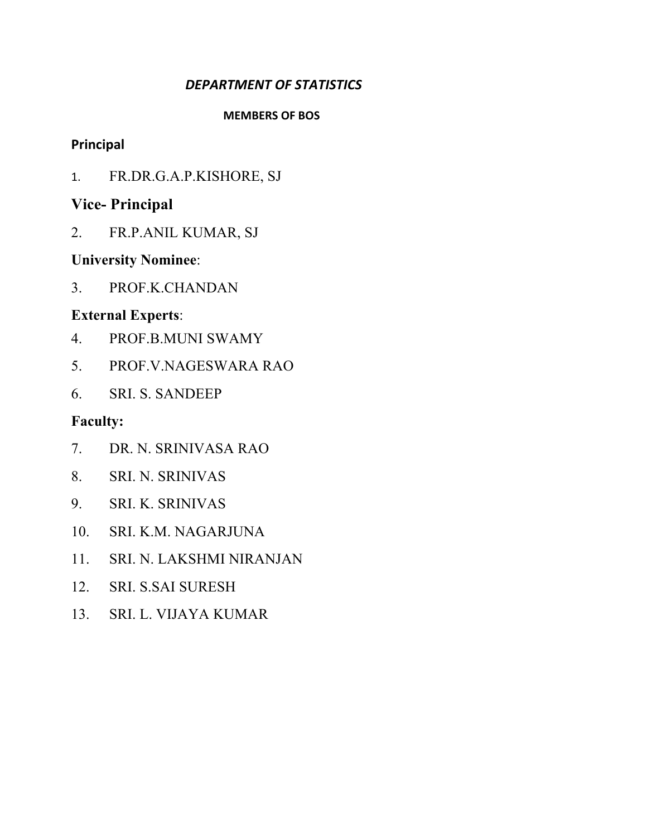## *DEPARTMENT OF STATISTICS*

#### **MEMBERS OF BOS**

## **Principal**

1. FR.DR.G.A.P.KISHORE, SJ

# **Vice- Principal**

2. FR.P.ANIL KUMAR, SJ

# **University Nominee**:

3. PROF.K.CHANDAN

# **External Experts**:

- 4. PROF.B.MUNI SWAMY
- 5. PROF.V.NAGESWARA RAO
- 6. SRI. S. SANDEEP

- 7. DR. N. SRINIVASA RAO
- 8. SRI. N. SRINIVAS
- 9. SRI. K. SRINIVAS
- 10. SRI. K.M. NAGARJUNA
- 11. SRI. N. LAKSHMI NIRANJAN
- 12. SRI. S.SAI SURESH
- 13. SRI. L. VIJAYA KUMAR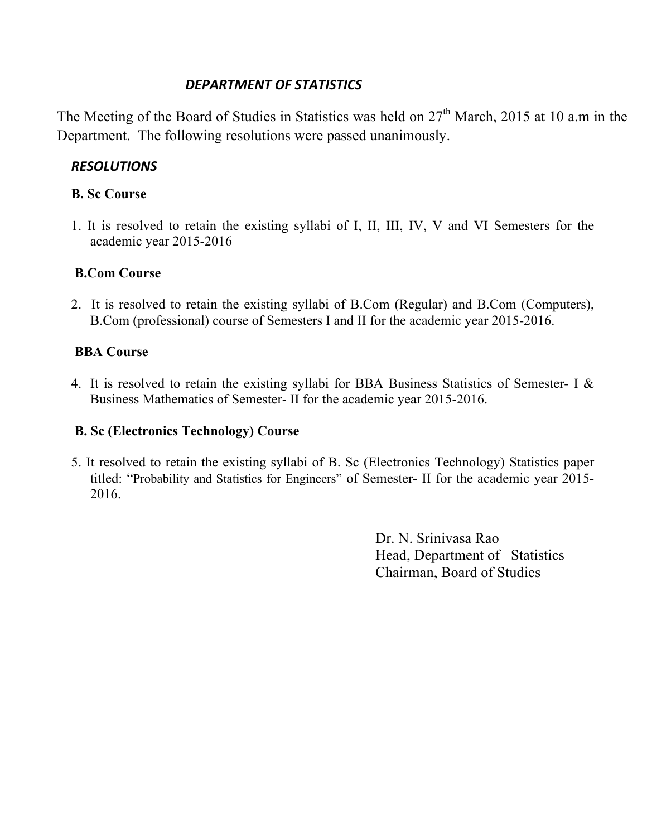### *DEPARTMENT OF STATISTICS*

The Meeting of the Board of Studies in Statistics was held on 27<sup>th</sup> March, 2015 at 10 a.m in the Department. The following resolutions were passed unanimously.

## *RESOLUTIONS*

#### **B. Sc Course**

1. It is resolved to retain the existing syllabi of I, II, III, IV, V and VI Semesters for the academic year 2015-2016

## **B.Com Course**

2. It is resolved to retain the existing syllabi of B.Com (Regular) and B.Com (Computers), B.Com (professional) course of Semesters I and II for the academic year 2015-2016.

#### **BBA Course**

4. It is resolved to retain the existing syllabi for BBA Business Statistics of Semester- I & Business Mathematics of Semester- II for the academic year 2015-2016.

## **B. Sc (Electronics Technology) Course**

5. It resolved to retain the existing syllabi of B. Sc (Electronics Technology) Statistics paper titled: "Probability and Statistics for Engineers" of Semester- II for the academic year 2015- 2016.

> Dr. N. Srinivasa Rao Head, Department of Statistics Chairman, Board of Studies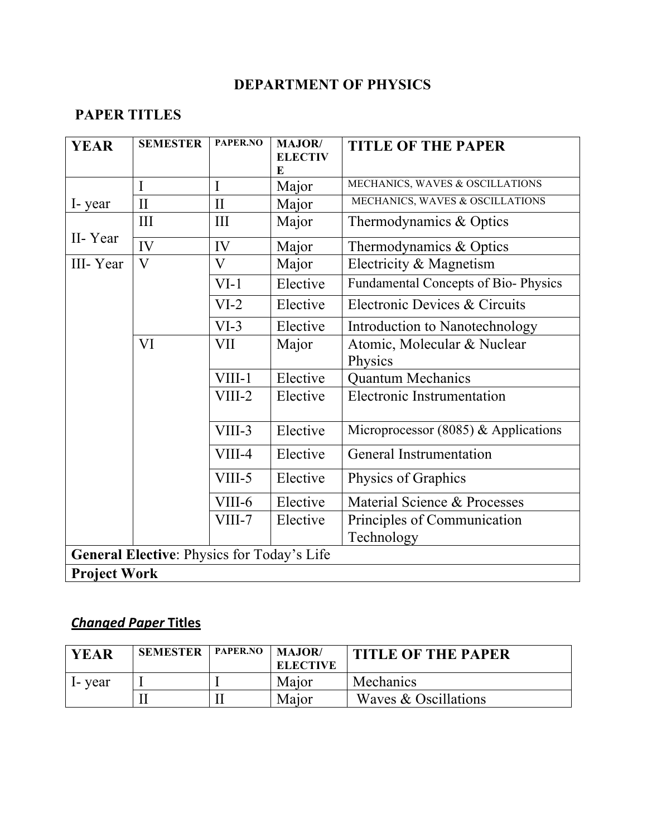# **DEPARTMENT OF PHYSICS**

# **PAPER TITLES**

| <b>YEAR</b>                                | <b>SEMESTER</b> | PAPER.NO     | <b>MAJOR/</b><br><b>ELECTIV</b><br>E | <b>TITLE OF THE PAPER</b>                 |  |
|--------------------------------------------|-----------------|--------------|--------------------------------------|-------------------------------------------|--|
|                                            | I               | I            | Major                                | MECHANICS, WAVES & OSCILLATIONS           |  |
| I-year                                     | $\mathbf{I}$    | $\mathbf{I}$ | Major                                | MECHANICS, WAVES & OSCILLATIONS           |  |
|                                            | Ш               | III          | Major                                | Thermodynamics & Optics                   |  |
| II-Year                                    | IV              | IV           | Major                                | Thermodynamics & Optics                   |  |
| III-Year                                   | $\mathbf{V}$    | V            | Major                                | Electricity & Magnetism                   |  |
|                                            |                 | $VI-1$       | Elective                             | Fundamental Concepts of Bio-Physics       |  |
|                                            |                 | $VI-2$       | Elective                             | Electronic Devices & Circuits             |  |
|                                            |                 | $VI-3$       | Elective                             | Introduction to Nanotechnology            |  |
|                                            | VI              | VII          | Major                                | Atomic, Molecular & Nuclear<br>Physics    |  |
|                                            |                 | VIII-1       | Elective                             | <b>Quantum Mechanics</b>                  |  |
|                                            |                 | $VIII-2$     | Elective                             | <b>Electronic Instrumentation</b>         |  |
|                                            |                 | VIII-3       | Elective                             | Microprocessor (8085) $&$ Applications    |  |
|                                            |                 | VIII-4       | Elective                             | <b>General Instrumentation</b>            |  |
|                                            |                 | VIII-5       | Elective                             | Physics of Graphics                       |  |
|                                            |                 | VIII-6       | Elective                             | Material Science & Processes              |  |
|                                            |                 | VIII-7       | Elective                             | Principles of Communication<br>Technology |  |
| General Elective: Physics for Today's Life |                 |              |                                      |                                           |  |
| <b>Project Work</b>                        |                 |              |                                      |                                           |  |

# *Changed Paper* **Titles**

| <b>YEAR</b> | <b>SEMESTER</b> | PAPER.NO | $\blacksquare$ MAJOR/<br><b>ELECTIVE</b> | <b>TITLE OF THE PAPER</b> |
|-------------|-----------------|----------|------------------------------------------|---------------------------|
| I- year     |                 |          | Major                                    | Mechanics                 |
|             |                 |          | Major                                    | Waves & Oscillations      |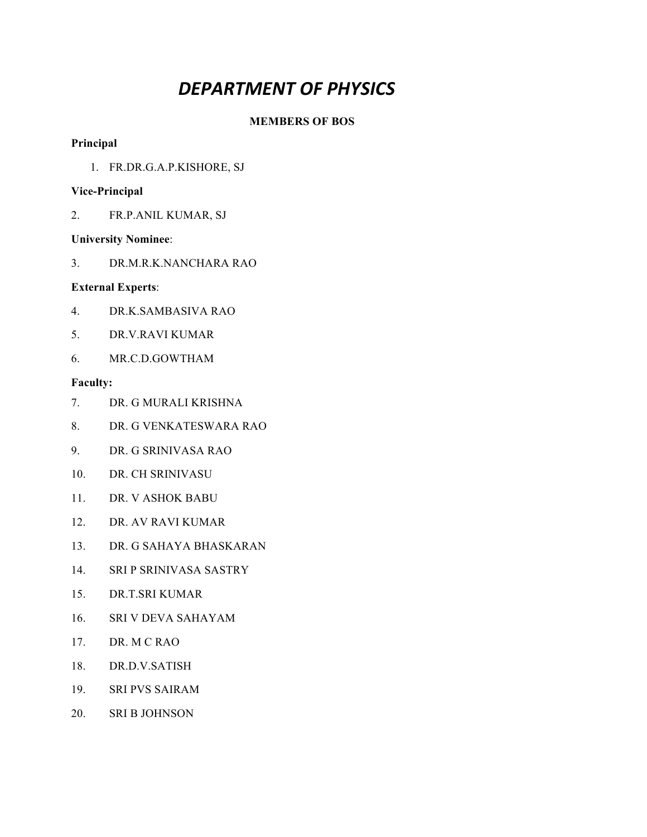# *DEPARTMENT OF PHYSICS*

#### **MEMBERS OF BOS**

#### **Principal**

1. FR.DR.G.A.P.KISHORE, SJ

#### **Vice-Principal**

2. FR.P.ANIL KUMAR, SJ

#### **University Nominee**:

3. DR.M.R.K.NANCHARA RAO

#### **External Experts**:

- 4. DR.K.SAMBASIVA RAO
- 5. DR.V.RAVI KUMAR
- 6. MR.C.D.GOWTHAM

- 7. DR. G MURALI KRISHNA
- 8. DR. G VENKATESWARA RAO
- 9. DR. G SRINIVASA RAO
- 10. DR. CH SRINIVASU
- 11. DR. V ASHOK BABU
- 12. DR. AV RAVI KUMAR
- 13. DR. G SAHAYA BHASKARAN
- 14. SRI P SRINIVASA SASTRY
- 15. DR.T.SRI KUMAR
- 16. SRI V DEVA SAHAYAM
- 17. DR. M C RAO
- 18. DR.D.V.SATISH
- 19. SRI PVS SAIRAM
- 20. SRI B JOHNSON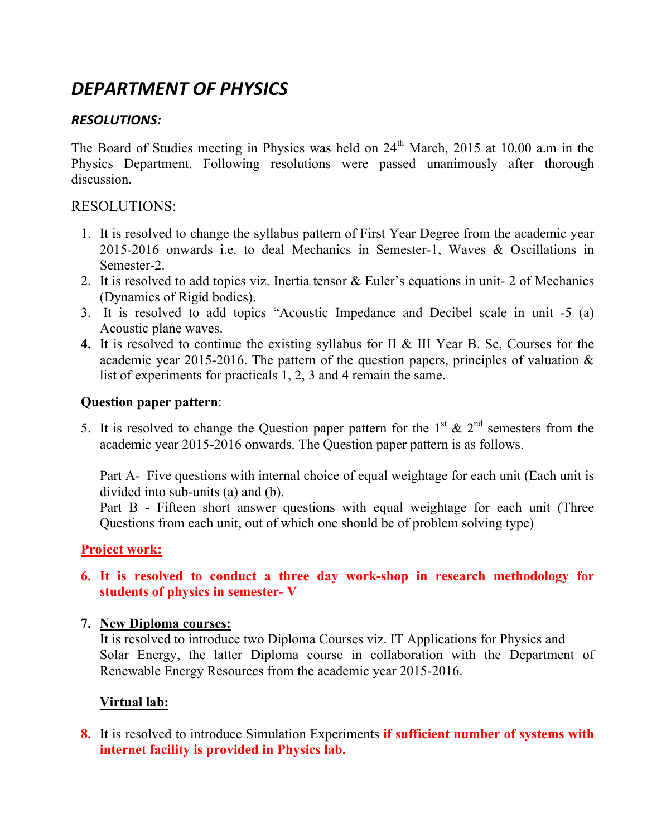# *DEPARTMENT OF PHYSICS*

## *RESOLUTIONS:*

The Board of Studies meeting in Physics was held on 24<sup>th</sup> March, 2015 at 10.00 a.m in the Physics Department. Following resolutions were passed unanimously after thorough discussion.

#### RESOLUTIONS:

- 1. It is resolved to change the syllabus pattern of First Year Degree from the academic year 2015-2016 onwards i.e. to deal Mechanics in Semester-1, Waves & Oscillations in Semester-2.
- 2. It is resolved to add topics viz. Inertia tensor & Euler's equations in unit- 2 of Mechanics (Dynamics of Rigid bodies).
- 3. It is resolved to add topics "Acoustic Impedance and Decibel scale in unit -5 (a) Acoustic plane waves.
- **4.** It is resolved to continue the existing syllabus for II & III Year B. Sc, Courses for the academic year 2015-2016. The pattern of the question papers, principles of valuation  $\&$ list of experiments for practicals 1, 2, 3 and 4 remain the same.

#### **Question paper pattern**:

5. It is resolved to change the Question paper pattern for the 1<sup>st</sup> & 2<sup>nd</sup> semesters from the academic year 2015-2016 onwards. The Question paper pattern is as follows.

Part A- Five questions with internal choice of equal weightage for each unit (Each unit is divided into sub-units (a) and (b).

Part B - Fifteen short answer questions with equal weightage for each unit (Three Questions from each unit, out of which one should be of problem solving type)

## **Project work:**

#### **6. It is resolved to conduct a three day work-shop in research methodology for students of physics in semester- V**

#### **7. New Diploma courses:**

It is resolved to introduce two Diploma Courses viz. IT Applications for Physics and Solar Energy, the latter Diploma course in collaboration with the Department of Renewable Energy Resources from the academic year 2015-2016.

## **Virtual lab:**

**8.** It is resolved to introduce Simulation Experiments **if sufficient number of systems with internet facility is provided in Physics lab.**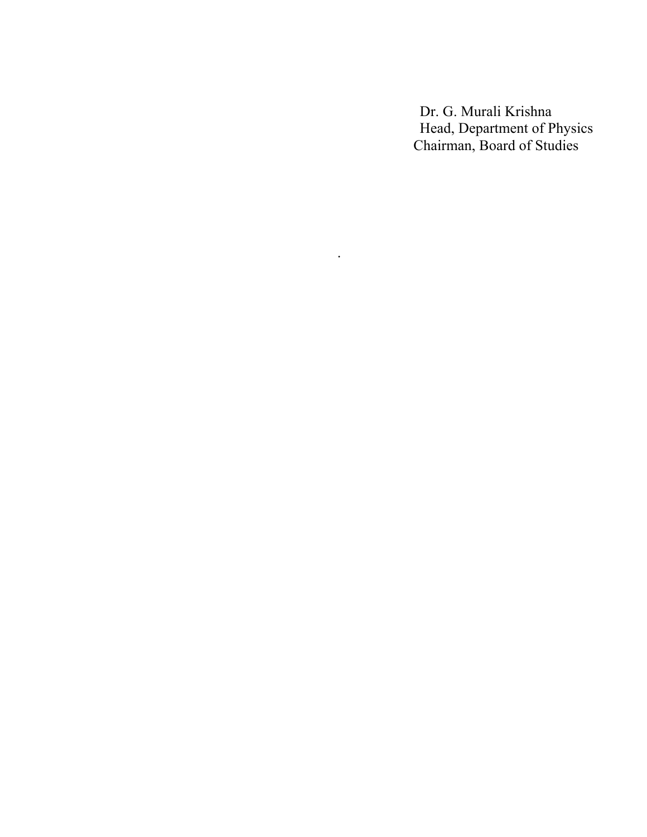Dr. G. Murali Krishna Head, Department of Physics Chairman, Board of Studies

.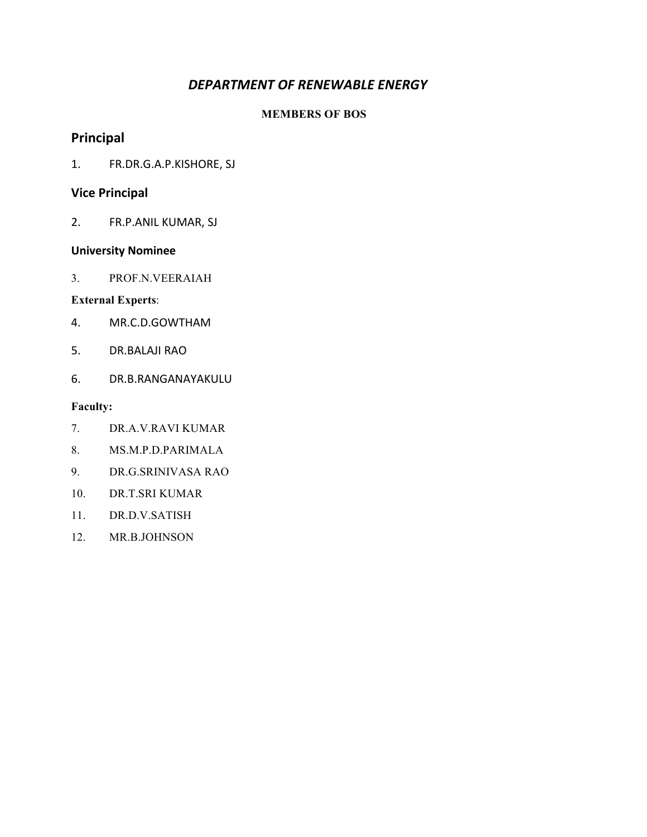#### DEPARTMENT OF RENEWABLE ENERGY

#### **MEMBERS OF BOS**

### **Principal**

1. FR.DR.G.A.P.KISHORE, SJ

#### **Vice Principal**

2. FR.P.ANIL KUMAR, SJ

#### **University Nominee**

3. PROF.N.VEERAIAH

#### **External Experts**:

- 4. MR.C.D.GOWTHAM
- 5. DR.BALAJI RAO
- 6. DR.B.RANGANAYAKULU

- 7. DR.A.V.RAVI KUMAR
- 8. MS.M.P.D.PARIMALA
- 9. DR.G.SRINIVASA RAO
- 10. DR.T.SRI KUMAR
- 11. DR.D.V.SATISH
- 12. MR.B.JOHNSON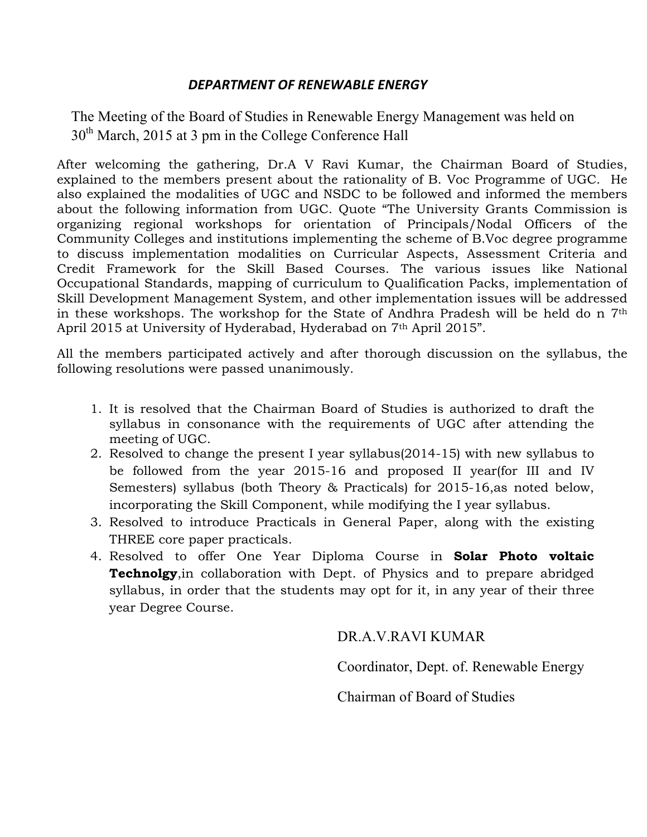#### *DEPARTMENT OF RENEWABLE ENERGY*

The Meeting of the Board of Studies in Renewable Energy Management was held on  $30<sup>th</sup>$  March, 2015 at 3 pm in the College Conference Hall

After welcoming the gathering, Dr.A V Ravi Kumar, the Chairman Board of Studies, explained to the members present about the rationality of B. Voc Programme of UGC. He also explained the modalities of UGC and NSDC to be followed and informed the members about the following information from UGC. Quote "The University Grants Commission is organizing regional workshops for orientation of Principals/Nodal Officers of the Community Colleges and institutions implementing the scheme of B.Voc degree programme to discuss implementation modalities on Curricular Aspects, Assessment Criteria and Credit Framework for the Skill Based Courses. The various issues like National Occupational Standards, mapping of curriculum to Qualification Packs, implementation of Skill Development Management System, and other implementation issues will be addressed in these workshops. The workshop for the State of Andhra Pradesh will be held do n 7th April 2015 at University of Hyderabad, Hyderabad on 7th April 2015".

All the members participated actively and after thorough discussion on the syllabus, the following resolutions were passed unanimously.

- 1. It is resolved that the Chairman Board of Studies is authorized to draft the syllabus in consonance with the requirements of UGC after attending the meeting of UGC.
- 2. Resolved to change the present I year syllabus(2014-15) with new syllabus to be followed from the year 2015-16 and proposed II year(for III and IV Semesters) syllabus (both Theory & Practicals) for 2015-16,as noted below, incorporating the Skill Component, while modifying the I year syllabus.
- 3. Resolved to introduce Practicals in General Paper, along with the existing THREE core paper practicals.
- 4. Resolved to offer One Year Diploma Course in **Solar Photo voltaic Technolgy**,in collaboration with Dept. of Physics and to prepare abridged syllabus, in order that the students may opt for it, in any year of their three year Degree Course.

#### DR.A.V.RAVI KUMAR

Coordinator, Dept. of. Renewable Energy

Chairman of Board of Studies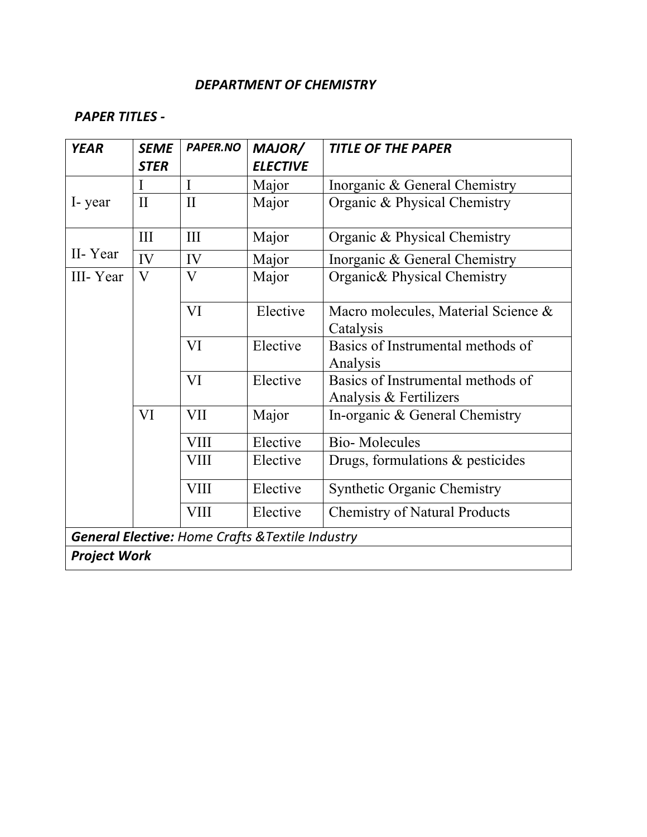#### *DEPARTMENT OF CHEMISTRY*

### *PAPER TITLES -*

| <b>YEAR</b>                                      | <b>SEME</b>  | <b>PAPER.NO</b> | MAJOR/          | <b>TITLE OF THE PAPER</b>                                   |  |
|--------------------------------------------------|--------------|-----------------|-----------------|-------------------------------------------------------------|--|
|                                                  | <b>STER</b>  |                 | <b>ELECTIVE</b> |                                                             |  |
|                                                  | I            | I               | Major           | Inorganic & General Chemistry                               |  |
| I-year                                           | $\mathbf{I}$ | $\mathbf{I}$    | Major           | Organic & Physical Chemistry                                |  |
|                                                  | III          | III             | Major           | Organic & Physical Chemistry                                |  |
| II-Year                                          | IV           | IV              | Major           | Inorganic & General Chemistry                               |  |
| III-Year                                         | $\rm V$      | V               | Major           | Organic & Physical Chemistry                                |  |
|                                                  |              | VI              | Elective        | Macro molecules, Material Science &<br>Catalysis            |  |
|                                                  |              | VI              | Elective        | Basics of Instrumental methods of<br>Analysis               |  |
|                                                  |              | VI              | Elective        | Basics of Instrumental methods of<br>Analysis & Fertilizers |  |
|                                                  | VI           | <b>VII</b>      | Major           | In-organic & General Chemistry                              |  |
|                                                  |              | <b>VIII</b>     | Elective        | <b>Bio-Molecules</b>                                        |  |
|                                                  |              | VIII            | Elective        | Drugs, formulations & pesticides                            |  |
|                                                  |              | <b>VIII</b>     | Elective        | <b>Synthetic Organic Chemistry</b>                          |  |
|                                                  |              | <b>VIII</b>     | Elective        | <b>Chemistry of Natural Products</b>                        |  |
| General Elective: Home Crafts & Textile Industry |              |                 |                 |                                                             |  |
| <b>Project Work</b>                              |              |                 |                 |                                                             |  |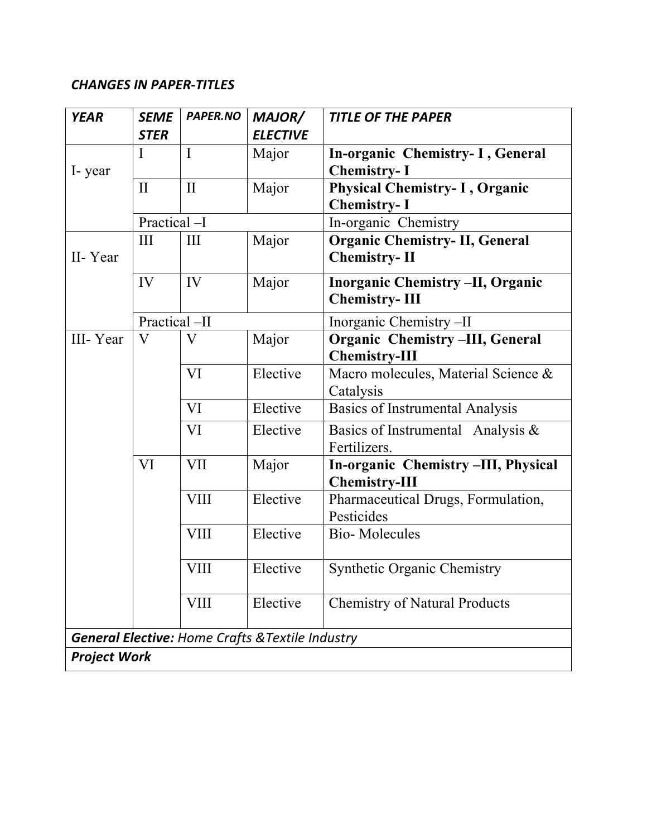# *CHANGES IN PAPER-TITLES*

| <b>YEAR</b>         | <b>SEME</b>                                                 | <b>PAPER.NO</b>         | MAJOR/          | <b>TITLE OF THE PAPER</b>               |  |  |
|---------------------|-------------------------------------------------------------|-------------------------|-----------------|-----------------------------------------|--|--|
|                     | <b>STER</b>                                                 |                         | <b>ELECTIVE</b> |                                         |  |  |
|                     | I                                                           | $\bf{I}$                | Major           | In-organic Chemistry- I, General        |  |  |
| I-year              |                                                             |                         |                 | <b>Chemistry-I</b>                      |  |  |
|                     | $\mathbf{I}$                                                | $\mathbf{I}$            | Major           | <b>Physical Chemistry-I, Organic</b>    |  |  |
|                     |                                                             |                         |                 | <b>Chemistry-I</b>                      |  |  |
|                     | Practical -I                                                |                         |                 | In-organic Chemistry                    |  |  |
|                     | III                                                         | III                     | Major           | <b>Organic Chemistry-II, General</b>    |  |  |
| II-Year             |                                                             |                         |                 | <b>Chemistry-II</b>                     |  |  |
|                     | IV                                                          | IV                      | Major           | <b>Inorganic Chemistry -II, Organic</b> |  |  |
|                     |                                                             |                         |                 | <b>Chemistry-III</b>                    |  |  |
|                     | Practical-II                                                |                         |                 | Inorganic Chemistry -II                 |  |  |
| III-Year            | V                                                           | $\overline{\mathsf{V}}$ | Major           | Organic Chemistry-III, General          |  |  |
|                     |                                                             |                         |                 | <b>Chemistry-III</b>                    |  |  |
|                     |                                                             | VI                      | Elective        | Macro molecules, Material Science &     |  |  |
|                     |                                                             |                         |                 | Catalysis                               |  |  |
|                     |                                                             | VI                      | Elective        | <b>Basics of Instrumental Analysis</b>  |  |  |
|                     |                                                             | VI                      | Elective        | Basics of Instrumental Analysis $\&$    |  |  |
|                     |                                                             |                         |                 | Fertilizers.                            |  |  |
|                     | VI                                                          | <b>VII</b>              | Major           | In-organic Chemistry -III, Physical     |  |  |
|                     |                                                             |                         |                 | <b>Chemistry-III</b>                    |  |  |
|                     |                                                             | <b>VIII</b>             | Elective        | Pharmaceutical Drugs, Formulation,      |  |  |
|                     |                                                             |                         |                 | Pesticides                              |  |  |
|                     |                                                             | <b>VIII</b>             | Elective        | <b>Bio-Molecules</b>                    |  |  |
|                     |                                                             |                         |                 |                                         |  |  |
|                     |                                                             | VIII                    | Elective        | <b>Synthetic Organic Chemistry</b>      |  |  |
|                     |                                                             | VIII                    | Elective        | <b>Chemistry of Natural Products</b>    |  |  |
|                     |                                                             |                         |                 |                                         |  |  |
|                     | <b>General Elective: Home Crafts &amp; Textile Industry</b> |                         |                 |                                         |  |  |
| <b>Project Work</b> |                                                             |                         |                 |                                         |  |  |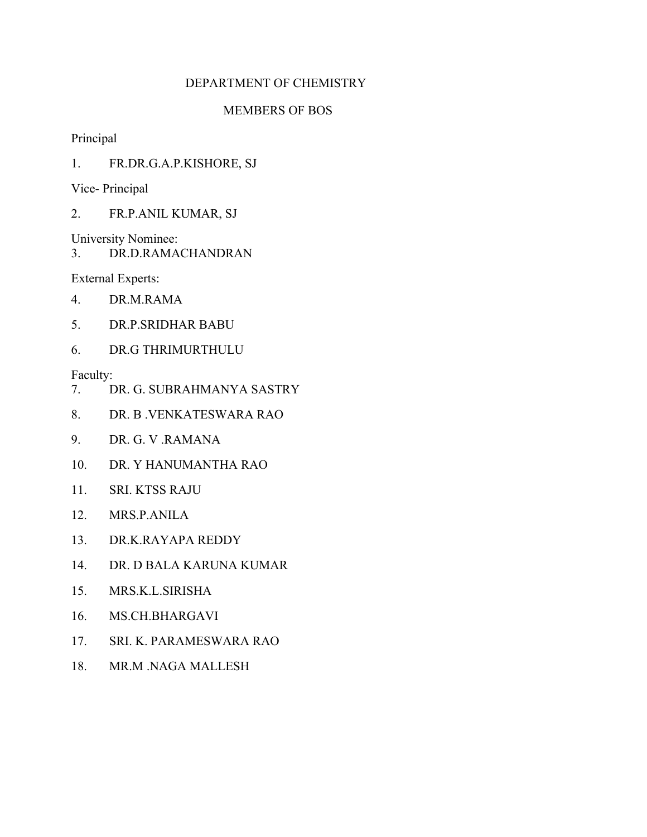#### DEPARTMENT OF CHEMISTRY

#### MEMBERS OF BOS

Principal

1. FR.DR.G.A.P.KISHORE, SJ

Vice- Principal

2. FR.P.ANIL KUMAR, SJ

University Nominee:

3. DR.D.RAMACHANDRAN

External Experts:

- 4. DR.M.RAMA
- 5. DR.P.SRIDHAR BABU
- 6. DR.G THRIMURTHULU

- 7. DR. G. SUBRAHMANYA SASTRY
- 8. DR. B .VENKATESWARA RAO
- 9. DR. G. V .RAMANA
- 10. DR. Y HANUMANTHA RAO
- 11. SRI. KTSS RAJU
- 12. MRS.P.ANILA
- 13. DR.K.RAYAPA REDDY
- 14. DR. D BALA KARUNA KUMAR
- 15. MRS.K.L.SIRISHA
- 16. MS.CH.BHARGAVI
- 17. SRI. K. PARAMESWARA RAO
- 18. MR.M .NAGA MALLESH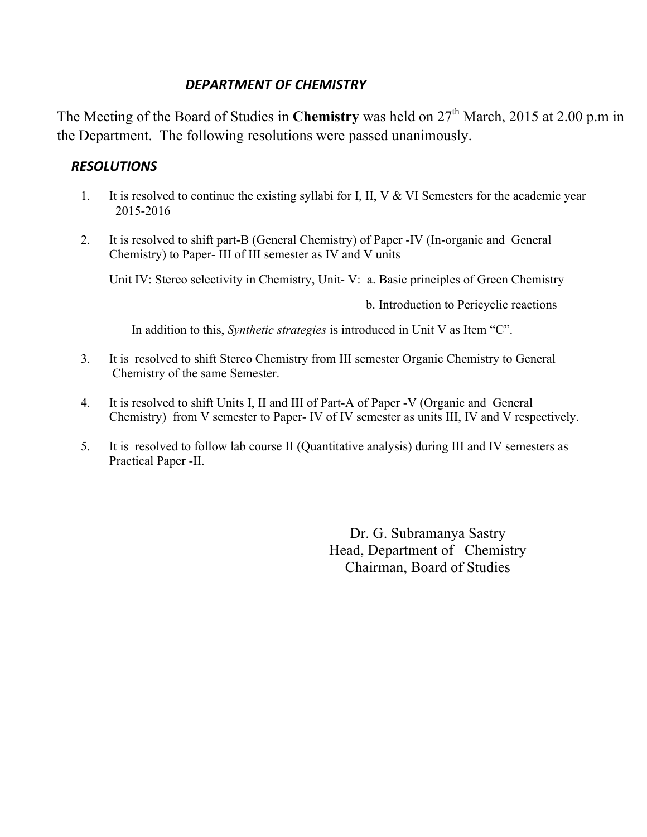#### *DEPARTMENT OF CHEMISTRY*

The Meeting of the Board of Studies in **Chemistry** was held on 27<sup>th</sup> March, 2015 at 2.00 p.m in the Department. The following resolutions were passed unanimously.

#### *RESOLUTIONS*

- 1. It is resolved to continue the existing syllabi for I, II, V & VI Semesters for the academic year 2015-2016
- 2. It is resolved to shift part-B (General Chemistry) of Paper -IV (In-organic and General Chemistry) to Paper- III of III semester as IV and V units

Unit IV: Stereo selectivity in Chemistry, Unit- V: a. Basic principles of Green Chemistry

b. Introduction to Pericyclic reactions

In addition to this, *Synthetic strategies* is introduced in Unit V as Item "C".

- 3. It is resolved to shift Stereo Chemistry from III semester Organic Chemistry to General Chemistry of the same Semester.
- 4. It is resolved to shift Units I, II and III of Part-A of Paper -V (Organic and General Chemistry) from V semester to Paper- IV of IV semester as units III, IV and V respectively.
- 5. It is resolved to follow lab course II (Quantitative analysis) during III and IV semesters as Practical Paper -II.

Dr. G. Subramanya Sastry Head, Department of Chemistry Chairman, Board of Studies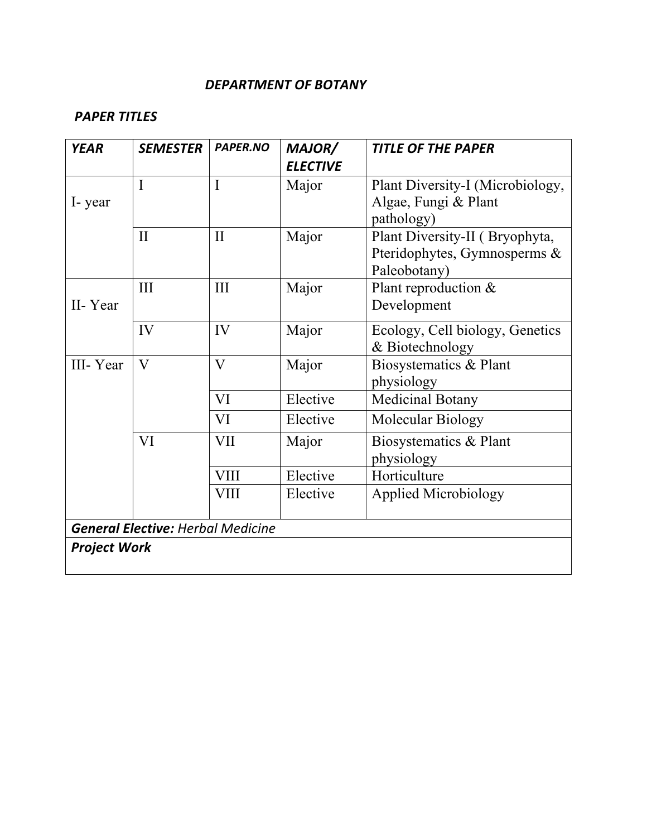#### *DEPARTMENT OF BOTANY*

### *PAPER TITLES*

| <b>YEAR</b>         | <b>SEMESTER</b>                          | <b>PAPER.NO</b> | MAJOR/<br><b>ELECTIVE</b> | <b>TITLE OF THE PAPER</b>                    |
|---------------------|------------------------------------------|-----------------|---------------------------|----------------------------------------------|
|                     | I                                        | $\mathbf I$     | Major                     | Plant Diversity-I (Microbiology,             |
| I-year              |                                          |                 |                           | Algae, Fungi & Plant<br>pathology)           |
|                     | $\mathbf{I}$                             | $\mathbf{I}$    | Major                     | Plant Diversity-II (Bryophyta,               |
|                     |                                          |                 |                           | Pteridophytes, Gymnosperms &<br>Paleobotany) |
|                     | III                                      | III             | Major                     | Plant reproduction &                         |
| II-Year             |                                          |                 |                           | Development                                  |
|                     | IV                                       | IV              | Major                     | Ecology, Cell biology, Genetics              |
|                     |                                          |                 |                           | & Biotechnology                              |
| III-Year            | $\mathbf{V}$                             | $\mathbf{V}$    | Major                     | Biosystematics & Plant<br>physiology         |
|                     |                                          | VI              | Elective                  | <b>Medicinal Botany</b>                      |
|                     |                                          | VI              | Elective                  | Molecular Biology                            |
|                     | VI                                       | <b>VII</b>      | Major                     | Biosystematics & Plant                       |
|                     |                                          |                 |                           | physiology                                   |
|                     |                                          | <b>VIII</b>     | Elective                  | Horticulture                                 |
|                     |                                          | <b>VIII</b>     | Elective                  | <b>Applied Microbiology</b>                  |
|                     | <b>General Elective: Herbal Medicine</b> |                 |                           |                                              |
| <b>Project Work</b> |                                          |                 |                           |                                              |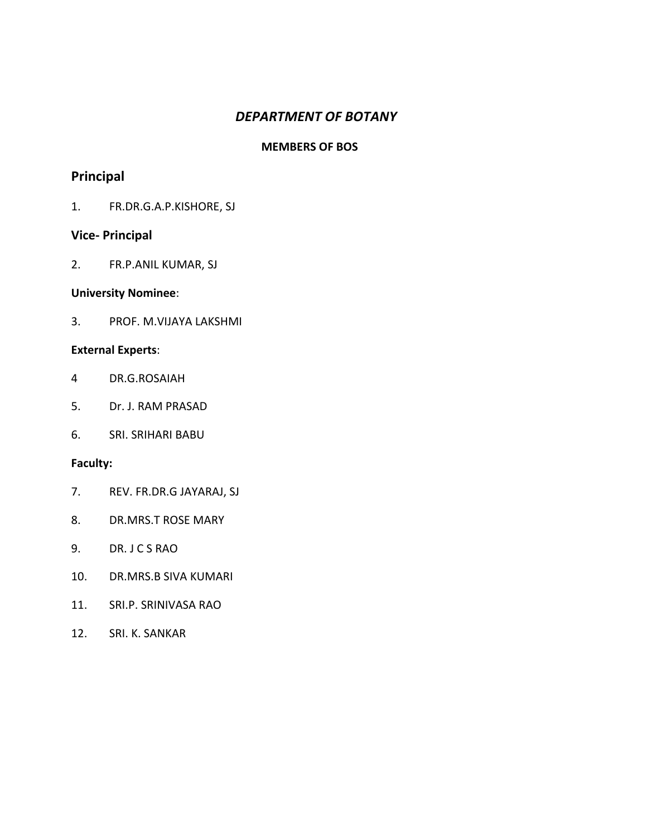#### *DEPARTMENT OF BOTANY*

#### **MEMBERS OF BOS**

## **Principal**

1. FR.DR.G.A.P.KISHORE, SJ

#### **Vice- Principal**

2. FR.P.ANIL KUMAR, SJ

#### **University Nominee**:

3. PROF. M.VIJAYA LAKSHMI

#### **External Experts**:

- 4 DR.G.ROSAIAH
- 5. Dr. J. RAM PRASAD
- 6. SRI. SRIHARI BABU

- 7. REV. FR.DR.G JAYARAJ, SJ
- 8. DR.MRS.T ROSE MARY
- 9. DR. J C S RAO
- 10. DR.MRS.B SIVA KUMARI
- 11. SRI.P. SRINIVASA RAO
- 12. SRI. K. SANKAR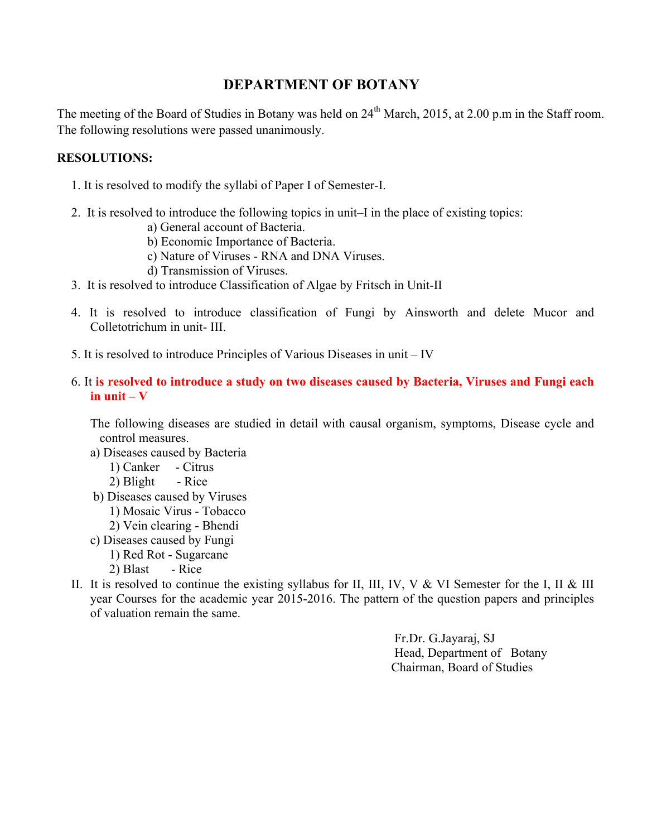### **DEPARTMENT OF BOTANY**

The meeting of the Board of Studies in Botany was held on 24<sup>th</sup> March, 2015, at 2.00 p.m in the Staff room. The following resolutions were passed unanimously.

#### **RESOLUTIONS:**

- 1. It is resolved to modify the syllabi of Paper I of Semester-I.
- 2. It is resolved to introduce the following topics in unit–I in the place of existing topics:
	- a) General account of Bacteria.
	- b) Economic Importance of Bacteria.
	- c) Nature of Viruses RNA and DNA Viruses.
	- d) Transmission of Viruses.
- 3. It is resolved to introduce Classification of Algae by Fritsch in Unit-II
- 4. It is resolved to introduce classification of Fungi by Ainsworth and delete Mucor and Colletotrichum in unit- III.
- 5. It is resolved to introduce Principles of Various Diseases in unit IV
- 6. It **is resolved to introduce a study on two diseases caused by Bacteria, Viruses and Fungi each**   $i$ **n** unit  $-\mathbf{V}$

The following diseases are studied in detail with causal organism, symptoms, Disease cycle and control measures.

- a) Diseases caused by Bacteria
	- 1) Canker Citrus
	- 2) Blight Rice
- b) Diseases caused by Viruses
	- 1) Mosaic Virus Tobacco
	- 2) Vein clearing Bhendi
- c) Diseases caused by Fungi
	- 1) Red Rot Sugarcane
	- $2)$  Blast Rice
- II. It is resolved to continue the existing syllabus for II, III, IV, V & VI Semester for the I, II & III year Courses for the academic year 2015-2016. The pattern of the question papers and principles of valuation remain the same.

Fr.Dr. G.Jayaraj, SJ Head, Department of Botany Chairman, Board of Studies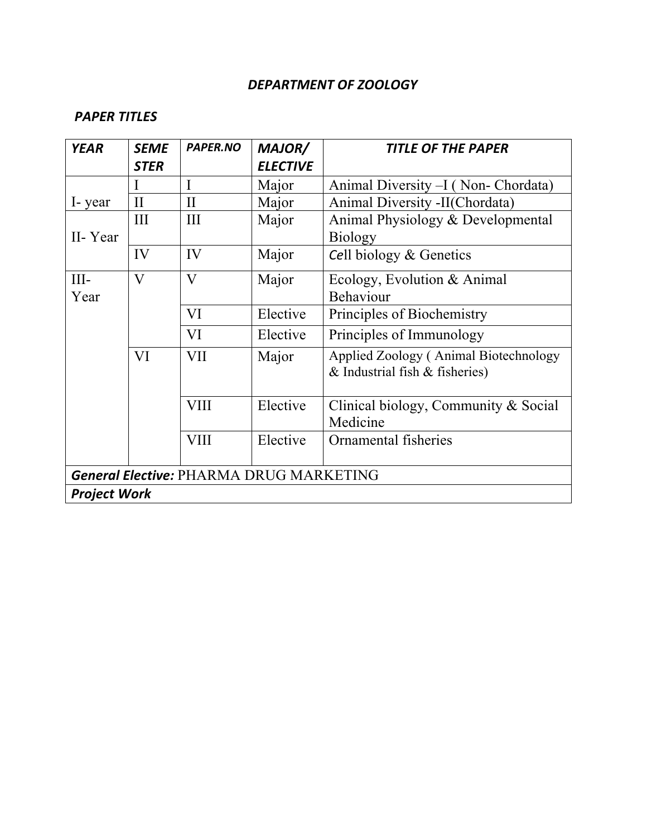### *DEPARTMENT OF ZOOLOGY*

| <b>YEAR</b>         | <b>SEME</b><br><b>STER</b>                     | PAPER.NO    | <b>MAJOR/</b><br><b>ELECTIVE</b> | <b>TITLE OF THE PAPER</b>                                                   |  |
|---------------------|------------------------------------------------|-------------|----------------------------------|-----------------------------------------------------------------------------|--|
|                     | I                                              | I           | Major                            | Animal Diversity - I (Non- Chordata)                                        |  |
| I-year              | $\mathbf{I}$                                   | $\rm II$    | Major                            | Animal Diversity -II(Chordata)                                              |  |
|                     | III                                            | III         | Major                            | Animal Physiology & Developmental                                           |  |
| II-Year             |                                                |             |                                  | <b>Biology</b>                                                              |  |
|                     | IV                                             | IV          | Major                            | Cell biology & Genetics                                                     |  |
| $III -$             | V                                              | V           | Major                            | Ecology, Evolution & Animal                                                 |  |
| Year                |                                                |             |                                  | Behaviour                                                                   |  |
|                     |                                                | VI          | Elective                         | Principles of Biochemistry                                                  |  |
|                     |                                                | VI          | Elective                         | Principles of Immunology                                                    |  |
|                     | VI                                             | VII         | Major                            | Applied Zoology (Animal Biotechnology<br>$&$ Industrial fish $&$ fisheries) |  |
|                     |                                                | <b>VIII</b> | Elective                         | Clinical biology, Community $& Social$<br>Medicine                          |  |
|                     |                                                | <b>VIII</b> | Elective                         | Ornamental fisheries                                                        |  |
|                     | <b>General Elective: PHARMA DRUG MARKETING</b> |             |                                  |                                                                             |  |
| <b>Project Work</b> |                                                |             |                                  |                                                                             |  |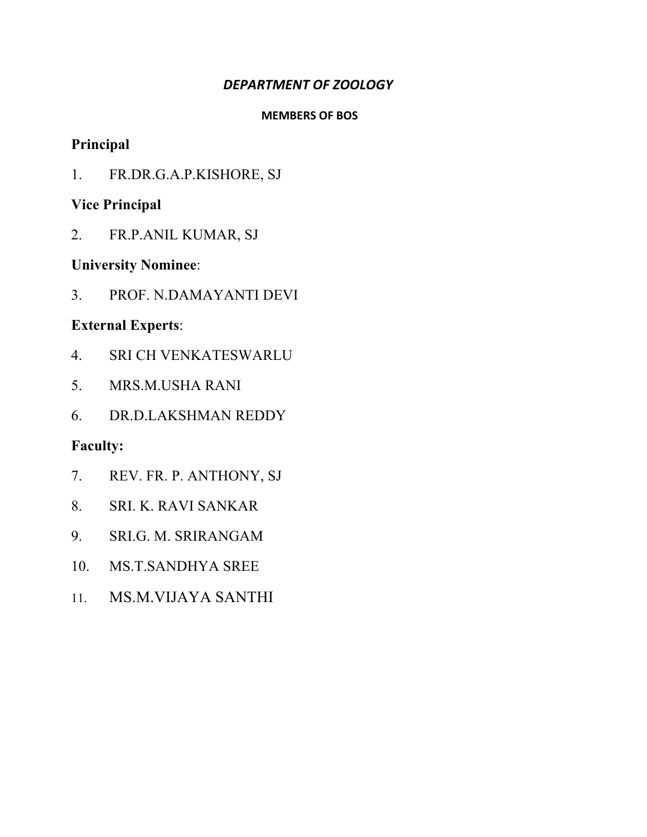#### *DEPARTMENT OF ZOOLOGY*

#### **MEMBERS OF BOS**

### **Principal**

1. FR.DR.G.A.P.KISHORE, SJ

### **Vice Principal**

2. FR.P.ANIL KUMAR, SJ

### **University Nominee**:

3. PROF. N.DAMAYANTI DEVI

### **External Experts**:

- 4. SRI CH VENKATESWARLU
- 5. MRS.M.USHA RANI
- 6. DR.D.LAKSHMAN REDDY

- 7. REV. FR. P. ANTHONY, SJ
- 8. SRI. K. RAVI SANKAR
- 9. SRI.G. M. SRIRANGAM
- 10. MS.T.SANDHYA SREE
- 11. MS.M.VIJAYA SANTHI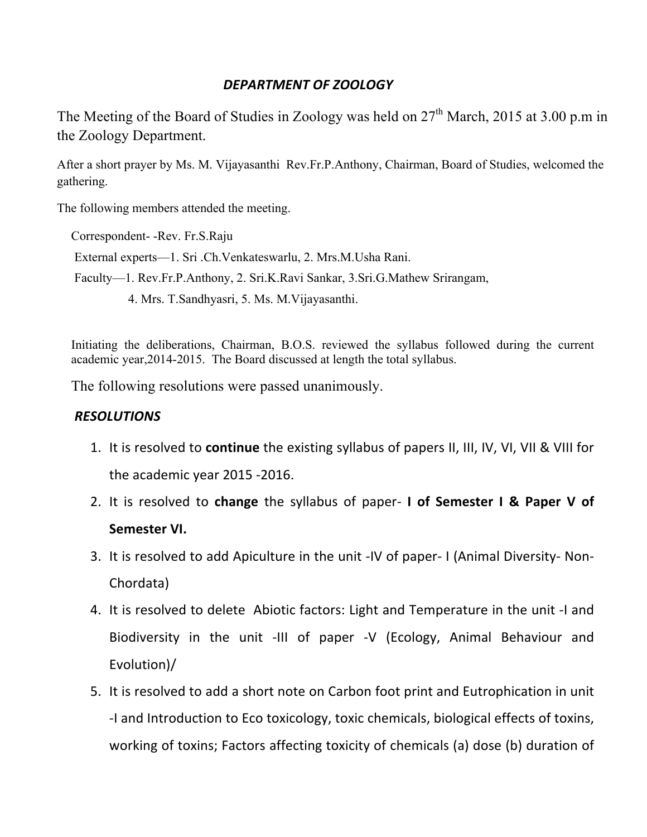### *DEPARTMENT OF ZOOLOGY*

The Meeting of the Board of Studies in Zoology was held on  $27<sup>th</sup>$  March, 2015 at 3.00 p.m in the Zoology Department.

After a short prayer by Ms. M. Vijayasanthi Rev.Fr.P.Anthony, Chairman, Board of Studies, welcomed the gathering.

The following members attended the meeting.

Correspondent- -Rev. Fr.S.Raju

External experts—1. Sri .Ch.Venkateswarlu, 2. Mrs.M.Usha Rani.

Faculty—1. Rev.Fr.P.Anthony, 2. Sri.K.Ravi Sankar, 3.Sri.G.Mathew Srirangam,

4. Mrs. T.Sandhyasri, 5. Ms. M.Vijayasanthi.

Initiating the deliberations, Chairman, B.O.S. reviewed the syllabus followed during the current academic year,2014-2015. The Board discussed at length the total syllabus.

The following resolutions were passed unanimously.

### *RESOLUTIONS*

- 1. It is resolved to **continue** the existing syllabus of papers II, III, IV, VI, VII & VIII for the academic year 2015 -2016.
- 2. It is resolved to change the syllabus of paper- I of Semester I & Paper V of Semester VI.
- 3. It is resolved to add Apiculture in the unit -IV of paper- I (Animal Diversity- Non-Chordata)
- 4. It is resolved to delete Abiotic factors: Light and Temperature in the unit -I and Biodiversity in the unit -III of paper -V (Ecology, Animal Behaviour and Evolution)/
- 5. It is resolved to add a short note on Carbon foot print and Eutrophication in unit -I and Introduction to Eco toxicology, toxic chemicals, biological effects of toxins, working of toxins; Factors affecting toxicity of chemicals (a) dose (b) duration of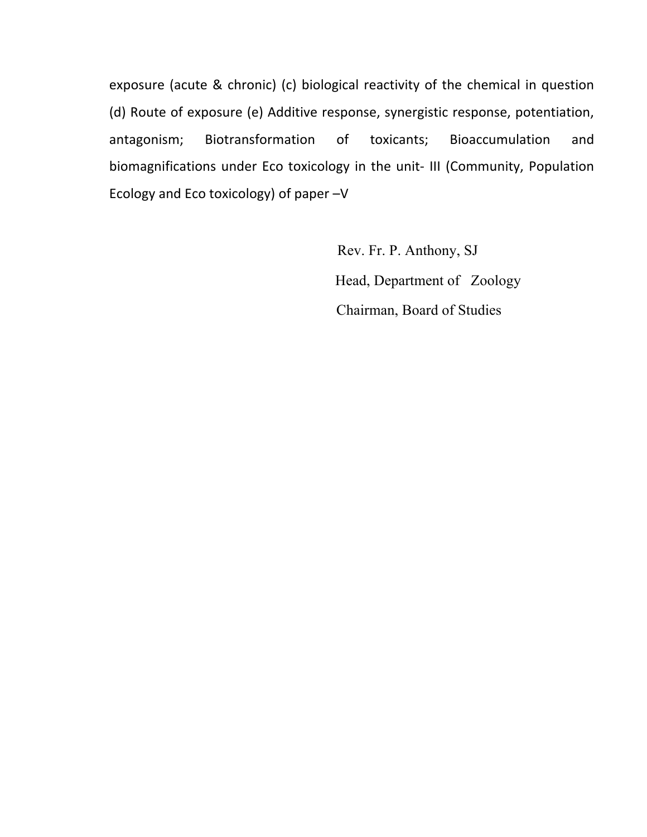exposure (acute & chronic) (c) biological reactivity of the chemical in question (d) Route of exposure (e) Additive response, synergistic response, potentiation, antagonism; Biotransformation of toxicants; Bioaccumulation and biomagnifications under Eco toxicology in the unit- III (Community, Population Ecology and Eco toxicology) of paper -V

> Rev. Fr. P. Anthony, SJ Head, Department of Zoology Chairman, Board of Studies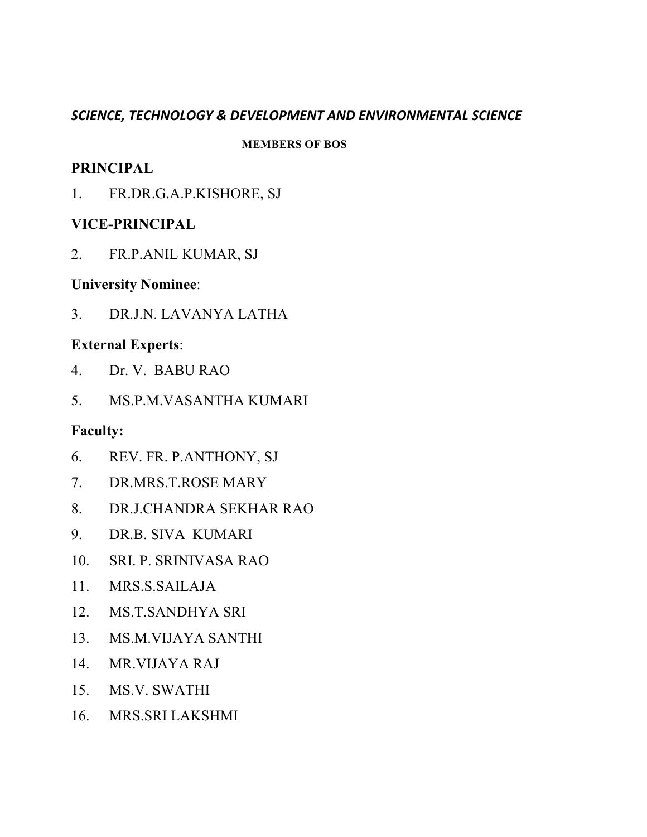#### *SCIENCE, TECHNOLOGY & DEVELOPMENT AND ENVIRONMENTAL SCIENCE*

#### **MEMBERS OF BOS**

### **PRINCIPAL**

1. FR.DR.G.A.P.KISHORE, SJ

### **VICE-PRINCIPAL**

2. FR.P.ANIL KUMAR, SJ

### **University Nominee**:

3. DR.J.N. LAVANYA LATHA

### **External Experts**:

- 4. Dr. V. BABU RAO
- 5. MS.P.M.VASANTHA KUMARI

- 6. REV. FR. P.ANTHONY, SJ
- 7. DR.MRS.T.ROSE MARY
- 8. DR.J.CHANDRA SEKHAR RAO
- 9. DR.B. SIVA KUMARI
- 10. SRI. P. SRINIVASA RAO
- 11. MRS.S.SAILAJA
- 12. MS.T.SANDHYA SRI
- 13. MS.M.VIJAYA SANTHI
- 14. MR.VIJAYA RAJ
- 15. MS.V. SWATHI
- 16. MRS.SRI LAKSHMI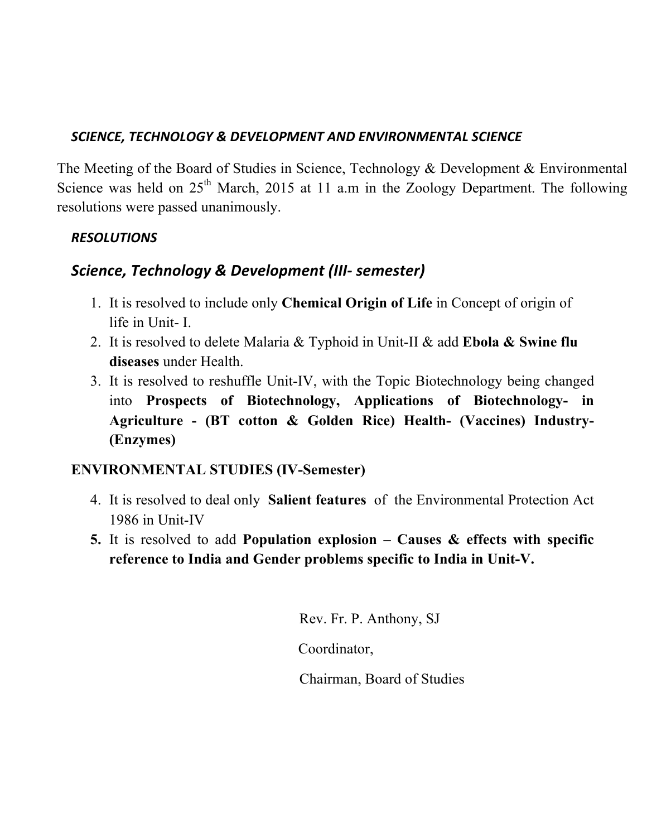### *SCIENCE, TECHNOLOGY & DEVELOPMENT AND ENVIRONMENTAL SCIENCE*

The Meeting of the Board of Studies in Science, Technology & Development & Environmental Science was held on  $25<sup>th</sup>$  March, 2015 at 11 a.m in the Zoology Department. The following resolutions were passed unanimously.

## *RESOLUTIONS*

# **Science, Technology & Development (III- semester)**

- 1. It is resolved to include only **Chemical Origin of Life** in Concept of origin of life in Unit- I.
- 2. It is resolved to delete Malaria & Typhoid in Unit-II & add **Ebola & Swine flu diseases** under Health.
- 3. It is resolved to reshuffle Unit-IV, with the Topic Biotechnology being changed into **Prospects of Biotechnology, Applications of Biotechnology- in Agriculture - (BT cotton & Golden Rice) Health- (Vaccines) Industry- (Enzymes)**

## **ENVIRONMENTAL STUDIES (IV-Semester)**

- 4. It is resolved to deal only **Salient features** ofthe Environmental Protection Act 1986 in Unit-IV
- **5.** It is resolved to add **Population explosion – Causes & effects with specific reference to India and Gender problems specific to India in Unit-V.**

Rev. Fr. P. Anthony, SJ

Coordinator,

Chairman, Board of Studies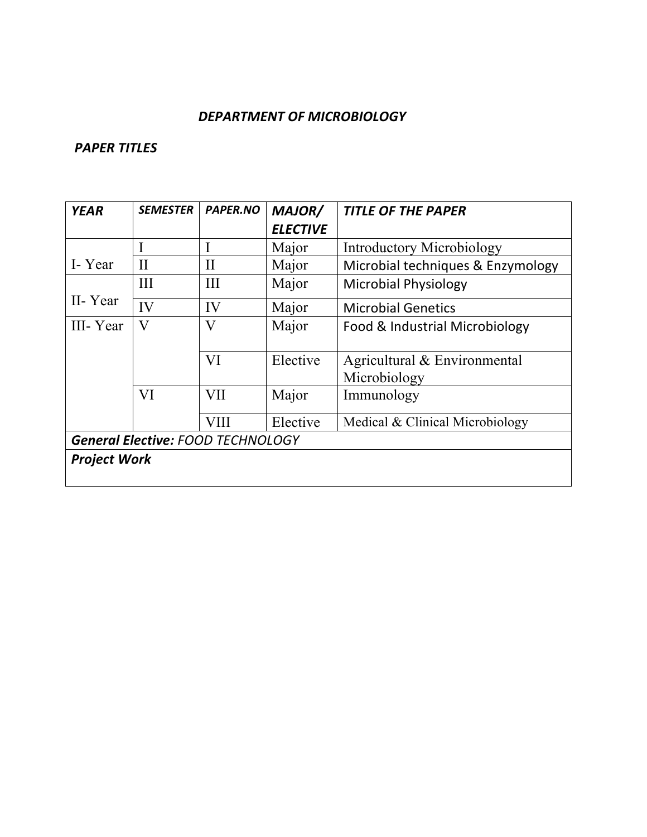#### DEPARTMENT OF MICROBIOLOGY

| <b>YEAR</b>                              | <b>SEMESTER</b> | <b>PAPER.NO</b> | <b>MAJOR/</b>   | <b>TITLE OF THE PAPER</b>                    |
|------------------------------------------|-----------------|-----------------|-----------------|----------------------------------------------|
|                                          |                 |                 | <b>ELECTIVE</b> |                                              |
|                                          |                 | I               | Major           | Introductory Microbiology                    |
| I-Year                                   | $\mathbf{I}$    | $\mathbf{I}$    | Major           | Microbial techniques & Enzymology            |
|                                          | Ш               | III             | Major           | <b>Microbial Physiology</b>                  |
| II-Year                                  | IV              | IV              | Major           | <b>Microbial Genetics</b>                    |
| III-Year                                 | V               | V               | Major           | Food & Industrial Microbiology               |
|                                          |                 | VI              | Elective        | Agricultural & Environmental<br>Microbiology |
|                                          | VI              | <b>VII</b>      | Major           | Immunology                                   |
|                                          |                 | <b>VIII</b>     | Elective        | Medical & Clinical Microbiology              |
| <b>General Elective: FOOD TECHNOLOGY</b> |                 |                 |                 |                                              |
| <b>Project Work</b>                      |                 |                 |                 |                                              |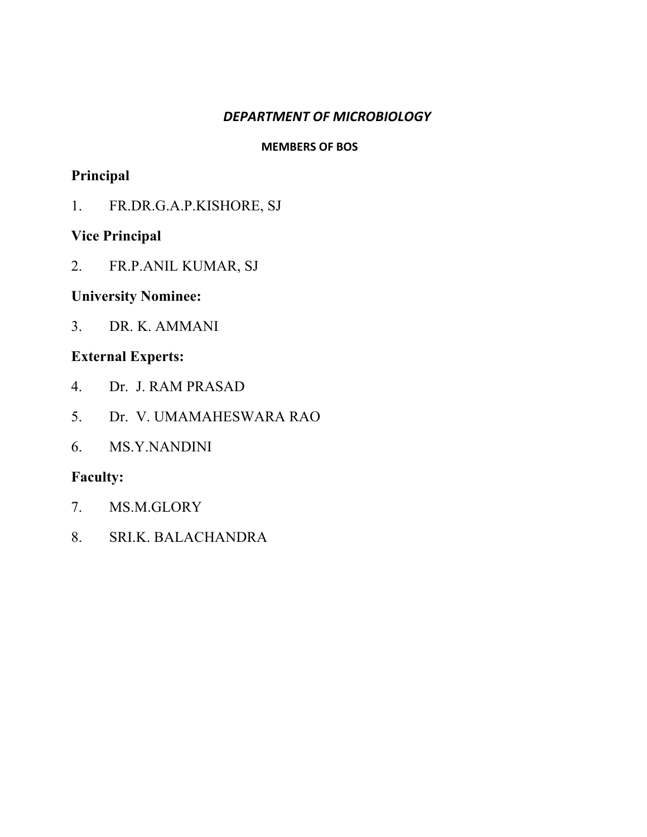### *DEPARTMENT OF MICROBIOLOGY*

#### **MEMBERS OF BOS**

## **Principal**

1. FR.DR.G.A.P.KISHORE, SJ

### **Vice Principal**

2. FR.P.ANIL KUMAR, SJ

### **University Nominee:**

3. DR. K. AMMANI

## **External Experts:**

- 4. Dr. J. RAM PRASAD
- 5. Dr. V. UMAMAHESWARA RAO
- 6. MS.Y.NANDINI

- 7. MS.M.GLORY
- 8. SRI.K. BALACHANDRA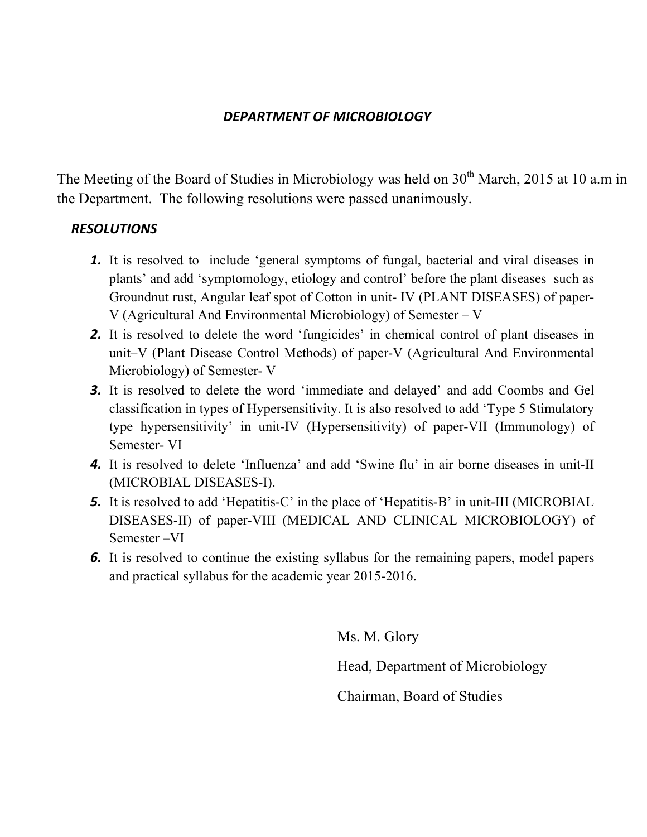#### *DEPARTMENT OF MICROBIOLOGY*

The Meeting of the Board of Studies in Microbiology was held on 30<sup>th</sup> March, 2015 at 10 a.m in the Department. The following resolutions were passed unanimously.

#### *RESOLUTIONS*

- *1.* It is resolved to include 'general symptoms of fungal, bacterial and viral diseases in plants' and add 'symptomology, etiology and control' before the plant diseases such as Groundnut rust, Angular leaf spot of Cotton in unit- IV (PLANT DISEASES) of paper-V (Agricultural And Environmental Microbiology) of Semester – V
- **2.** It is resolved to delete the word 'fungicides' in chemical control of plant diseases in unit–V (Plant Disease Control Methods) of paper-V (Agricultural And Environmental Microbiology) of Semester- V
- *3.* It is resolved to delete the word 'immediate and delayed' and add Coombs and Gel classification in types of Hypersensitivity. It is also resolved to add 'Type 5 Stimulatory type hypersensitivity' in unit-IV (Hypersensitivity) of paper-VII (Immunology) of Semester- VI
- *4.* It is resolved to delete 'Influenza' and add 'Swine flu' in air borne diseases in unit-II (MICROBIAL DISEASES-I).
- **5.** It is resolved to add 'Hepatitis-C' in the place of 'Hepatitis-B' in unit-III (MICROBIAL DISEASES-II) of paper-VIII (MEDICAL AND CLINICAL MICROBIOLOGY) of Semester –VI
- *6.* It is resolved to continue the existing syllabus for the remaining papers, model papers and practical syllabus for the academic year 2015-2016.

Ms. M. Glory Head, Department of Microbiology Chairman, Board of Studies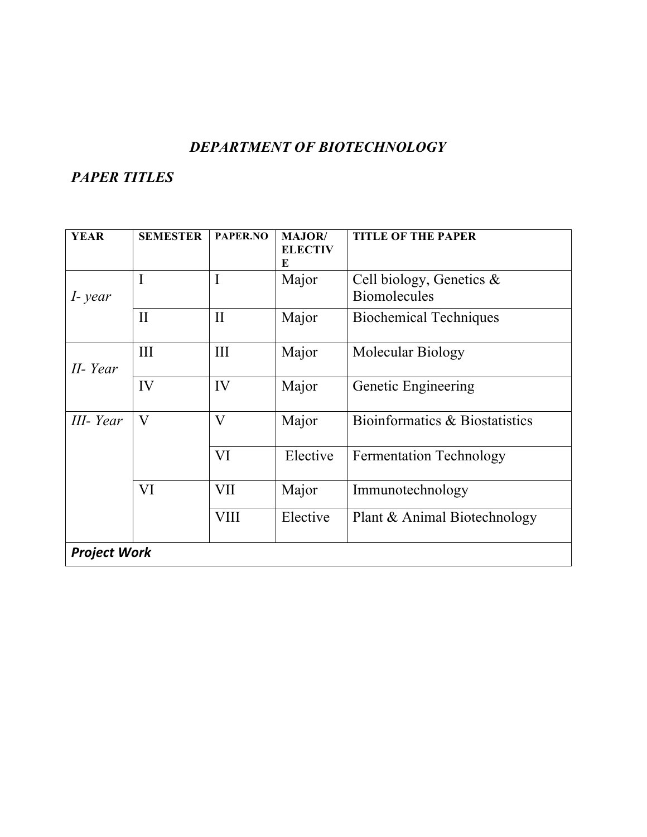### *DEPARTMENT OF BIOTECHNOLOGY*

| <b>YEAR</b>         | <b>SEMESTER</b> | PAPER.NO                | <b>MAJOR</b> /<br><b>ELECTIV</b> | <b>TITLE OF THE PAPER</b>      |
|---------------------|-----------------|-------------------------|----------------------------------|--------------------------------|
|                     |                 |                         | E                                |                                |
|                     | I               | $\mathbf I$             | Major                            | Cell biology, Genetics $\&$    |
| I-year              |                 |                         |                                  | <b>Biomolecules</b>            |
|                     | $\mathbf{I}$    | $\mathbf{I}$            | Major                            | <b>Biochemical Techniques</b>  |
| II-Year             | III             | III                     | Major                            | Molecular Biology              |
|                     | IV              | IV                      | Major                            | Genetic Engineering            |
| III- Year           | V               | $\overline{\mathsf{V}}$ | Major                            | Bioinformatics & Biostatistics |
|                     |                 | VI                      | Elective                         | <b>Fermentation Technology</b> |
|                     | VI              | <b>VII</b>              | Major                            | Immunotechnology               |
|                     |                 | <b>VIII</b>             | Elective                         | Plant & Animal Biotechnology   |
| <b>Project Work</b> |                 |                         |                                  |                                |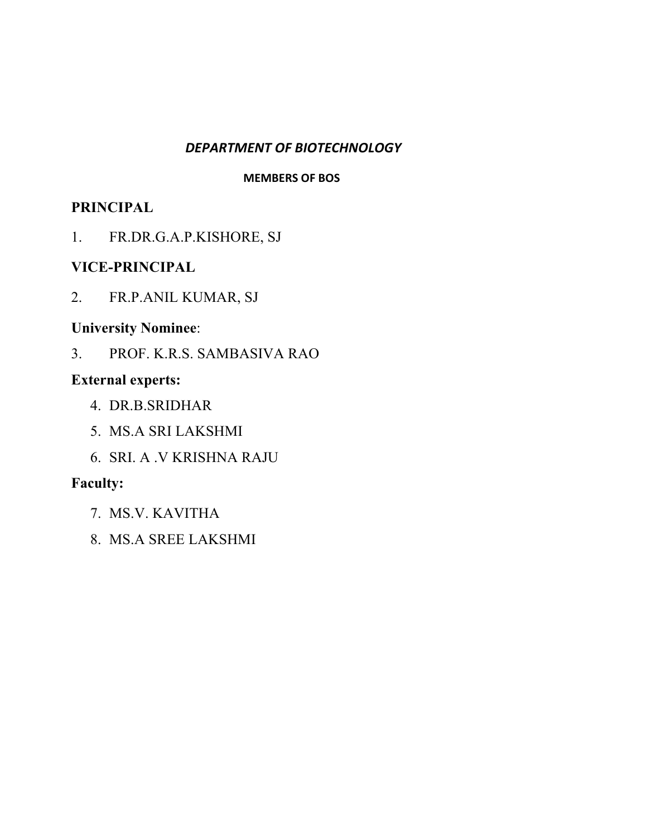#### *DEPARTMENT OF BIOTECHNOLOGY*

#### **MEMBERS OF BOS**

### **PRINCIPAL**

1. FR.DR.G.A.P.KISHORE, SJ

### **VICE-PRINCIPAL**

2. FR.P.ANIL KUMAR, SJ

### **University Nominee**:

3. PROF. K.R.S. SAMBASIVA RAO

## **External experts:**

- 4. DR.B.SRIDHAR
- 5. MS.A SRI LAKSHMI
- 6. SRI. A .V KRISHNA RAJU

- 7. MS.V. KAVITHA
- 8. MS.A SREE LAKSHMI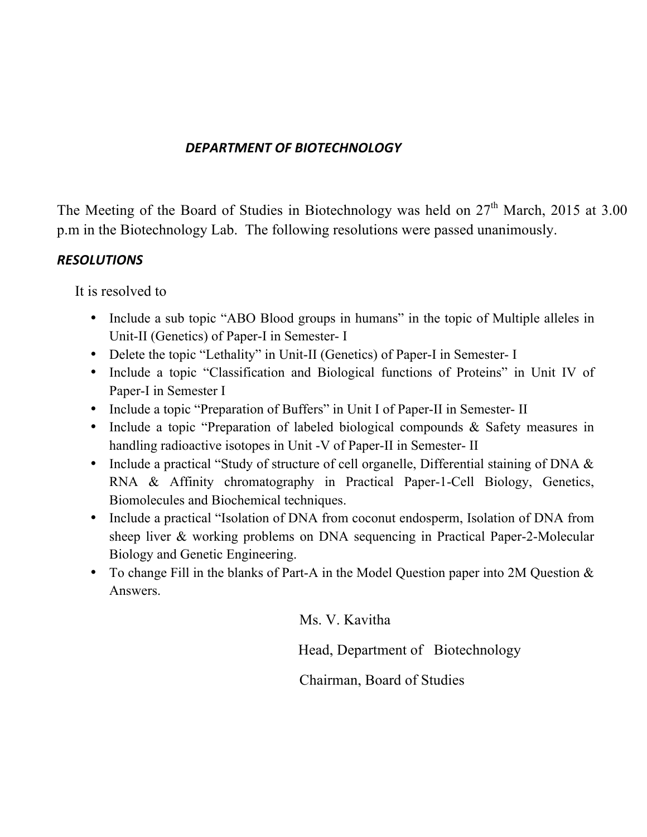### *DEPARTMENT OF BIOTECHNOLOGY*

The Meeting of the Board of Studies in Biotechnology was held on  $27<sup>th</sup>$  March, 2015 at 3.00 p.m in the Biotechnology Lab. The following resolutions were passed unanimously.

### *RESOLUTIONS*

It is resolved to

- Include a sub topic "ABO Blood groups in humans" in the topic of Multiple alleles in Unit-II (Genetics) of Paper-I in Semester- I
- Delete the topic "Lethality" in Unit-II (Genetics) of Paper-I in Semester- I
- Include a topic "Classification and Biological functions of Proteins" in Unit IV of Paper-I in Semester I
- Include a topic "Preparation of Buffers" in Unit I of Paper-II in Semester- II
- Include a topic "Preparation of labeled biological compounds & Safety measures in handling radioactive isotopes in Unit -V of Paper-II in Semester- II
- Include a practical "Study of structure of cell organelle, Differential staining of DNA & RNA & Affinity chromatography in Practical Paper-1-Cell Biology, Genetics, Biomolecules and Biochemical techniques.
- Include a practical "Isolation of DNA from coconut endosperm, Isolation of DNA from sheep liver & working problems on DNA sequencing in Practical Paper-2-Molecular Biology and Genetic Engineering.
- To change Fill in the blanks of Part-A in the Model Question paper into  $2M$  Question  $\&$ Answers.

Ms. V. Kavitha

Head, Department of Biotechnology

Chairman, Board of Studies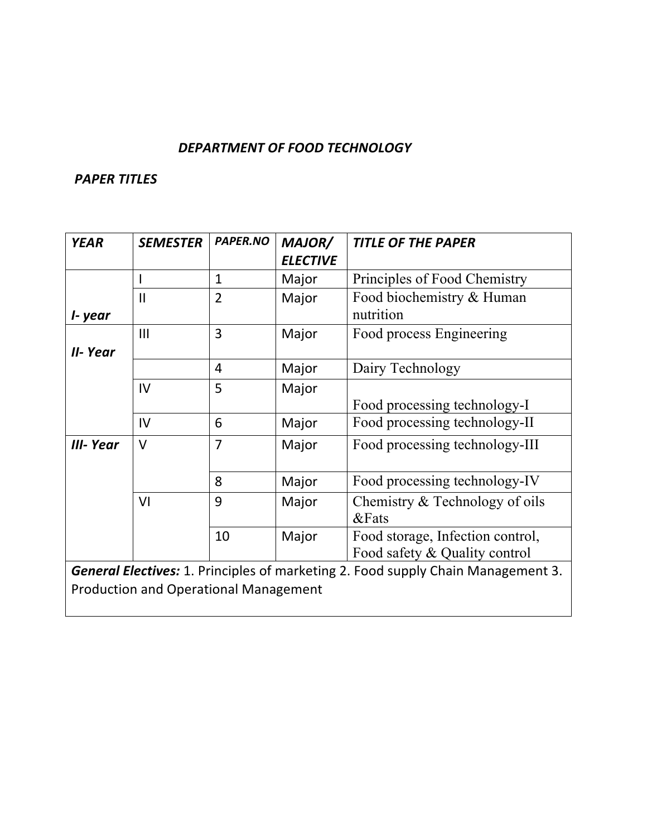#### DEPARTMENT OF FOOD TECHNOLOGY

| <b>YEAR</b> | <b>SEMESTER</b>                              | PAPER.NO       | MAJOR/          | <b>TITLE OF THE PAPER</b>                                                               |  |
|-------------|----------------------------------------------|----------------|-----------------|-----------------------------------------------------------------------------------------|--|
|             |                                              |                | <b>ELECTIVE</b> |                                                                                         |  |
|             |                                              | $\mathbf{1}$   | Major           | Principles of Food Chemistry                                                            |  |
|             | $\mathbf{II}$                                | $\overline{2}$ | Major           | Food biochemistry & Human                                                               |  |
| I- year     |                                              |                |                 | nutrition                                                                               |  |
|             | III                                          | $\overline{3}$ | Major           | Food process Engineering                                                                |  |
| II-Year     |                                              |                |                 |                                                                                         |  |
|             |                                              | 4              | Major           | Dairy Technology                                                                        |  |
|             | IV                                           | 5              | Major           |                                                                                         |  |
|             |                                              |                |                 | Food processing technology-I                                                            |  |
|             | IV                                           | 6              | Major           | Food processing technology-II                                                           |  |
| III- Year   | $\vee$                                       | $\overline{7}$ | Major           | Food processing technology-III                                                          |  |
|             |                                              | 8              | Major           | Food processing technology-IV                                                           |  |
|             | VI                                           | 9              | Major           | Chemistry $&$ Technology of oils<br><b>&amp;Fats</b>                                    |  |
|             |                                              | 10             | Major           | Food storage, Infection control,<br>Food safety & Quality control                       |  |
|             |                                              |                |                 | <b>General Electives:</b> 1. Principles of marketing 2. Food supply Chain Management 3. |  |
|             | <b>Production and Operational Management</b> |                |                 |                                                                                         |  |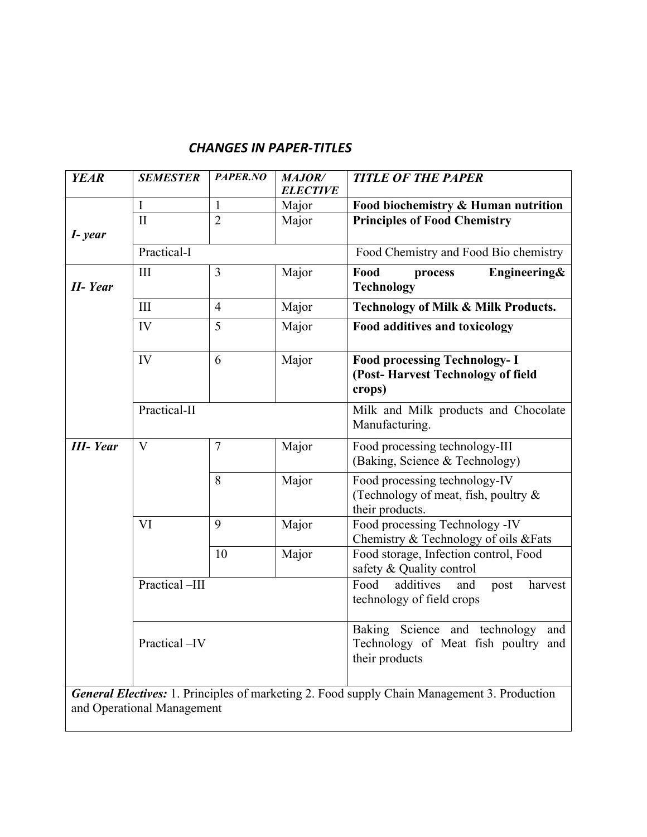### *CHANGES IN PAPER-TITLES*

| <b>YEAR</b>     | <b>SEMESTER</b> | PAPER.NO       | <b>MAJOR/</b><br><b>ELECTIVE</b> | <b>TITLE OF THE PAPER</b>                                                                     |
|-----------------|-----------------|----------------|----------------------------------|-----------------------------------------------------------------------------------------------|
|                 | I               | $\mathbf{1}$   | Major                            | Food biochemistry & Human nutrition                                                           |
| I-year          | $\Pi$           | $\overline{2}$ | Major                            | <b>Principles of Food Chemistry</b>                                                           |
|                 | Practical-I     |                |                                  | Food Chemistry and Food Bio chemistry                                                         |
| <b>II-Year</b>  | III             | $\overline{3}$ | Major                            | Food<br>Engineering&<br>process<br><b>Technology</b>                                          |
|                 | III             | $\overline{4}$ | Major                            | <b>Technology of Milk &amp; Milk Products.</b>                                                |
|                 | IV              | 5              | Major                            | <b>Food additives and toxicology</b>                                                          |
|                 | IV              | 6              | Major                            | <b>Food processing Technology- I</b><br>(Post-Harvest Technology of field<br>crops)           |
|                 | Practical-II    |                |                                  | Milk and Milk products and Chocolate<br>Manufacturing.                                        |
| <b>III-Year</b> | $\mathbf{V}$    | $\overline{7}$ | Major                            | Food processing technology-III<br>(Baking, Science & Technology)                              |
|                 |                 | 8              | Major                            | Food processing technology-IV<br>(Technology of meat, fish, poultry $\&$<br>their products.   |
|                 | VI              | 9              | Major                            | Food processing Technology -IV<br>Chemistry & Technology of oils & Fats                       |
|                 |                 | 10             | Major                            | Food storage, Infection control, Food<br>safety & Quality control                             |
|                 | Practical-III   |                |                                  | Food<br>additives<br>and<br>harvest<br>post<br>technology of field crops                      |
|                 | Practical-IV    |                |                                  | Baking Science and technology<br>and<br>Technology of Meat fish poultry and<br>their products |
|                 |                 |                |                                  |                                                                                               |

*General Electives:* 1. Principles of marketing 2. Food supply Chain Management 3. Production and Operational Management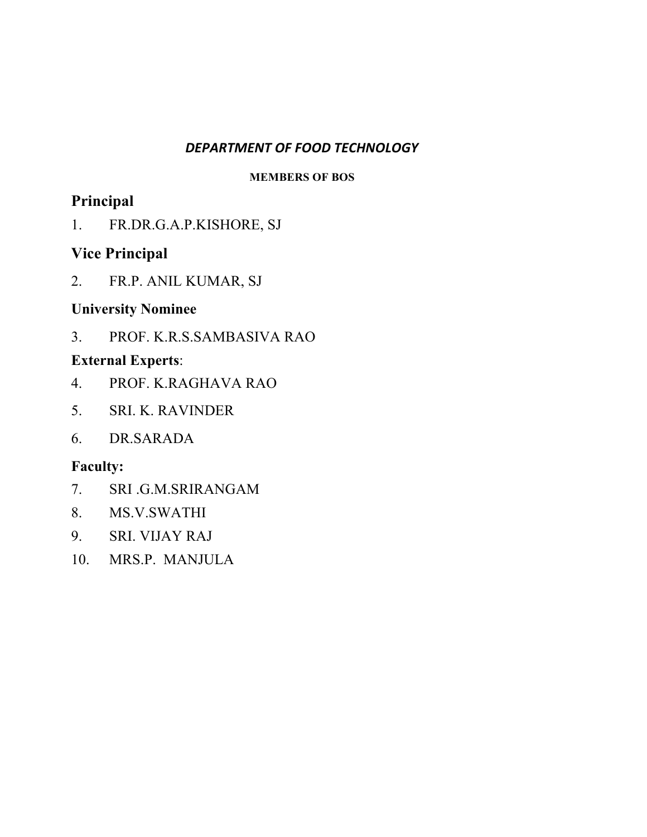#### *DEPARTMENT OF FOOD TECHNOLOGY*

#### **MEMBERS OF BOS**

# **Principal**

1. FR.DR.G.A.P.KISHORE, SJ

# **Vice Principal**

2. FR.P. ANIL KUMAR, SJ

### **University Nominee**

3. PROF. K.R.S.SAMBASIVA RAO

## **External Experts**:

- 4. PROF. K.RAGHAVA RAO
- 5. SRI. K. RAVINDER
- 6. DR.SARADA

- 7. SRI .G.M.SRIRANGAM
- 8. MS.V.SWATHI
- 9. SRI. VIJAY RAJ
- 10. MRS.P. MANJULA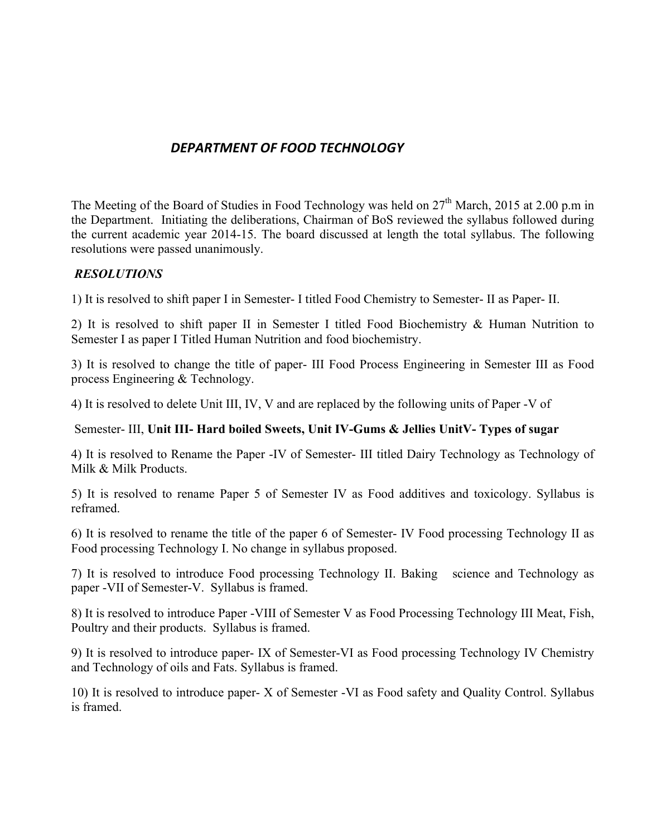### *DEPARTMENT OF FOOD TECHNOLOGY*

The Meeting of the Board of Studies in Food Technology was held on  $27<sup>th</sup>$  March, 2015 at 2.00 p.m in the Department. Initiating the deliberations, Chairman of BoS reviewed the syllabus followed during the current academic year 2014-15. The board discussed at length the total syllabus. The following resolutions were passed unanimously.

#### *RESOLUTIONS*

1) It is resolved to shift paper I in Semester- I titled Food Chemistry to Semester- II as Paper- II.

2) It is resolved to shift paper II in Semester I titled Food Biochemistry & Human Nutrition to Semester I as paper I Titled Human Nutrition and food biochemistry.

3) It is resolved to change the title of paper- III Food Process Engineering in Semester III as Food process Engineering & Technology.

4) It is resolved to delete Unit III, IV, V and are replaced by the following units of Paper -V of

#### Semester- III, **Unit III- Hard boiled Sweets, Unit IV-Gums & Jellies UnitV- Types of sugar**

4) It is resolved to Rename the Paper -IV of Semester- III titled Dairy Technology as Technology of Milk & Milk Products.

5) It is resolved to rename Paper 5 of Semester IV as Food additives and toxicology. Syllabus is reframed.

6) It is resolved to rename the title of the paper 6 of Semester- IV Food processing Technology II as Food processing Technology I. No change in syllabus proposed.

7) It is resolved to introduce Food processing Technology II. Baking science and Technology as paper -VII of Semester-V. Syllabus is framed.

8) It is resolved to introduce Paper -VIII of Semester V as Food Processing Technology III Meat, Fish, Poultry and their products. Syllabus is framed.

9) It is resolved to introduce paper- IX of Semester-VI as Food processing Technology IV Chemistry and Technology of oils and Fats. Syllabus is framed.

10) It is resolved to introduce paper- X of Semester -VI as Food safety and Quality Control. Syllabus is framed.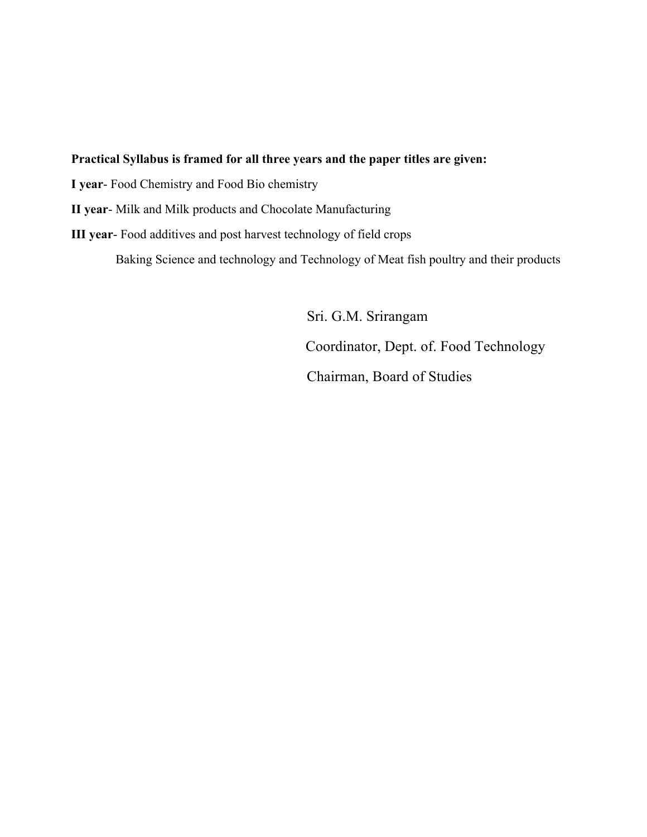#### **Practical Syllabus is framed for all three years and the paper titles are given:**

**I year**- Food Chemistry and Food Bio chemistry

**II year**- Milk and Milk products and Chocolate Manufacturing

**III year**- Food additives and post harvest technology of field crops

Baking Science and technology and Technology of Meat fish poultry and their products

 Sri. G.M. Srirangam Coordinator, Dept. of. Food Technology Chairman, Board of Studies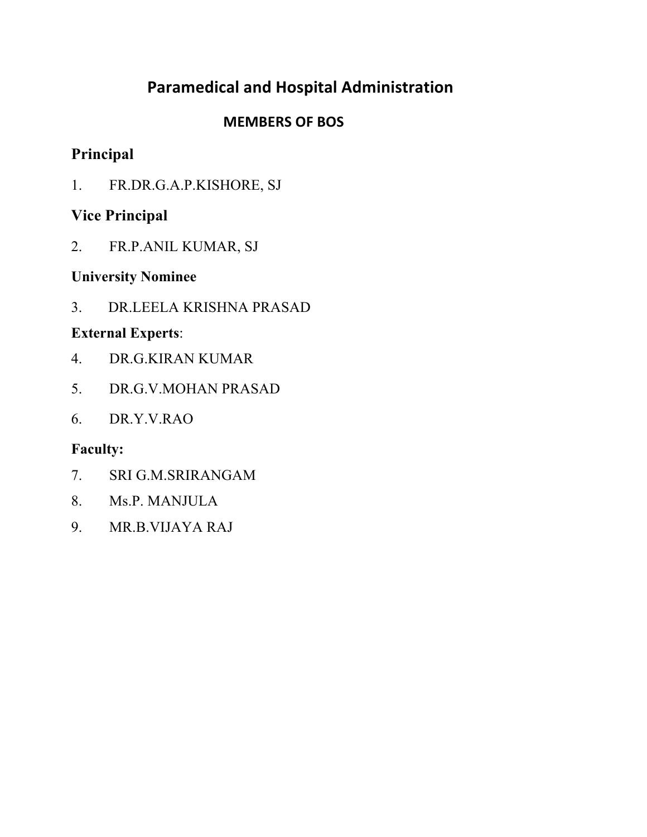# **Paramedical and Hospital Administration**

# **MEMBERS OF BOS**

# **Principal**

1. FR.DR.G.A.P.KISHORE, SJ

# **Vice Principal**

2. FR.P.ANIL KUMAR, SJ

# **University Nominee**

3. DR.LEELA KRISHNA PRASAD

# **External Experts**:

- 4. DR.G.KIRAN KUMAR
- 5. DR.G.V.MOHAN PRASAD
- 6. DR.Y.V.RAO

- 7. SRI G.M.SRIRANGAM
- 8. Ms.P. MANJULA
- 9. MR.B.VIJAYA RAJ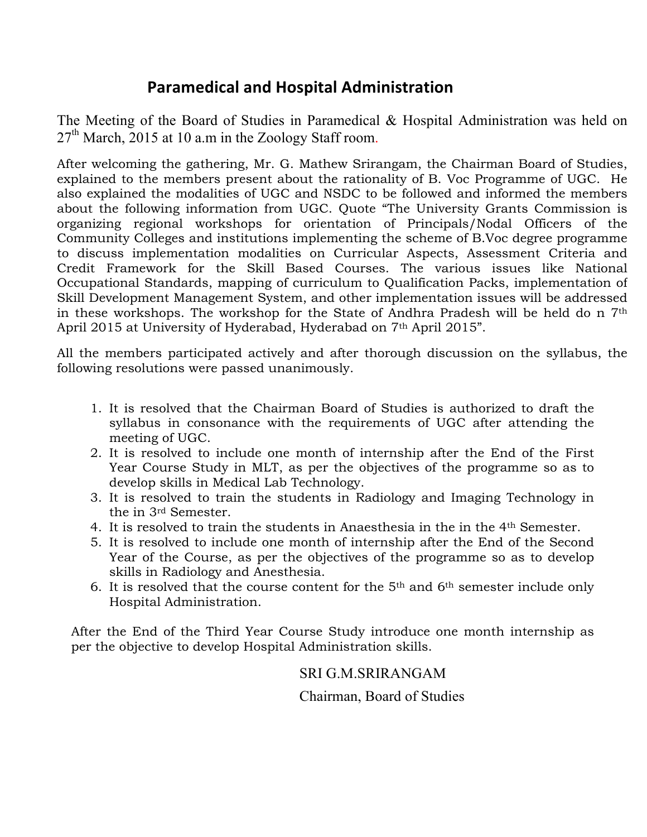# **Paramedical and Hospital Administration**

The Meeting of the Board of Studies in Paramedical & Hospital Administration was held on 27<sup>th</sup> March, 2015 at 10 a.m in the Zoology Staff room.

After welcoming the gathering, Mr. G. Mathew Srirangam, the Chairman Board of Studies, explained to the members present about the rationality of B. Voc Programme of UGC. He also explained the modalities of UGC and NSDC to be followed and informed the members about the following information from UGC. Quote "The University Grants Commission is organizing regional workshops for orientation of Principals/Nodal Officers of the Community Colleges and institutions implementing the scheme of B.Voc degree programme to discuss implementation modalities on Curricular Aspects, Assessment Criteria and Credit Framework for the Skill Based Courses. The various issues like National Occupational Standards, mapping of curriculum to Qualification Packs, implementation of Skill Development Management System, and other implementation issues will be addressed in these workshops. The workshop for the State of Andhra Pradesh will be held do n 7th April 2015 at University of Hyderabad, Hyderabad on 7<sup>th</sup> April 2015".

All the members participated actively and after thorough discussion on the syllabus, the following resolutions were passed unanimously.

- 1. It is resolved that the Chairman Board of Studies is authorized to draft the syllabus in consonance with the requirements of UGC after attending the meeting of UGC.
- 2. It is resolved to include one month of internship after the End of the First Year Course Study in MLT, as per the objectives of the programme so as to develop skills in Medical Lab Technology.
- 3. It is resolved to train the students in Radiology and Imaging Technology in the in 3rd Semester.
- 4. It is resolved to train the students in Anaesthesia in the in the 4th Semester.
- 5. It is resolved to include one month of internship after the End of the Second Year of the Course, as per the objectives of the programme so as to develop skills in Radiology and Anesthesia.
- 6. It is resolved that the course content for the  $5<sup>th</sup>$  and  $6<sup>th</sup>$  semester include only Hospital Administration.

After the End of the Third Year Course Study introduce one month internship as per the objective to develop Hospital Administration skills.

SRI G.M.SRIRANGAM

Chairman, Board of Studies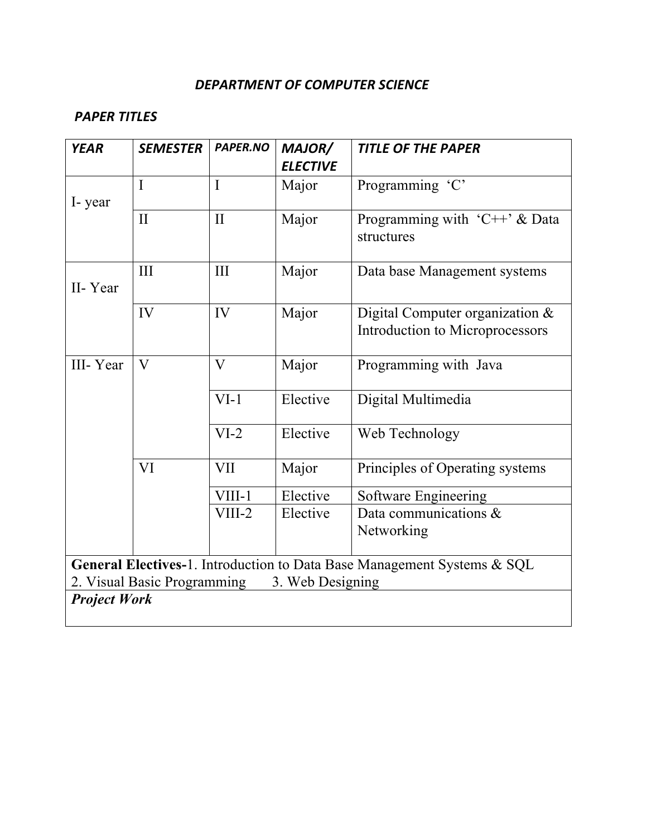#### DEPARTMENT OF COMPUTER SCIENCE

| <b>YEAR</b>         | <b>SEMESTER</b>                                                                                                            | PAPER.NO     | MAJOR/          | <b>TITLE OF THE PAPER</b>                                          |  |  |
|---------------------|----------------------------------------------------------------------------------------------------------------------------|--------------|-----------------|--------------------------------------------------------------------|--|--|
|                     |                                                                                                                            |              | <b>ELECTIVE</b> |                                                                    |  |  |
| I-year              | $\overline{I}$                                                                                                             | $\mathbf I$  | Major           | Programming 'C'                                                    |  |  |
|                     | $\mathbf{I}$                                                                                                               | $\mathbf{I}$ | Major           | Programming with 'C++' $\&$ Data<br>structures                     |  |  |
| II-Year             | III                                                                                                                        | III          | Major           | Data base Management systems                                       |  |  |
|                     | IV                                                                                                                         | IV           | Major           | Digital Computer organization &<br>Introduction to Microprocessors |  |  |
| III-Year            | $\overline{V}$                                                                                                             | $\mathbf{V}$ | Major           | Programming with Java                                              |  |  |
|                     |                                                                                                                            | $VI-1$       | Elective        | Digital Multimedia                                                 |  |  |
|                     |                                                                                                                            | $VI-2$       | Elective        | Web Technology                                                     |  |  |
|                     | <b>VI</b>                                                                                                                  | <b>VII</b>   | Major           | Principles of Operating systems                                    |  |  |
|                     |                                                                                                                            | VIII-1       | Elective        | <b>Software Engineering</b>                                        |  |  |
|                     |                                                                                                                            | $VIII-2$     | Elective        | Data communications $\&$<br>Networking                             |  |  |
|                     | General Electives-1. Introduction to Data Base Management Systems & SQL<br>2. Visual Basic Programming<br>3. Web Designing |              |                 |                                                                    |  |  |
| <b>Project Work</b> |                                                                                                                            |              |                 |                                                                    |  |  |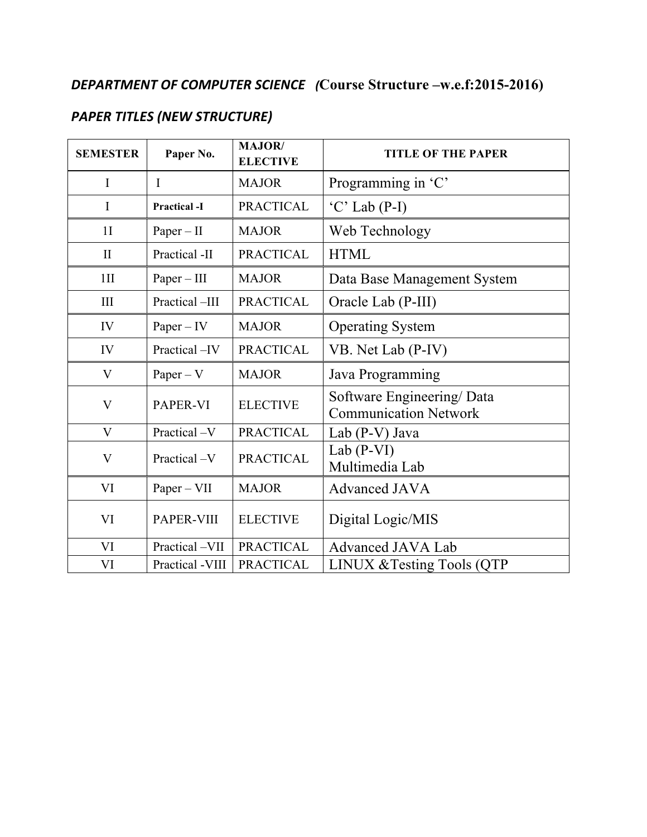# **DEPARTMENT OF COMPUTER SCIENCE** (Course Structure –w.e.f:2015-2016)

# **PAPER TITLES (NEW STRUCTURE)**

| <b>SEMESTER</b> | Paper No.           | MAJOR/<br><b>ELECTIVE</b> | <b>TITLE OF THE PAPER</b>                                 |
|-----------------|---------------------|---------------------------|-----------------------------------------------------------|
| I               | $\mathbf{I}$        | <b>MAJOR</b>              | Programming in 'C'                                        |
| I               | <b>Practical -I</b> | <b>PRACTICAL</b>          | $'C'$ Lab (P-I)                                           |
| 1 <sub>I</sub>  | $Paper - II$        | <b>MAJOR</b>              | Web Technology                                            |
| $\mathbf{I}$    | Practical -II       | <b>PRACTICAL</b>          | <b>HTML</b>                                               |
| $1$ II          | $Paper - III$       | <b>MAJOR</b>              | Data Base Management System                               |
| III             | Practical-III       | <b>PRACTICAL</b>          | Oracle Lab (P-III)                                        |
| IV              | $Paper - IV$        | <b>MAJOR</b>              | <b>Operating System</b>                                   |
| IV              | Practical -IV       | <b>PRACTICAL</b>          | VB. Net Lab (P-IV)                                        |
| V               | $Paper - V$         | <b>MAJOR</b>              | Java Programming                                          |
| $\bf V$         | PAPER-VI            | <b>ELECTIVE</b>           | Software Engineering/Data<br><b>Communication Network</b> |
| $\mathbf{V}$    | Practical -V        | <b>PRACTICAL</b>          | Lab $(P-V)$ Java                                          |
| $\bf V$         | Practical -V        | <b>PRACTICAL</b>          | Lab $(P-VI)$<br>Multimedia Lab                            |
| VI              | $Paper - VII$       | <b>MAJOR</b>              | <b>Advanced JAVA</b>                                      |
| VI              | PAPER-VIII          | <b>ELECTIVE</b>           | Digital Logic/MIS                                         |
| VI              | Practical -VII      | <b>PRACTICAL</b>          | <b>Advanced JAVA Lab</b>                                  |
| VI              | Practical -VIII     | <b>PRACTICAL</b>          | LINUX & Testing Tools (QTP                                |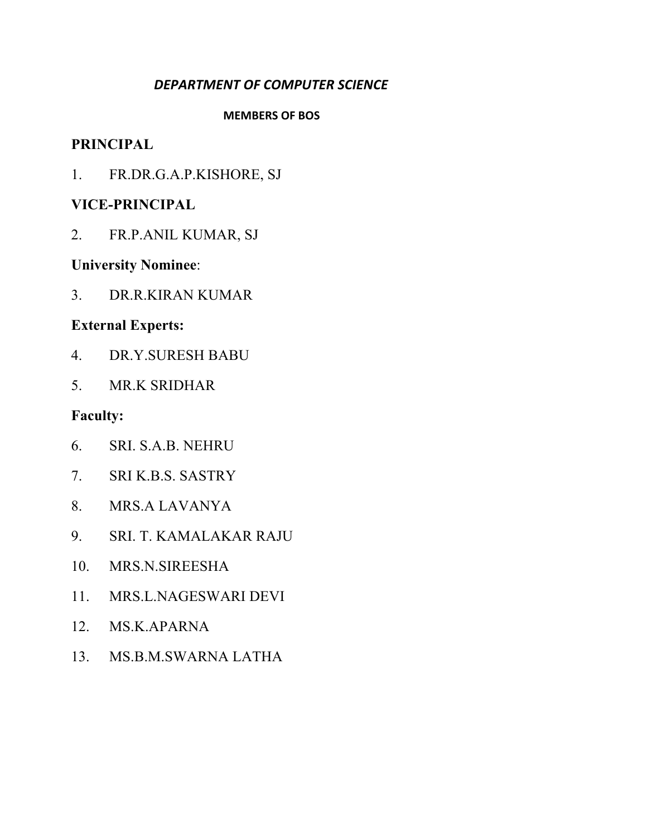### *DEPARTMENT OF COMPUTER SCIENCE*

#### **MEMBERS OF BOS**

#### **PRINCIPAL**

1. FR.DR.G.A.P.KISHORE, SJ

### **VICE-PRINCIPAL**

2. FR.P.ANIL KUMAR, SJ

### **University Nominee**:

3. DR.R.KIRAN KUMAR

### **External Experts:**

- 4. DR.Y.SURESH BABU
- 5. MR.K SRIDHAR

- 6. SRI. S.A.B. NEHRU
- 7. SRI K.B.S. SASTRY
- 8. MRS.A LAVANYA
- 9. SRI. T. KAMALAKAR RAJU
- 10. MRS.N.SIREESHA
- 11. MRS.L.NAGESWARI DEVI
- 12. MS.K.APARNA
- 13. MS.B.M.SWARNA LATHA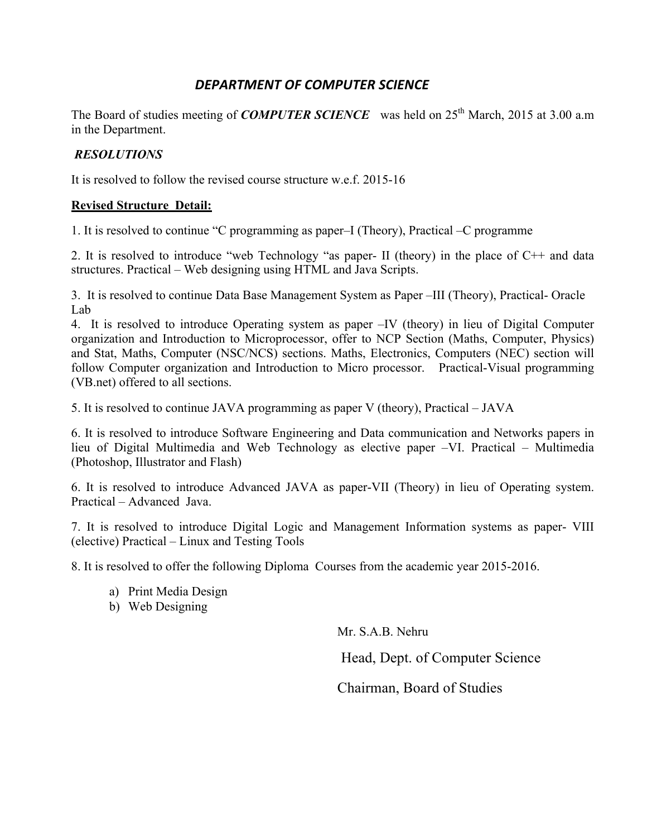### *DEPARTMENT OF COMPUTER SCIENCE*

The Board of studies meeting of *COMPUTER SCIENCE* was held on 25<sup>th</sup> March, 2015 at 3.00 a.m in the Department.

#### *RESOLUTIONS*

It is resolved to follow the revised course structure w.e.f. 2015-16

#### **Revised Structure Detail:**

1. It is resolved to continue "C programming as paper–I (Theory), Practical –C programme

2. It is resolved to introduce "web Technology "as paper- II (theory) in the place of C++ and data structures. Practical – Web designing using HTML and Java Scripts.

3. It is resolved to continue Data Base Management System as Paper –III (Theory), Practical- Oracle Lab

4. It is resolved to introduce Operating system as paper –IV (theory) in lieu of Digital Computer organization and Introduction to Microprocessor, offer to NCP Section (Maths, Computer, Physics) and Stat, Maths, Computer (NSC/NCS) sections. Maths, Electronics, Computers (NEC) section will follow Computer organization and Introduction to Micro processor. Practical-Visual programming (VB.net) offered to all sections.

5. It is resolved to continue JAVA programming as paper V (theory), Practical – JAVA

6. It is resolved to introduce Software Engineering and Data communication and Networks papers in lieu of Digital Multimedia and Web Technology as elective paper –VI. Practical – Multimedia (Photoshop, Illustrator and Flash)

6. It is resolved to introduce Advanced JAVA as paper-VII (Theory) in lieu of Operating system. Practical – Advanced Java.

7. It is resolved to introduce Digital Logic and Management Information systems as paper- VIII (elective) Practical – Linux and Testing Tools

8. It is resolved to offer the following Diploma Courses from the academic year 2015-2016.

- a) Print Media Design
- b) Web Designing

Mr. S.A.B. Nehru

Head, Dept. of Computer Science

Chairman, Board of Studies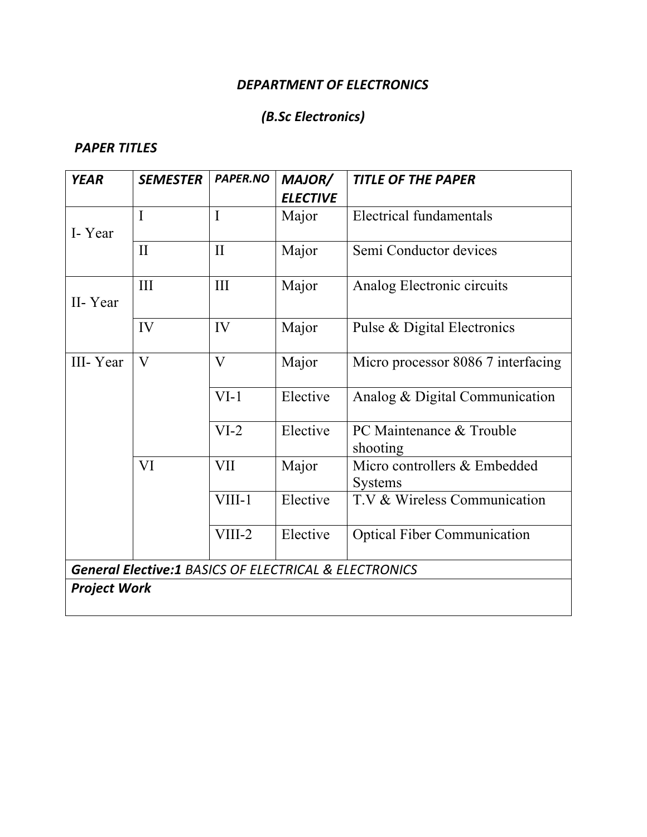### **DEPARTMENT OF ELECTRONICS**

## *(B.Sc Electronics)*

| <b>YEAR</b>         | <b>SEMESTER</b>                                       | PAPER.NO     | MAJOR/          | <b>TITLE OF THE PAPER</b>          |
|---------------------|-------------------------------------------------------|--------------|-----------------|------------------------------------|
|                     |                                                       |              | <b>ELECTIVE</b> |                                    |
|                     | $\overline{I}$                                        | $\mathbf I$  | Major           | <b>Electrical fundamentals</b>     |
| I-Year              |                                                       | $\mathbf{I}$ |                 |                                    |
|                     | $\mathbf{I}$                                          |              | Major           | Semi Conductor devices             |
|                     | III                                                   | III          | Major           | Analog Electronic circuits         |
| II-Year             |                                                       |              |                 |                                    |
|                     | IV                                                    | IV           | Major           | Pulse & Digital Electronics        |
| III-Year            | $\overline{\mathsf{V}}$                               | V            | Major           | Micro processor 8086 7 interfacing |
|                     |                                                       | $VI-1$       | Elective        | Analog & Digital Communication     |
|                     |                                                       | $VI-2$       | Elective        | PC Maintenance & Trouble           |
|                     |                                                       |              |                 | shooting                           |
|                     | VI                                                    | <b>VII</b>   | Major           | Micro controllers & Embedded       |
|                     |                                                       |              |                 | <b>Systems</b>                     |
|                     |                                                       | VIII-1       | Elective        | T.V & Wireless Communication       |
|                     |                                                       | $VIII-2$     | Elective        | <b>Optical Fiber Communication</b> |
|                     | General Elective:1 BASICS OF ELECTRICAL & ELECTRONICS |              |                 |                                    |
| <b>Project Work</b> |                                                       |              |                 |                                    |
|                     |                                                       |              |                 |                                    |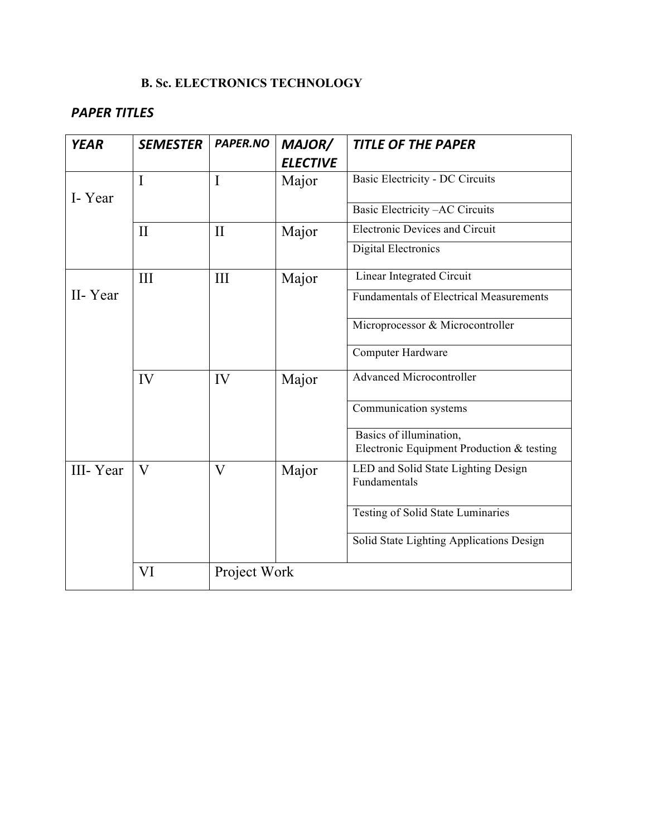### **B. Sc. ELECTRONICS TECHNOLOGY**

| <b>YEAR</b> | <b>SEMESTER</b>         | PAPER.NO                | MAJOR/          | <b>TITLE OF THE PAPER</b>                                            |
|-------------|-------------------------|-------------------------|-----------------|----------------------------------------------------------------------|
|             |                         |                         | <b>ELECTIVE</b> |                                                                      |
|             | I                       | I                       | Major           | <b>Basic Electricity - DC Circuits</b>                               |
| I-Year      |                         |                         |                 |                                                                      |
|             |                         |                         |                 | Basic Electricity -AC Circuits                                       |
|             | $\mathbf{I}$            | $\mathbf{I}$            | Major           | <b>Electronic Devices and Circuit</b>                                |
|             |                         |                         |                 | <b>Digital Electronics</b>                                           |
|             | III                     | III                     | Major           | Linear Integrated Circuit                                            |
| II-Year     |                         |                         |                 | <b>Fundamentals of Electrical Measurements</b>                       |
|             |                         |                         |                 | Microprocessor & Microcontroller                                     |
|             |                         |                         |                 | Computer Hardware                                                    |
|             | IV                      | IV                      | Major           | <b>Advanced Microcontroller</b>                                      |
|             |                         |                         |                 | Communication systems                                                |
|             |                         |                         |                 | Basics of illumination,<br>Electronic Equipment Production & testing |
| III-Year    | $\overline{\mathsf{V}}$ | $\overline{\mathsf{V}}$ | Major           | LED and Solid State Lighting Design<br>Fundamentals                  |
|             |                         |                         |                 | Testing of Solid State Luminaries                                    |
|             |                         |                         |                 | Solid State Lighting Applications Design                             |
|             | VI                      | Project Work            |                 |                                                                      |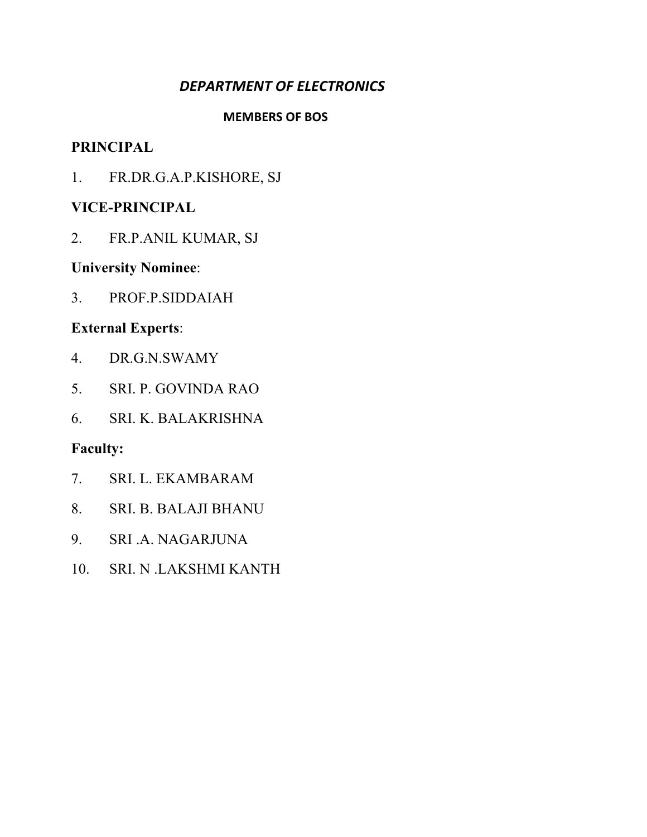## **DEPARTMENT OF ELECTRONICS**

#### **MEMBERS OF BOS**

### **PRINCIPAL**

1. FR.DR.G.A.P.KISHORE, SJ

### **VICE-PRINCIPAL**

2. FR.P.ANIL KUMAR, SJ

### **University Nominee**:

3. PROF.P.SIDDAIAH

### **External Experts**:

- 4. DR.G.N.SWAMY
- 5. SRI. P. GOVINDA RAO
- 6. SRI. K. BALAKRISHNA

- 7. SRI. L. EKAMBARAM
- 8. SRI. B. BALAJI BHANU
- 9. SRI .A. NAGARJUNA
- 10. SRI. N .LAKSHMI KANTH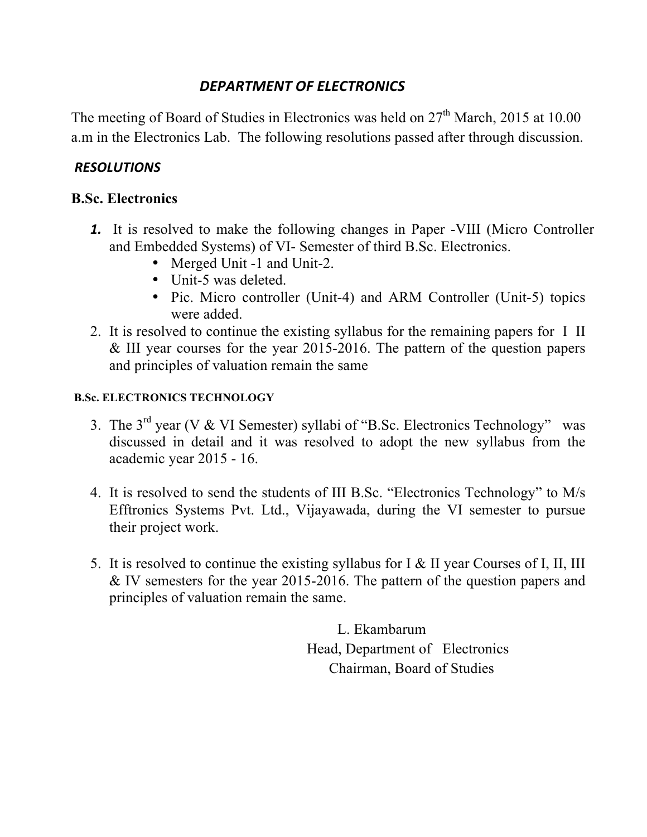### *DEPARTMENT OF ELECTRONICS*

The meeting of Board of Studies in Electronics was held on 27<sup>th</sup> March, 2015 at 10.00 a.m in the Electronics Lab. The following resolutions passed after through discussion.

### *RESOLUTIONS*

### **B.Sc. Electronics**

- *1.* It is resolved to make the following changes in Paper -VIII (Micro Controller and Embedded Systems) of VI- Semester of third B.Sc. Electronics.
	- Merged Unit -1 and Unit-2.
	- Unit-5 was deleted.
	- Pic. Micro controller (Unit-4) and ARM Controller (Unit-5) topics were added.
- 2. It is resolved to continue the existing syllabus for the remaining papers for I II & III year courses for the year 2015-2016. The pattern of the question papers and principles of valuation remain the same

#### **B.Sc. ELECTRONICS TECHNOLOGY**

- 3. The  $3<sup>rd</sup>$  year (V & VI Semester) syllabi of "B.Sc. Electronics Technology" was discussed in detail and it was resolved to adopt the new syllabus from the academic year 2015 - 16.
- 4. It is resolved to send the students of III B.Sc. "Electronics Technology" to M/s Efftronics Systems Pvt. Ltd., Vijayawada, during the VI semester to pursue their project work.
- 5. It is resolved to continue the existing syllabus for I & II year Courses of I, II, III & IV semesters for the year 2015-2016. The pattern of the question papers and principles of valuation remain the same.

 L. Ekambarum Head, Department of Electronics Chairman, Board of Studies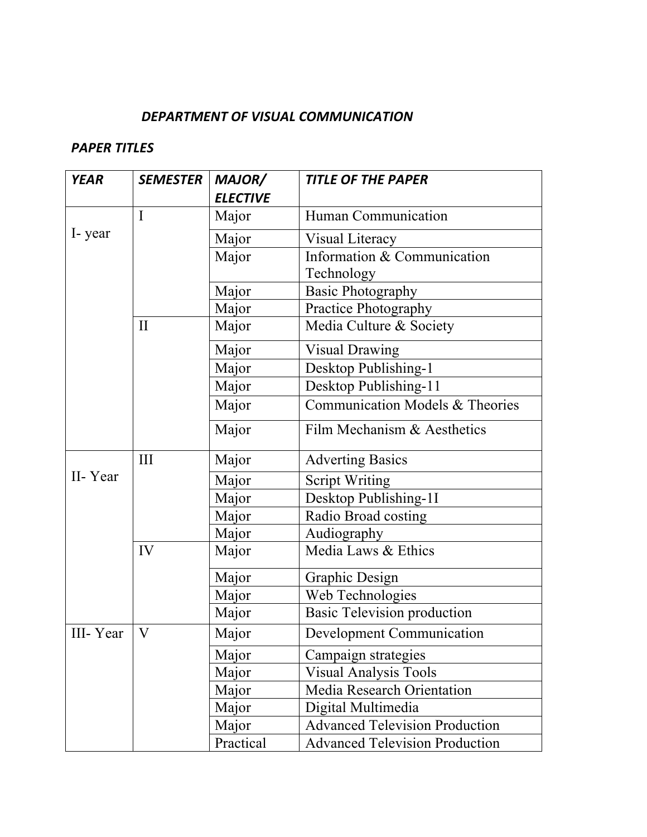### DEPARTMENT OF VISUAL COMMUNICATION

| <b>YEAR</b> | <b>SEMESTER</b> | MAJOR/          | <b>TITLE OF THE PAPER</b>             |
|-------------|-----------------|-----------------|---------------------------------------|
|             |                 | <b>ELECTIVE</b> |                                       |
|             | I               | Major           | Human Communication                   |
| I-year      |                 | Major           | Visual Literacy                       |
|             |                 | Major           | Information & Communication           |
|             |                 |                 | Technology                            |
|             |                 | Major           | <b>Basic Photography</b>              |
|             |                 | Major           | Practice Photography                  |
|             | $\mathbf{I}$    | Major           | Media Culture & Society               |
|             |                 | Major           | <b>Visual Drawing</b>                 |
|             |                 | Major           | Desktop Publishing-1                  |
|             |                 | Major           | Desktop Publishing-11                 |
|             |                 | Major           | Communication Models & Theories       |
|             |                 | Major           | Film Mechanism & Aesthetics           |
|             | III             | Major           | <b>Adverting Basics</b>               |
| II-Year     |                 | Major           | <b>Script Writing</b>                 |
|             |                 | Major           | Desktop Publishing-1I                 |
|             |                 | Major           | Radio Broad costing                   |
|             |                 | Major           | Audiography                           |
|             | IV              | Major           | Media Laws & Ethics                   |
|             |                 | Major           | <b>Graphic Design</b>                 |
|             |                 | Major           | Web Technologies                      |
|             |                 | Major           | Basic Television production           |
| III-Year    | V               | Major           | <b>Development Communication</b>      |
|             |                 | Major           | Campaign strategies                   |
|             |                 | Major           | <b>Visual Analysis Tools</b>          |
|             |                 | Major           | <b>Media Research Orientation</b>     |
|             |                 | Major           | Digital Multimedia                    |
|             |                 | Major           | <b>Advanced Television Production</b> |
|             |                 | Practical       | <b>Advanced Television Production</b> |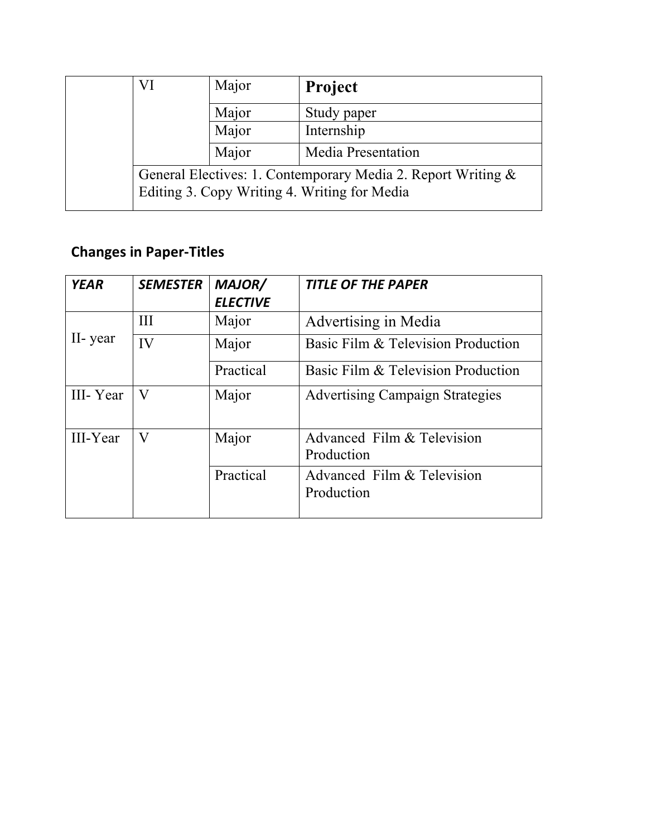| VI                                                                                                           | Major | <b>Project</b>            |
|--------------------------------------------------------------------------------------------------------------|-------|---------------------------|
|                                                                                                              | Major | Study paper               |
|                                                                                                              | Major | Internship                |
|                                                                                                              | Major | <b>Media Presentation</b> |
| General Electives: 1. Contemporary Media 2. Report Writing &<br>Editing 3. Copy Writing 4. Writing for Media |       |                           |

# **Changes in Paper-Titles**

| <b>YEAR</b> | <b>SEMESTER</b> | MAJOR/<br><b>ELECTIVE</b> | <b>TITLE OF THE PAPER</b>                |
|-------------|-----------------|---------------------------|------------------------------------------|
|             | III             | Major                     | Advertising in Media                     |
| II-year     | IV              | Major                     | Basic Film & Television Production       |
|             |                 | Practical                 | Basic Film & Television Production       |
| III-Year    | V               | Major                     | <b>Advertising Campaign Strategies</b>   |
| III-Year    | V               | Major                     | Advanced Film & Television<br>Production |
|             |                 | Practical                 | Advanced Film & Television<br>Production |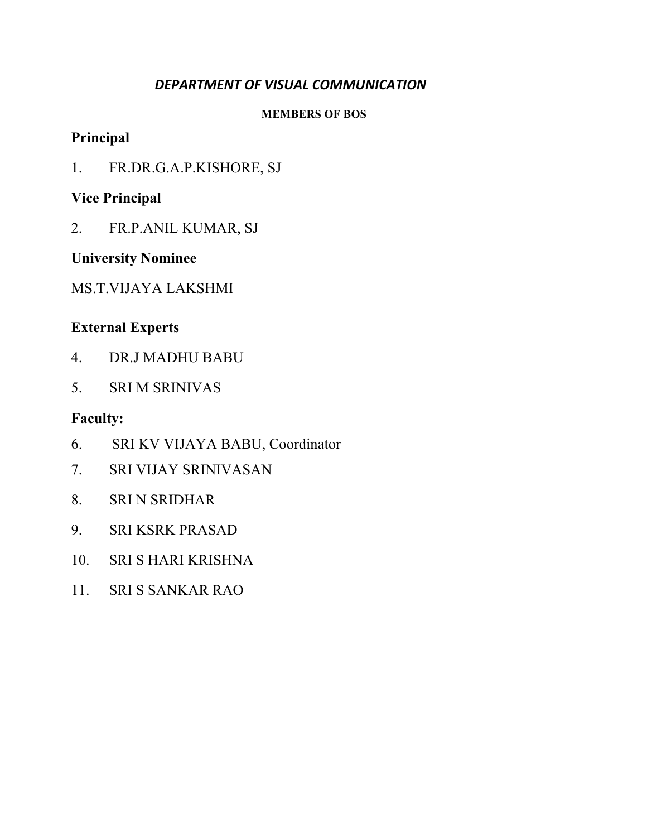### DEPARTMENT OF VISUAL COMMUNICATION

#### **MEMBERS OF BOS**

### **Principal**

1. FR.DR.G.A.P.KISHORE, SJ

### **Vice Principal**

2. FR.P.ANIL KUMAR, SJ

### **University Nominee**

MS.T.VIJAYA LAKSHMI

## **External Experts**

- 4. DR.J MADHU BABU
- 5. SRI M SRINIVAS

- 6. SRI KV VIJAYA BABU, Coordinator
- 7. SRI VIJAY SRINIVASAN
- 8. SRI N SRIDHAR
- 9. SRI KSRK PRASAD
- 10. SRI S HARI KRISHNA
- 11. SRI S SANKAR RAO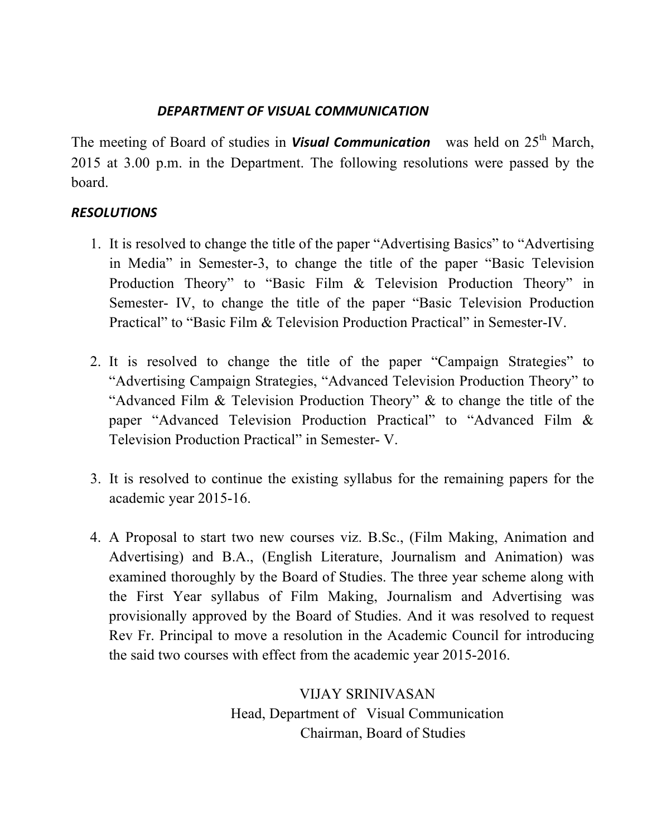### *DEPARTMENT OF VISUAL COMMUNICATION*

The meeting of Board of studies in **Visual Communication** was held on 25<sup>th</sup> March, 2015 at 3.00 p.m. in the Department. The following resolutions were passed by the board.

### *RESOLUTIONS*

- 1. It is resolved to change the title of the paper "Advertising Basics" to "Advertising in Media" in Semester-3, to change the title of the paper "Basic Television Production Theory" to "Basic Film & Television Production Theory" in Semester- IV, to change the title of the paper "Basic Television Production Practical" to "Basic Film & Television Production Practical" in Semester-IV.
- 2. It is resolved to change the title of the paper "Campaign Strategies" to "Advertising Campaign Strategies, "Advanced Television Production Theory" to "Advanced Film & Television Production Theory" & to change the title of the paper "Advanced Television Production Practical" to "Advanced Film & Television Production Practical" in Semester- V.
- 3. It is resolved to continue the existing syllabus for the remaining papers for the academic year 2015-16.
- 4. A Proposal to start two new courses viz. B.Sc., (Film Making, Animation and Advertising) and B.A., (English Literature, Journalism and Animation) was examined thoroughly by the Board of Studies. The three year scheme along with the First Year syllabus of Film Making, Journalism and Advertising was provisionally approved by the Board of Studies. And it was resolved to request Rev Fr. Principal to move a resolution in the Academic Council for introducing the said two courses with effect from the academic year 2015-2016.

VIJAY SRINIVASAN Head, Department of Visual Communication Chairman, Board of Studies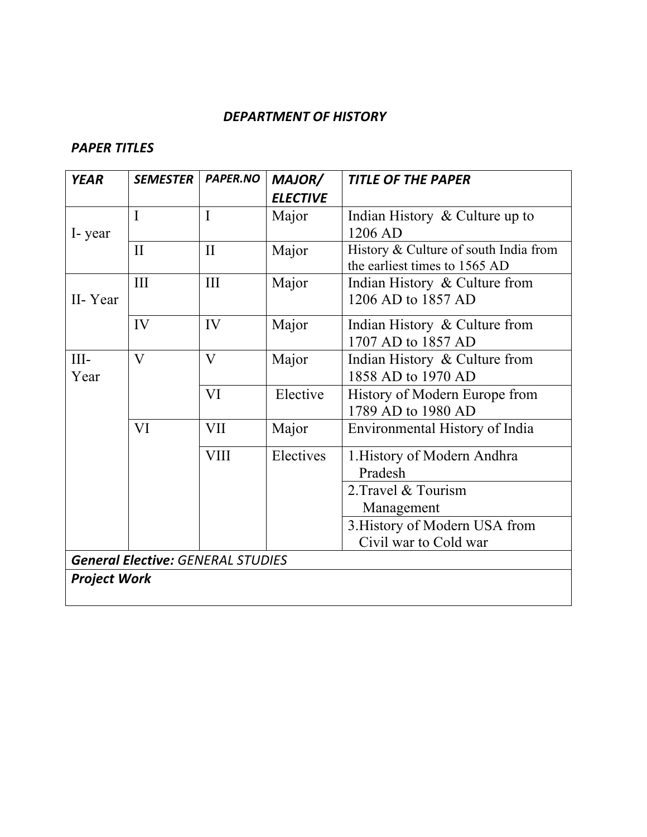#### *DEPARTMENT OF HISTORY*

| <b>YEAR</b>                              | SEMESTER                | <b>PAPER.NO</b> | MAJOR/          | <b>TITLE OF THE PAPER</b>                                              |
|------------------------------------------|-------------------------|-----------------|-----------------|------------------------------------------------------------------------|
|                                          |                         |                 | <b>ELECTIVE</b> |                                                                        |
| I-year                                   | $\mathbf I$             | I               | Major           | Indian History $\&$ Culture up to                                      |
|                                          |                         |                 |                 | 1206 AD                                                                |
|                                          | $\mathbf{I}$            | $\mathbf{I}$    | Major           | History & Culture of south India from<br>the earliest times to 1565 AD |
| II-Year                                  | III                     | III             | Major           | Indian History & Culture from                                          |
|                                          |                         |                 |                 | 1206 AD to 1857 AD                                                     |
|                                          | IV                      | IV              | Major           | Indian History & Culture from                                          |
|                                          |                         |                 |                 | 1707 AD to 1857 AD                                                     |
| $III -$<br>Year                          | $\overline{\mathsf{V}}$ | V               | Major           | Indian History & Culture from                                          |
|                                          |                         |                 |                 | 1858 AD to 1970 AD                                                     |
|                                          |                         | VI              | Elective        | History of Modern Europe from                                          |
|                                          |                         |                 |                 | 1789 AD to 1980 AD                                                     |
|                                          | VI                      | <b>VII</b>      | Major           | Environmental History of India                                         |
|                                          |                         | <b>VIII</b>     | Electives       | 1. History of Modern Andhra                                            |
|                                          |                         |                 |                 | Pradesh                                                                |
|                                          |                         |                 |                 | 2. Travel & Tourism                                                    |
|                                          |                         |                 |                 | Management                                                             |
|                                          |                         |                 |                 | 3. History of Modern USA from                                          |
|                                          |                         |                 |                 | Civil war to Cold war                                                  |
| <b>General Elective: GENERAL STUDIES</b> |                         |                 |                 |                                                                        |
| <b>Project Work</b>                      |                         |                 |                 |                                                                        |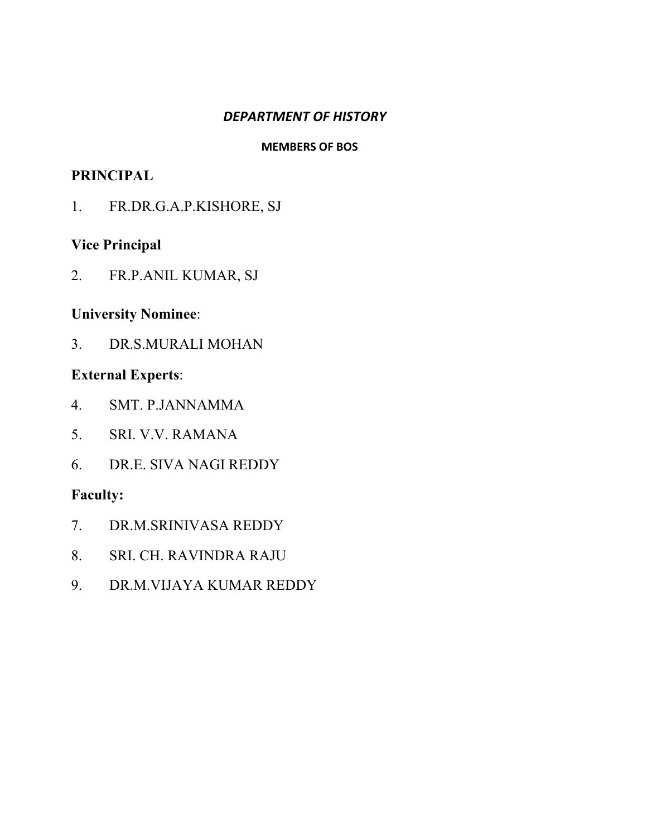#### *DEPARTMENT OF HISTORY*

#### **MEMBERS OF BOS**

### **PRINCIPAL**

1. FR.DR.G.A.P.KISHORE, SJ

#### **Vice Principal**

2. FR.P.ANIL KUMAR, SJ

### **University Nominee**:

3. DR.S.MURALI MOHAN

### **External Experts**:

- 4. SMT. P.JANNAMMA
- 5. SRI. V.V. RAMANA
- 6. DR.E. SIVA NAGI REDDY

- 7. DR.M.SRINIVASA REDDY
- 8. SRI. CH. RAVINDRA RAJU
- 9. DR.M.VIJAYA KUMAR REDDY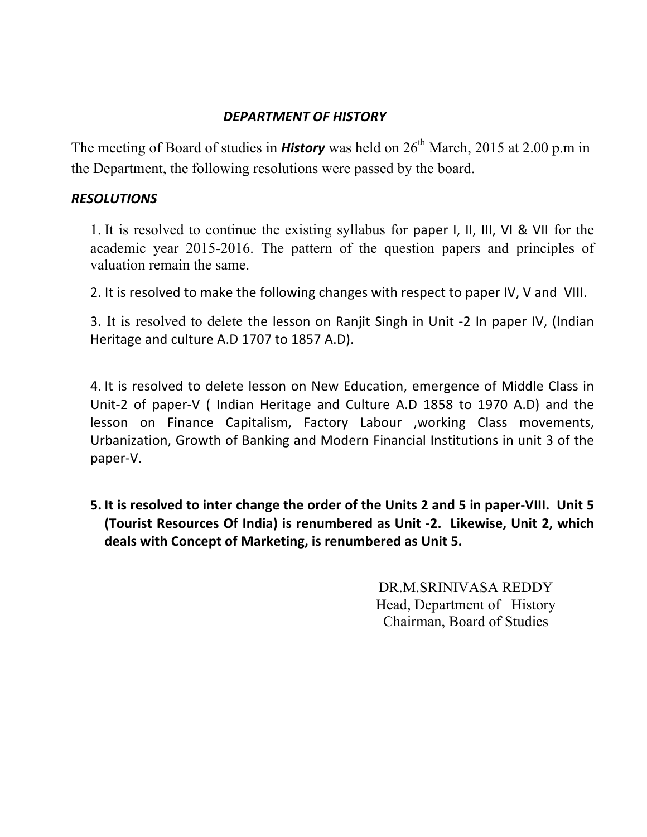### *DEPARTMENT OF HISTORY*

The meeting of Board of studies in **History** was held on  $26<sup>th</sup>$  March, 2015 at 2.00 p.m in the Department, the following resolutions were passed by the board.

#### *RESOLUTIONS*

1. It is resolved to continue the existing syllabus for paper I, II, III, VI & VII for the academic year 2015-2016. The pattern of the question papers and principles of valuation remain the same.

2. It is resolved to make the following changes with respect to paper IV, V and VIII.

3. It is resolved to delete the lesson on Ranjit Singh in Unit -2 In paper IV, (Indian Heritage and culture A.D 1707 to 1857 A.D).

4. It is resolved to delete lesson on New Education, emergence of Middle Class in Unit-2 of paper-V (Indian Heritage and Culture A.D 1858 to 1970 A.D) and the lesson on Finance Capitalism, Factory Labour , working Class movements, Urbanization, Growth of Banking and Modern Financial Institutions in unit 3 of the paper-V.

**5.** It is resolved to inter change the order of the Units 2 and 5 in paper-VIII. Unit 5 **(Tourist Resources Of India) is renumbered as Unit -2. Likewise, Unit 2, which** deals with Concept of Marketing, is renumbered as Unit 5.

> DR.M.SRINIVASA REDDY Head, Department of History Chairman, Board of Studies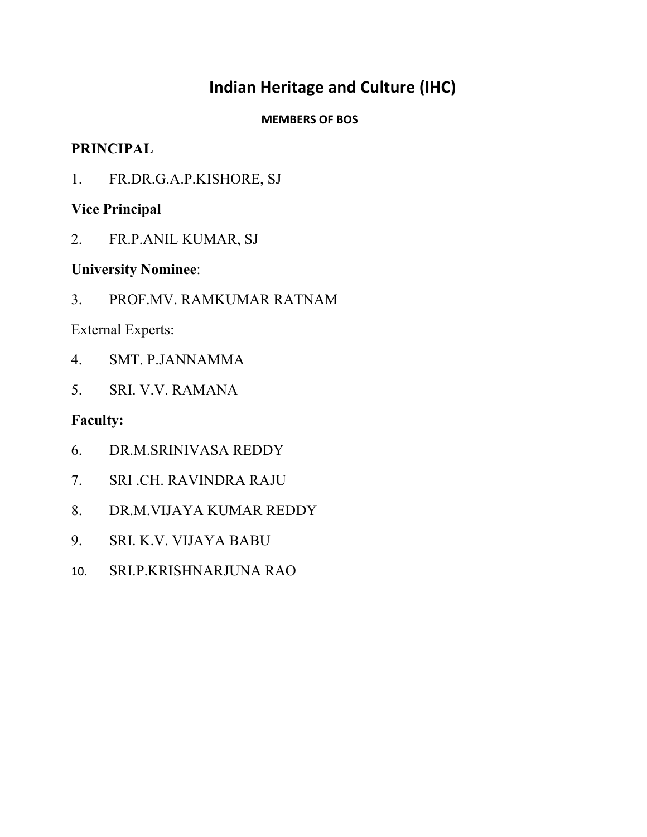# **Indian Heritage and Culture (IHC)**

### **MEMBERS OF BOS**

### **PRINCIPAL**

1. FR.DR.G.A.P.KISHORE, SJ

## **Vice Principal**

2. FR.P.ANIL KUMAR, SJ

### **University Nominee**:

3. PROF.MV. RAMKUMAR RATNAM

External Experts:

- 4. SMT. P.JANNAMMA
- 5. SRI. V.V. RAMANA

- 6. DR.M.SRINIVASA REDDY
- 7. SRI .CH. RAVINDRA RAJU
- 8. DR.M.VIJAYA KUMAR REDDY
- 9. SRI. K.V. VIJAYA BABU
- 10. SRI.P.KRISHNARJUNA RAO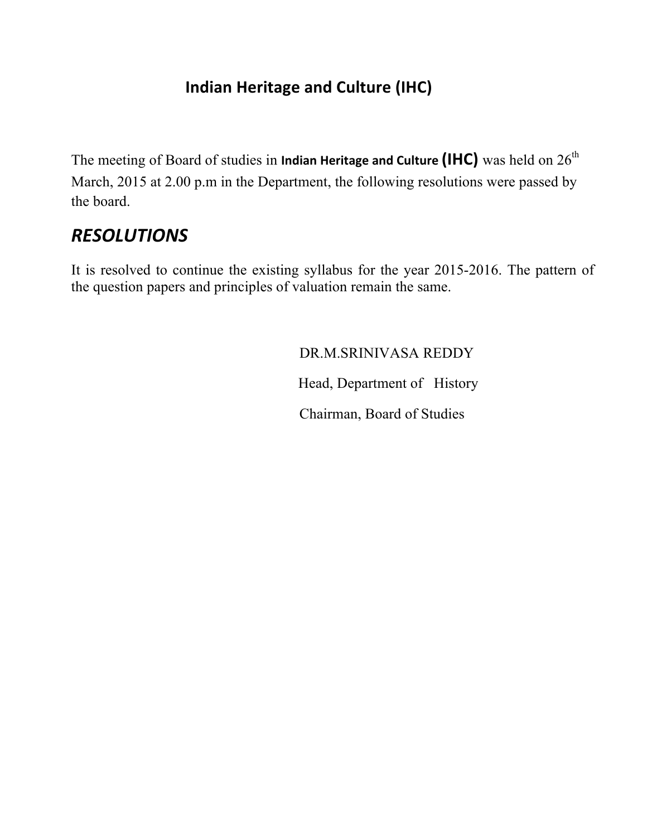# **Indian Heritage and Culture (IHC)**

The meeting of Board of studies in **Indian Heritage and Culture (IHC)** was held on  $26^{th}$ March, 2015 at 2.00 p.m in the Department, the following resolutions were passed by the board.

# *RESOLUTIONS*

It is resolved to continue the existing syllabus for the year 2015-2016. The pattern of the question papers and principles of valuation remain the same.

# DR.M.SRINIVASA REDDY

Head, Department of History

Chairman, Board of Studies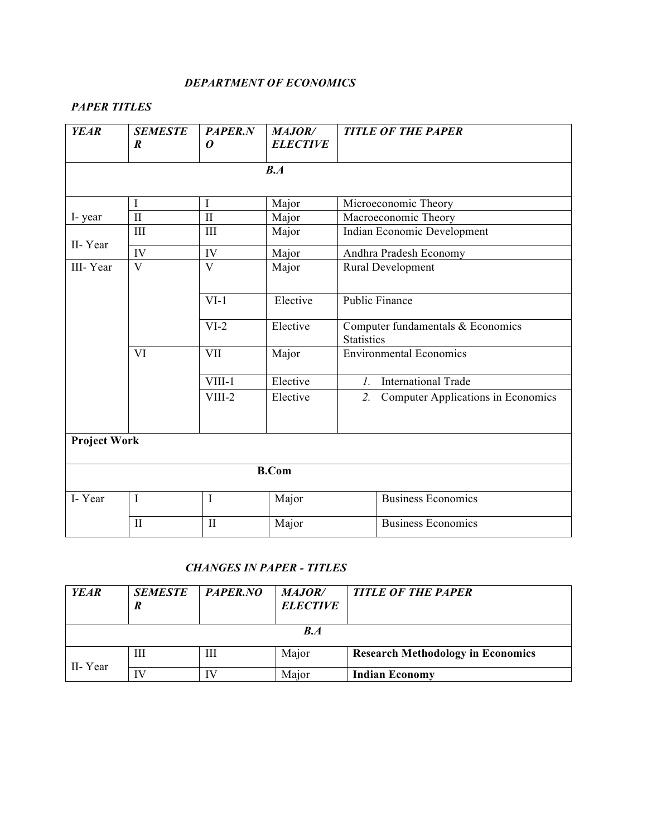#### *DEPARTMENT OF ECONOMICS*

#### *PAPER TITLES*

| <b>YEAR</b> | <b>SEMESTE</b><br>$\boldsymbol{R}$ | <b>PAPER.N</b><br>0 | <b>MAJOR/</b><br><b>ELECTIVE</b> | <b>TITLE OF THE PAPER</b>                              |  |  |  |
|-------------|------------------------------------|---------------------|----------------------------------|--------------------------------------------------------|--|--|--|
|             | B.A                                |                     |                                  |                                                        |  |  |  |
|             | I                                  | I                   | Major                            | Microeconomic Theory                                   |  |  |  |
| I-year      | $\mathbf{I}$                       | $\mathbf{I}$        | Major                            | Macroeconomic Theory                                   |  |  |  |
|             | III                                | III                 | Major                            | Indian Economic Development                            |  |  |  |
| II-Year     | IV                                 | IV                  | Major                            | Andhra Pradesh Economy                                 |  |  |  |
| III-Year    | $\overline{\mathbf{V}}$            | V                   | Major                            | Rural Development                                      |  |  |  |
|             |                                    | $VI-1$              | Elective                         | <b>Public Finance</b>                                  |  |  |  |
|             |                                    | $VI-2$              | Elective                         | Computer fundamentals & Economics<br><b>Statistics</b> |  |  |  |
|             | VI                                 | <b>VII</b>          | Major                            | <b>Environmental Economics</b>                         |  |  |  |
|             |                                    | $VIII-1$            | Elective                         | <b>International Trade</b><br>$l_{\cdot}$              |  |  |  |
|             |                                    | VIII-2              | Elective                         | <b>Computer Applications in Economics</b><br>2.        |  |  |  |
|             | <b>Project Work</b>                |                     |                                  |                                                        |  |  |  |
|             |                                    |                     | <b>B.Com</b>                     |                                                        |  |  |  |
| I-Year      | $\mathbf I$                        | $\mathbf I$         | Major                            | Business Economics                                     |  |  |  |
|             | $\mathbf{I}$                       | $\mathbf{I}$        | Major                            | <b>Business Economics</b>                              |  |  |  |

#### *CHANGES IN PAPER - TITLES*

| <b>YEAR</b> | <b>SEMESTE</b><br>R | PAPER.NO | <i>MAJOR/</i><br><b>ELECTIVE</b> | <b>TITLE OF THE PAPER</b>                |  |
|-------------|---------------------|----------|----------------------------------|------------------------------------------|--|
| B.A         |                     |          |                                  |                                          |  |
| II-Year     | Ш                   | Ш        | Major                            | <b>Research Methodology in Economics</b> |  |
|             | IV                  |          | Major                            | <b>Indian Economy</b>                    |  |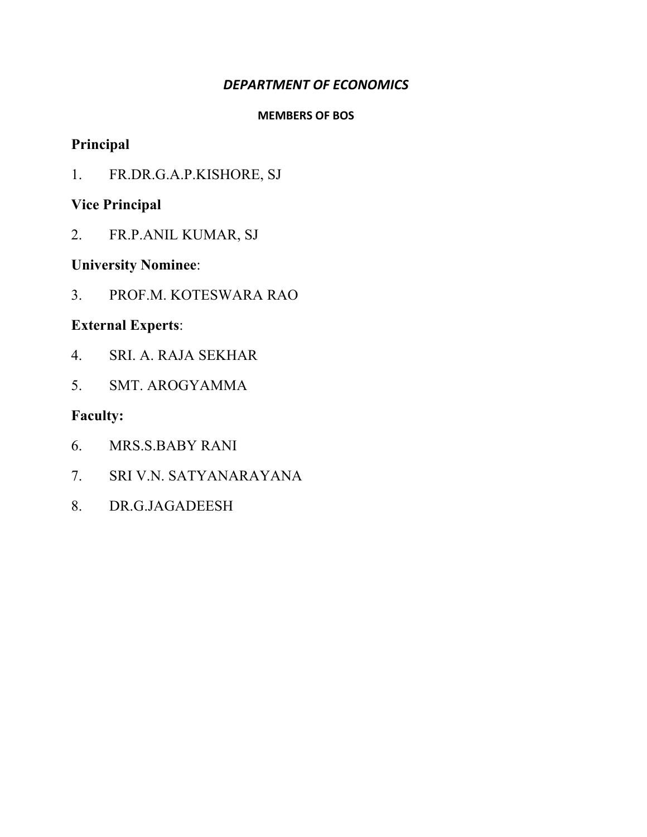### **DEPARTMENT OF ECONOMICS**

#### **MEMBERS OF BOS**

# **Principal**

1. FR.DR.G.A.P.KISHORE, SJ

# **Vice Principal**

2. FR.P.ANIL KUMAR, SJ

# **University Nominee**:

3. PROF.M. KOTESWARA RAO

# **External Experts**:

- 4. SRI. A. RAJA SEKHAR
- 5. SMT. AROGYAMMA

# **Faculty:**

- 6. MRS.S.BABY RANI
- 7. SRI V.N. SATYANARAYANA
- 8. DR.G.JAGADEESH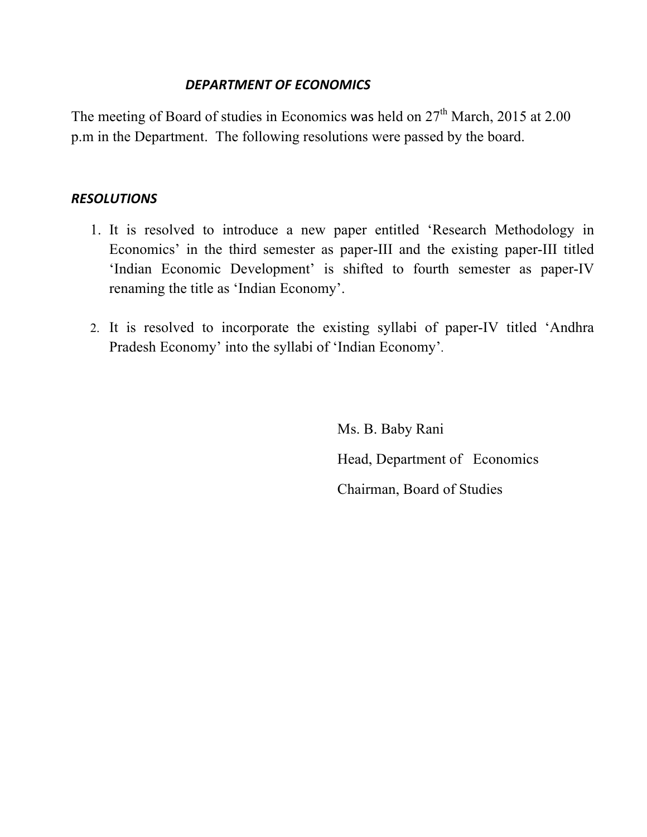### **DEPARTMENT OF ECONOMICS**

The meeting of Board of studies in Economics was held on  $27<sup>th</sup>$  March, 2015 at 2.00 p.m in the Department. The following resolutions were passed by the board.

#### *RESOLUTIONS*

- 1. It is resolved to introduce a new paper entitled 'Research Methodology in Economics' in the third semester as paper-III and the existing paper-III titled 'Indian Economic Development' is shifted to fourth semester as paper-IV renaming the title as 'Indian Economy'.
- 2. It is resolved to incorporate the existing syllabi of paper-IV titled 'Andhra Pradesh Economy' into the syllabi of 'Indian Economy'.

Ms. B. Baby Rani Head, Department of Economics Chairman, Board of Studies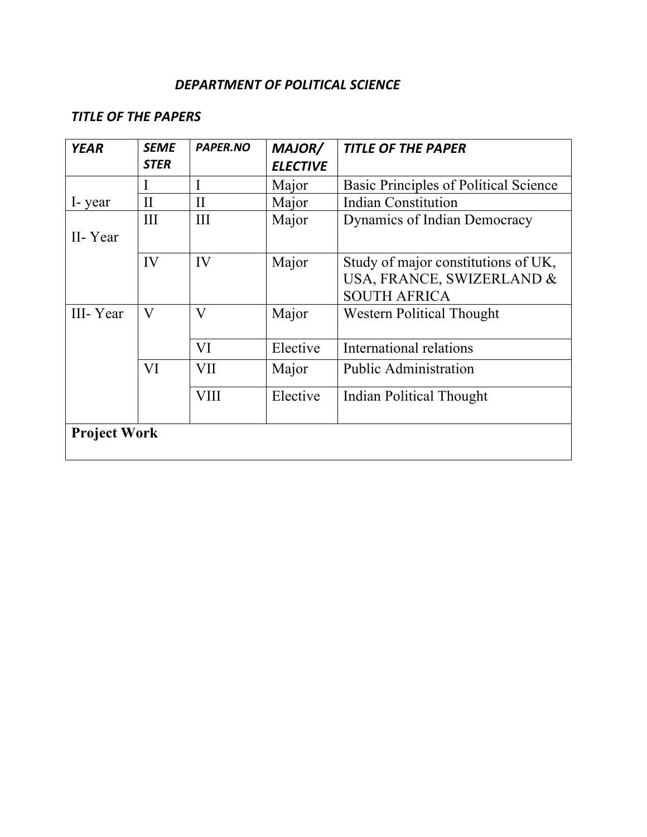### DEPARTMENT OF POLITICAL SCIENCE

### **TITLE OF THE PAPERS**

| <b>YEAR</b>         | <b>SEME</b><br><b>STER</b> | <b>PAPER.NO</b> | MAJOR/<br><b>ELECTIVE</b> | <b>TITLE OF THE PAPER</b>                                                               |
|---------------------|----------------------------|-----------------|---------------------------|-----------------------------------------------------------------------------------------|
|                     |                            |                 | Major                     | Basic Principles of Political Science                                                   |
| I-year              | $\mathbf{H}$               | $\mathbf{I}$    | Major                     | <b>Indian Constitution</b>                                                              |
| II-Year             | III                        | III             | Major                     | Dynamics of Indian Democracy                                                            |
|                     | IV                         | IV              | Major                     | Study of major constitutions of UK,<br>USA, FRANCE, SWIZERLAND &<br><b>SOUTH AFRICA</b> |
| III-Year            | V                          | $\rm V$         | Major                     | <b>Western Political Thought</b>                                                        |
|                     |                            | VI              | Elective                  | International relations                                                                 |
|                     | VI                         | VII             | Major                     | <b>Public Administration</b>                                                            |
|                     |                            | <b>VIII</b>     | Elective                  | <b>Indian Political Thought</b>                                                         |
| <b>Project Work</b> |                            |                 |                           |                                                                                         |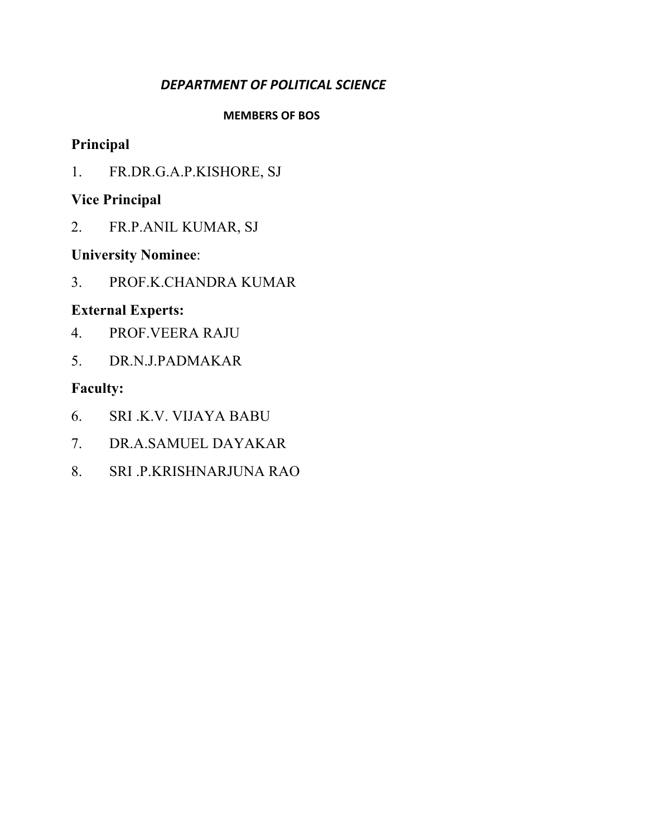## *DEPARTMENT OF POLITICAL SCIENCE*

#### **MEMBERS OF BOS**

# **Principal**

1. FR.DR.G.A.P.KISHORE, SJ

# **Vice Principal**

2. FR.P.ANIL KUMAR, SJ

# **University Nominee**:

3. PROF.K.CHANDRA KUMAR

# **External Experts:**

- 4. PROF.VEERA RAJU
- 5. DR.N.J.PADMAKAR

# **Faculty:**

- 6. SRI .K.V. VIJAYA BABU
- 7. DR.A.SAMUEL DAYAKAR
- 8. SRI .P.KRISHNARJUNA RAO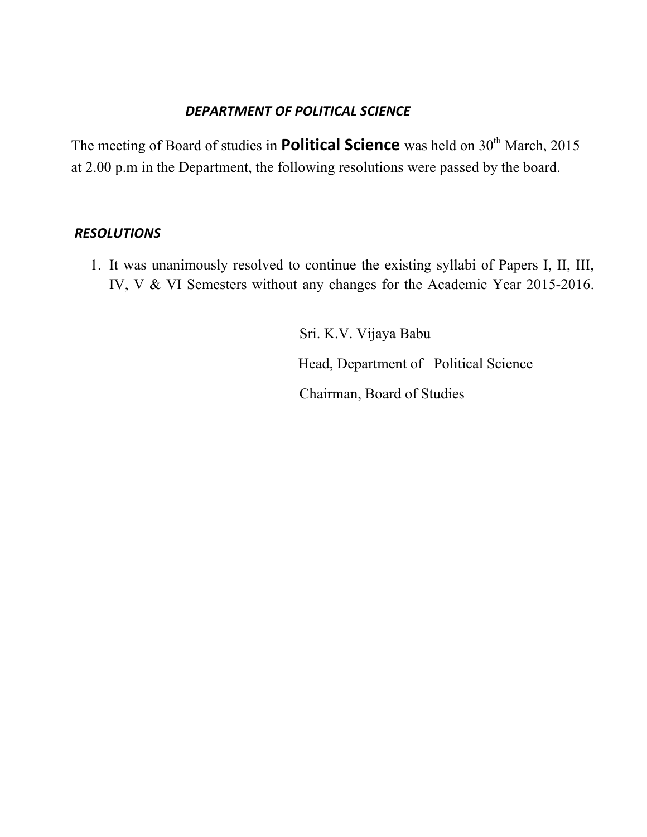### **DEPARTMENT OF POLITICAL SCIENCE**

The meeting of Board of studies in **Political Science** was held on 30<sup>th</sup> March, 2015 at 2.00 p.m in the Department, the following resolutions were passed by the board.

### *RESOLUTIONS*

1. It was unanimously resolved to continue the existing syllabi of Papers I, II, III, IV, V & VI Semesters without any changes for the Academic Year 2015-2016.

> Sri. K.V. Vijaya Babu Head, Department of Political Science Chairman, Board of Studies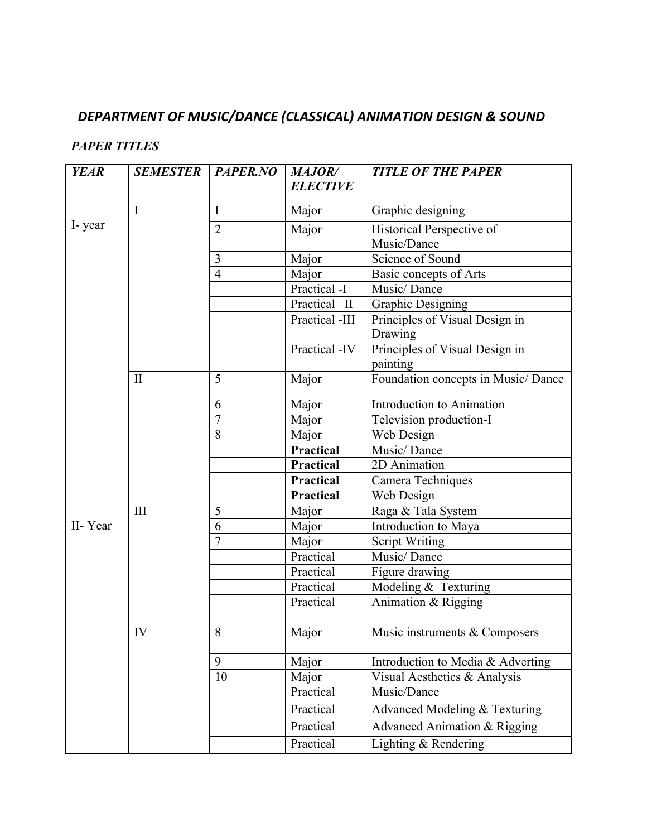# *DEPARTMENT OF MUSIC/DANCE (CLASSICAL) ANIMATION DESIGN & SOUND*

### *PAPER TITLES*

| <b>YEAR</b> | <b>SEMESTER</b> | PAPER.NO       | <b>MAJOR/</b>    | <b>TITLE OF THE PAPER</b>          |
|-------------|-----------------|----------------|------------------|------------------------------------|
|             |                 |                | <b>ELECTIVE</b>  |                                    |
|             | $\mathbf I$     | $\bf{I}$       | Major            | Graphic designing                  |
| I-year      |                 | $\overline{2}$ | Major            | Historical Perspective of          |
|             |                 |                |                  | Music/Dance                        |
|             |                 | 3              | Major            | Science of Sound                   |
|             |                 | $\overline{4}$ | Major            | Basic concepts of Arts             |
|             |                 |                | Practical -I     | Music/Dance                        |
|             |                 |                | Practical-II     | <b>Graphic Designing</b>           |
|             |                 |                | Practical -III   | Principles of Visual Design in     |
|             |                 |                |                  | Drawing                            |
|             |                 |                | Practical -IV    | Principles of Visual Design in     |
|             |                 |                |                  | painting                           |
|             | $\mathbf{I}$    | 5              | Major            | Foundation concepts in Music/Dance |
|             |                 | 6              | Major            | Introduction to Animation          |
|             |                 | $\overline{7}$ | Major            | Television production-I            |
|             |                 | 8              | Major            | Web Design                         |
|             |                 |                | <b>Practical</b> | Music/Dance                        |
|             |                 |                | Practical        | 2D Animation                       |
|             |                 |                | Practical        | Camera Techniques                  |
|             |                 |                | Practical        | Web Design                         |
|             | III             | 5              | Major            | Raga & Tala System                 |
| II-Year     |                 | 6              | Major            | Introduction to Maya               |
|             |                 | $\overline{7}$ | Major            | <b>Script Writing</b>              |
|             |                 |                | Practical        | Music/Dance                        |
|             |                 |                | Practical        | Figure drawing                     |
|             |                 |                | Practical        | Modeling & Texturing               |
|             |                 |                | Practical        | Animation & Rigging                |
|             | IV              | 8              | Major            | Music instruments & Composers      |
|             |                 | 9              | Major            | Introduction to Media & Adverting  |
|             |                 | 10             | Major            | Visual Aesthetics & Analysis       |
|             |                 |                | Practical        | Music/Dance                        |
|             |                 |                | Practical        | Advanced Modeling & Texturing      |
|             |                 |                | Practical        | Advanced Animation & Rigging       |
|             |                 |                | Practical        | Lighting & Rendering               |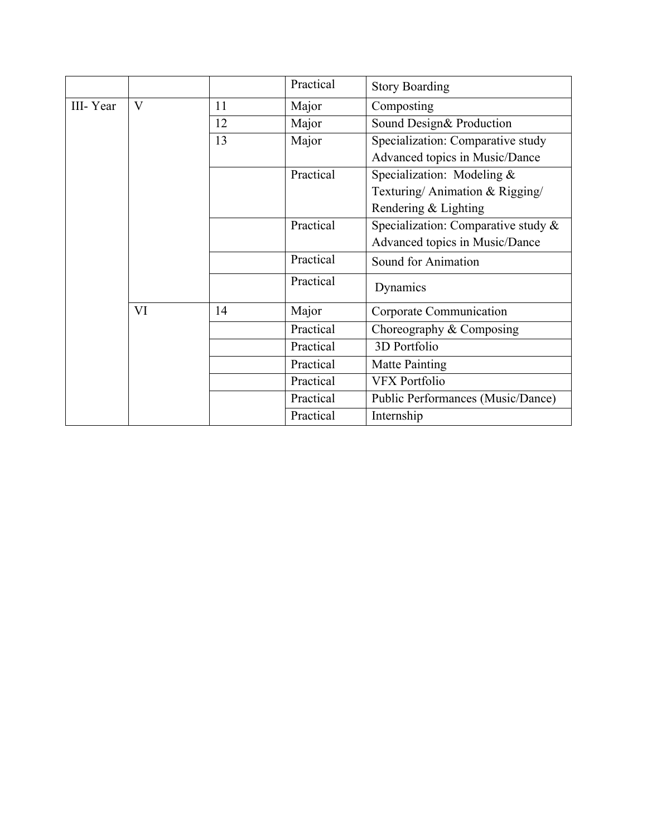|          |                         |    | Practical | <b>Story Boarding</b>                  |
|----------|-------------------------|----|-----------|----------------------------------------|
| III-Year | $\overline{\mathsf{V}}$ | 11 | Major     | Composting                             |
|          |                         | 12 | Major     | Sound Design& Production               |
|          |                         | 13 | Major     | Specialization: Comparative study      |
|          |                         |    |           | Advanced topics in Music/Dance         |
|          |                         |    | Practical | Specialization: Modeling &             |
|          |                         |    |           | Texturing/Animation & Rigging/         |
|          |                         |    |           | Rendering & Lighting                   |
|          |                         |    | Practical | Specialization: Comparative study $\&$ |
|          |                         |    |           | Advanced topics in Music/Dance         |
|          |                         |    | Practical | Sound for Animation                    |
|          |                         |    | Practical | Dynamics                               |
|          | VI                      | 14 | Major     | Corporate Communication                |
|          |                         |    | Practical | Choreography $&$ Composing             |
|          |                         |    | Practical | 3D Portfolio                           |
|          |                         |    | Practical | Matte Painting                         |
|          |                         |    | Practical | <b>VFX Portfolio</b>                   |
|          |                         |    | Practical | Public Performances (Music/Dance)      |
|          |                         |    | Practical | Internship                             |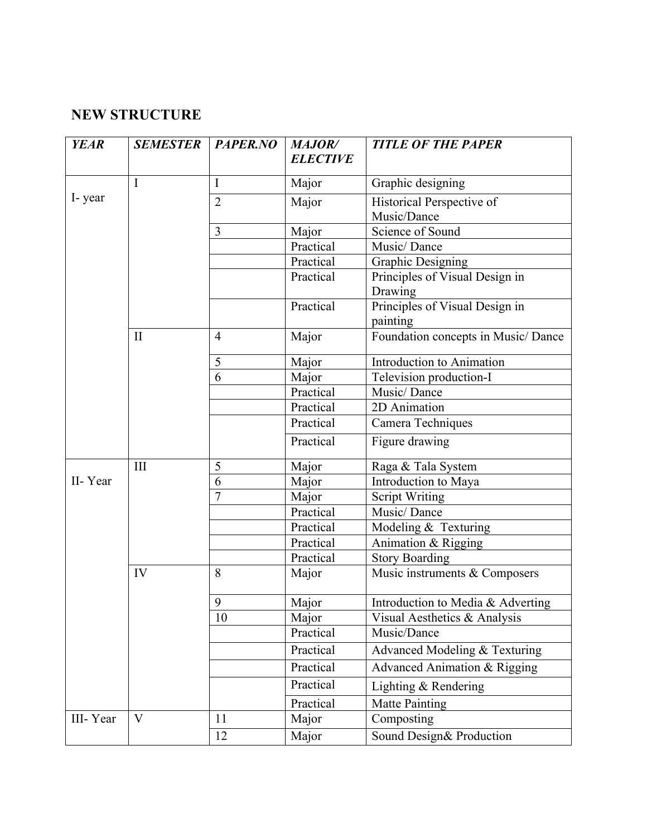# **NEW STRUCTURE**

| <b>YEAR</b> | <b>SEMESTER</b> | PAPER.NO       | <b>MAJOR/</b><br><b>ELECTIVE</b> | <b>TITLE OF THE PAPER</b>                  |
|-------------|-----------------|----------------|----------------------------------|--------------------------------------------|
|             | $\mathbf I$     | I              | Major                            | Graphic designing                          |
| I-year      |                 | $\overline{2}$ | Major                            | Historical Perspective of<br>Music/Dance   |
|             |                 | 3              | Major                            | Science of Sound                           |
|             |                 |                | Practical                        | Music/Dance                                |
|             |                 |                | Practical                        | <b>Graphic Designing</b>                   |
|             |                 |                | Practical                        | Principles of Visual Design in<br>Drawing  |
|             |                 |                | Practical                        | Principles of Visual Design in<br>painting |
|             | $\mathbf{I}$    | $\overline{4}$ | Major                            | Foundation concepts in Music/ Dance        |
|             |                 | 5              | Major                            | Introduction to Animation                  |
|             |                 | 6              | Major                            | Television production-I                    |
|             |                 |                | Practical                        | Music/Dance                                |
|             |                 |                | Practical                        | 2D Animation                               |
|             |                 |                | Practical                        | Camera Techniques                          |
|             |                 |                | Practical                        | Figure drawing                             |
|             | III             | 5              | Major                            | Raga & Tala System                         |
| II-Year     |                 | 6              | Major                            | Introduction to Maya                       |
|             |                 | $\overline{7}$ | Major                            | <b>Script Writing</b>                      |
|             |                 |                | Practical                        | Music/Dance                                |
|             |                 |                | Practical                        | Modeling & Texturing                       |
|             |                 |                | Practical                        | Animation & Rigging                        |
|             |                 |                | Practical                        | <b>Story Boarding</b>                      |
|             | IV              | 8              | Major                            | Music instruments & Composers              |
|             |                 | 9              | Major                            | Introduction to Media & Adverting          |
|             |                 | 10             | Major                            | Visual Aesthetics $&$ Analysis             |
|             |                 |                | Practical                        | Music/Dance                                |
|             |                 |                | Practical                        | Advanced Modeling & Texturing              |
|             |                 |                | Practical                        | Advanced Animation & Rigging               |
|             |                 |                | Practical                        | Lighting $&$ Rendering                     |
|             |                 |                | Practical                        | <b>Matte Painting</b>                      |
| III-Year    | $\bf V$         | 11             | Major                            | Composting                                 |
|             |                 | 12             | Major                            | Sound Design& Production                   |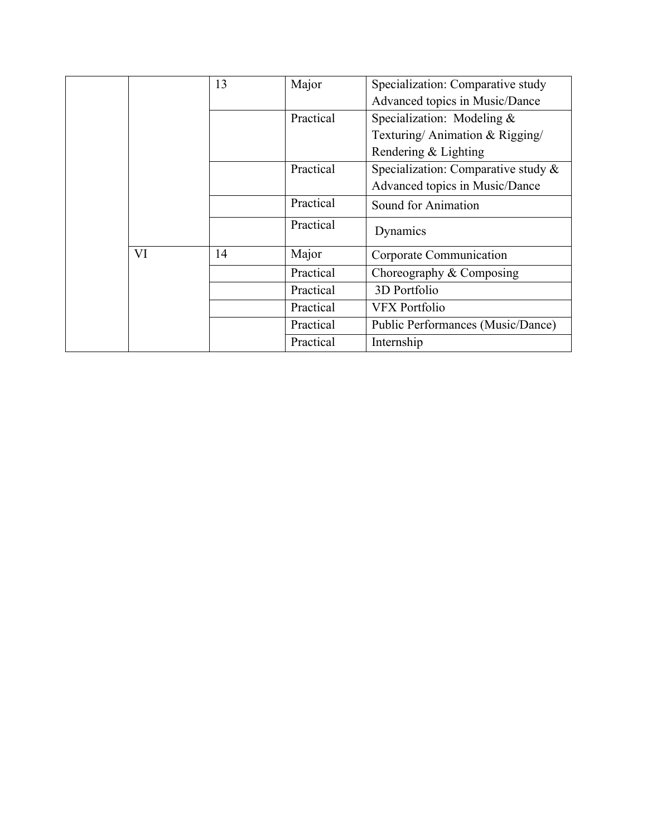|    | 13 | Major     | Specialization: Comparative study      |
|----|----|-----------|----------------------------------------|
|    |    |           | Advanced topics in Music/Dance         |
|    |    | Practical | Specialization: Modeling &             |
|    |    |           | Texturing/Animation & Rigging/         |
|    |    |           | Rendering & Lighting                   |
|    |    | Practical | Specialization: Comparative study $\&$ |
|    |    |           | Advanced topics in Music/Dance         |
|    |    | Practical | Sound for Animation                    |
|    |    | Practical | Dynamics                               |
| VI | 14 | Major     | Corporate Communication                |
|    |    | Practical | Choreography $&$ Composing             |
|    |    | Practical | 3D Portfolio                           |
|    |    | Practical | <b>VFX Portfolio</b>                   |
|    |    | Practical | Public Performances (Music/Dance)      |
|    |    | Practical | Internship                             |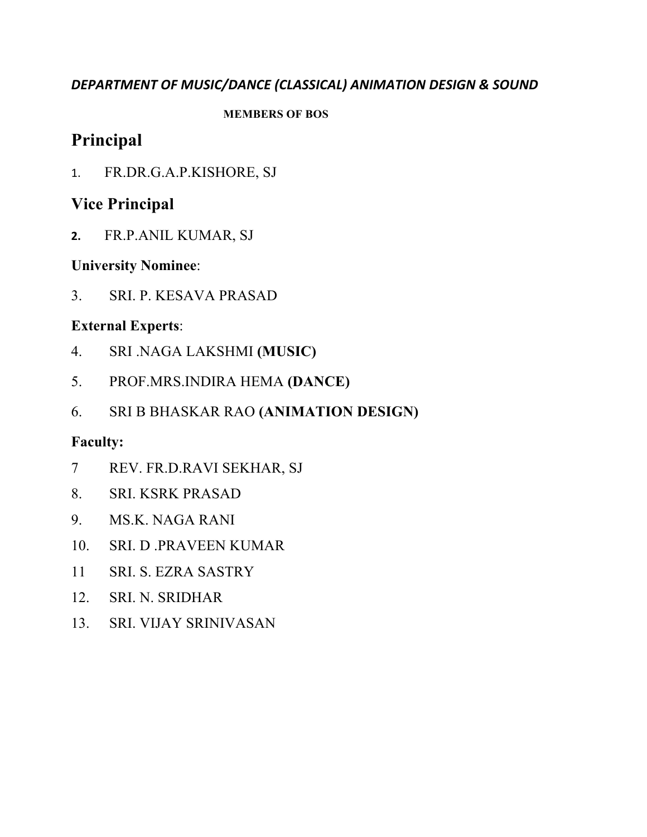### *DEPARTMENT OF MUSIC/DANCE (CLASSICAL) ANIMATION DESIGN & SOUND*

#### **MEMBERS OF BOS**

# **Principal**

1. FR.DR.G.A.P.KISHORE, SJ

# **Vice Principal**

**2.** FR.P.ANIL KUMAR, SJ

# **University Nominee**:

3. SRI. P. KESAVA PRASAD

# **External Experts**:

- 4. SRI .NAGA LAKSHMI **(MUSIC)**
- 5. PROF.MRS.INDIRA HEMA **(DANCE)**
- 6. SRI B BHASKAR RAO **(ANIMATION DESIGN)**

# **Faculty:**

- 7 REV. FR.D.RAVI SEKHAR, SJ
- 8. SRI. KSRK PRASAD
- 9. MS.K. NAGA RANI
- 10. SRI. D .PRAVEEN KUMAR
- 11 SRI. S. EZRA SASTRY
- 12. SRI. N. SRIDHAR
- 13. SRI. VIJAY SRINIVASAN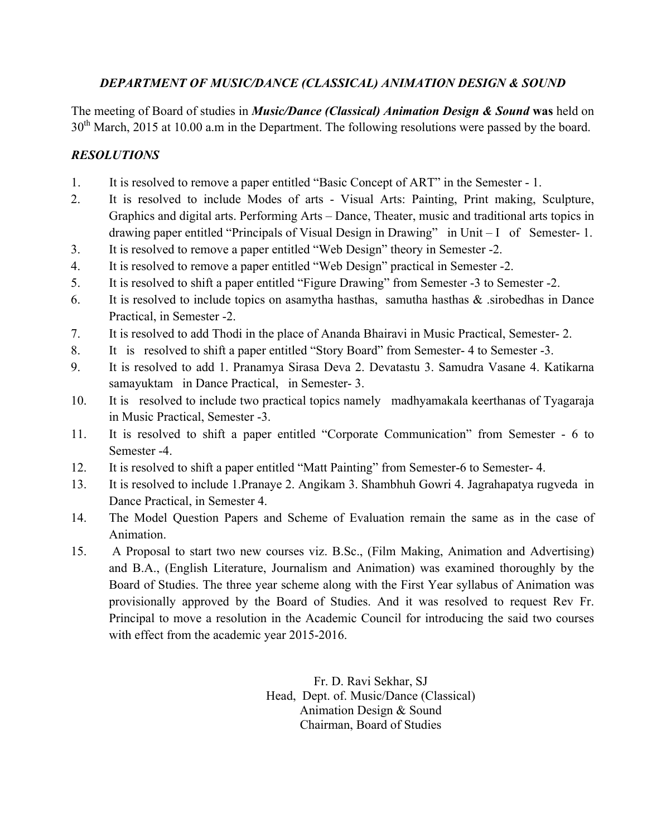#### *DEPARTMENT OF MUSIC/DANCE (CLASSICAL) ANIMATION DESIGN & SOUND*

The meeting of Board of studies in *Music/Dance (Classical) Animation Design & Sound* **was** held on 30<sup>th</sup> March, 2015 at 10.00 a.m in the Department. The following resolutions were passed by the board.

### *RESOLUTIONS*

- 1. It is resolved to remove a paper entitled "Basic Concept of ART" in the Semester 1.
- 2. It is resolved to include Modes of arts Visual Arts: Painting, Print making, Sculpture, Graphics and digital arts. Performing Arts – Dance, Theater, music and traditional arts topics in drawing paper entitled "Principals of Visual Design in Drawing" in Unit – I of Semester- 1.
- 3. It is resolved to remove a paper entitled "Web Design" theory in Semester -2.
- 4. It is resolved to remove a paper entitled "Web Design" practical in Semester -2.
- 5. It is resolved to shift a paper entitled "Figure Drawing" from Semester -3 to Semester -2.
- 6. It is resolved to include topics on asamytha hasthas, samutha hasthas & .sirobedhas in Dance Practical, in Semester -2.
- 7. It is resolved to add Thodi in the place of Ananda Bhairavi in Music Practical, Semester- 2.
- 8. It is resolved to shift a paper entitled "Story Board" from Semester- 4 to Semester -3.
- 9. It is resolved to add 1. Pranamya Sirasa Deva 2. Devatastu 3. Samudra Vasane 4. Katikarna samayuktam in Dance Practical, in Semester- 3.
- 10. It is resolved to include two practical topics namely madhyamakala keerthanas of Tyagaraja in Music Practical, Semester -3.
- 11. It is resolved to shift a paper entitled "Corporate Communication" from Semester 6 to Semester -4.
- 12. It is resolved to shift a paper entitled "Matt Painting" from Semester-6 to Semester- 4.
- 13. It is resolved to include 1.Pranaye 2. Angikam 3. Shambhuh Gowri 4. Jagrahapatya rugveda in Dance Practical, in Semester 4.
- 14. The Model Question Papers and Scheme of Evaluation remain the same as in the case of Animation.
- 15. A Proposal to start two new courses viz. B.Sc., (Film Making, Animation and Advertising) and B.A., (English Literature, Journalism and Animation) was examined thoroughly by the Board of Studies. The three year scheme along with the First Year syllabus of Animation was provisionally approved by the Board of Studies. And it was resolved to request Rev Fr. Principal to move a resolution in the Academic Council for introducing the said two courses with effect from the academic year 2015-2016.

Fr. D. Ravi Sekhar, SJ Head, Dept. of. Music/Dance (Classical) Animation Design & Sound Chairman, Board of Studies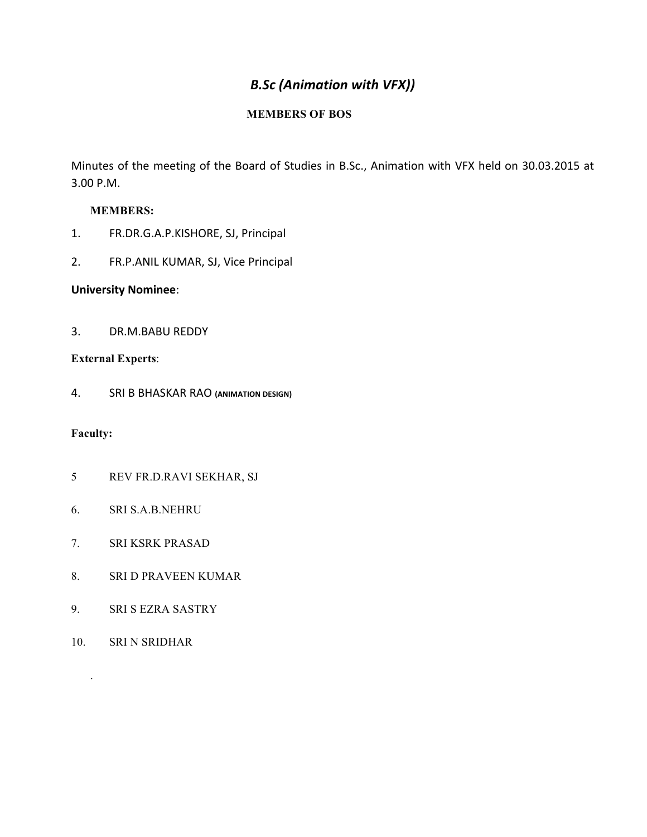## *B.Sc (Animation with VFX))*

#### **MEMBERS OF BOS**

Minutes of the meeting of the Board of Studies in B.Sc., Animation with VFX held on 30.03.2015 at 3.00 P.M.

#### **MEMBERS:**

- 1. FR.DR.G.A.P.KISHORE, SJ, Principal
- 2. FR.P.ANIL KUMAR, SJ, Vice Principal

#### **University Nominee**:

3. DR.M.BABU REDDY

#### **External Experts**:

4. SRI B BHASKAR RAO **(ANIMATION DESIGN)**

#### **Faculty:**

- 5 REV FR.D.RAVI SEKHAR, SJ
- 6. SRI S.A.B.NEHRU
- 7. SRI KSRK PRASAD
- 8. SRI D PRAVEEN KUMAR
- 9. SRI S EZRA SASTRY
- 10. SRI N SRIDHAR

.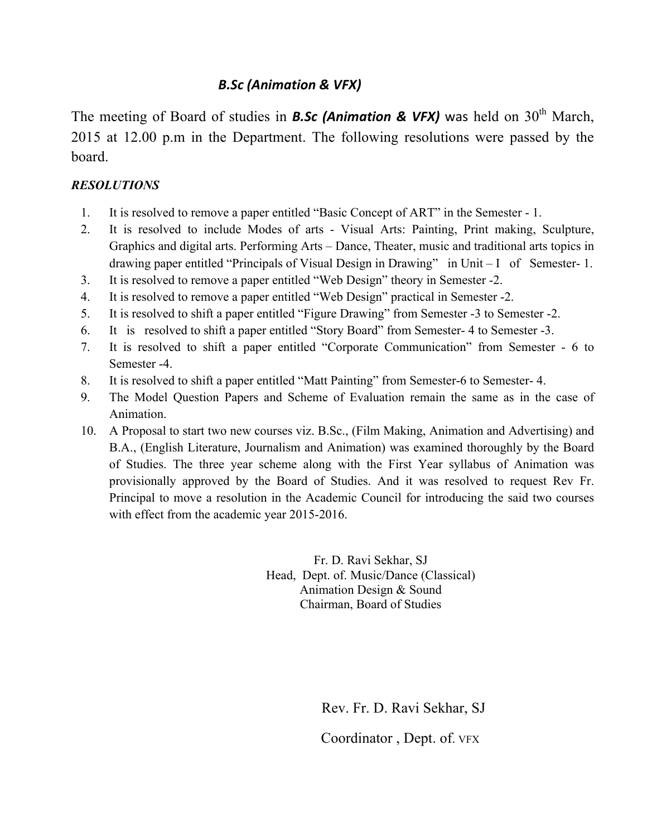### *B.Sc (Animation & VFX)*

The meeting of Board of studies in **B.Sc** (Animation & VFX) was held on 30<sup>th</sup> March, 2015 at 12.00 p.m in the Department. The following resolutions were passed by the board.

#### *RESOLUTIONS*

- 1. It is resolved to remove a paper entitled "Basic Concept of ART" in the Semester 1.
- 2. It is resolved to include Modes of arts Visual Arts: Painting, Print making, Sculpture, Graphics and digital arts. Performing Arts – Dance, Theater, music and traditional arts topics in drawing paper entitled "Principals of Visual Design in Drawing" in Unit – I of Semester- 1.
- 3. It is resolved to remove a paper entitled "Web Design" theory in Semester -2.
- 4. It is resolved to remove a paper entitled "Web Design" practical in Semester -2.
- 5. It is resolved to shift a paper entitled "Figure Drawing" from Semester -3 to Semester -2.
- 6. It is resolved to shift a paper entitled "Story Board" from Semester- 4 to Semester -3.
- 7. It is resolved to shift a paper entitled "Corporate Communication" from Semester 6 to Semester -4.
- 8. It is resolved to shift a paper entitled "Matt Painting" from Semester-6 to Semester- 4.
- 9. The Model Question Papers and Scheme of Evaluation remain the same as in the case of Animation.
- 10. A Proposal to start two new courses viz. B.Sc., (Film Making, Animation and Advertising) and B.A., (English Literature, Journalism and Animation) was examined thoroughly by the Board of Studies. The three year scheme along with the First Year syllabus of Animation was provisionally approved by the Board of Studies. And it was resolved to request Rev Fr. Principal to move a resolution in the Academic Council for introducing the said two courses with effect from the academic year 2015-2016.

Fr. D. Ravi Sekhar, SJ Head, Dept. of. Music/Dance (Classical) Animation Design & Sound Chairman, Board of Studies

> Rev. Fr. D. Ravi Sekhar, SJ Coordinator , Dept. of. VFX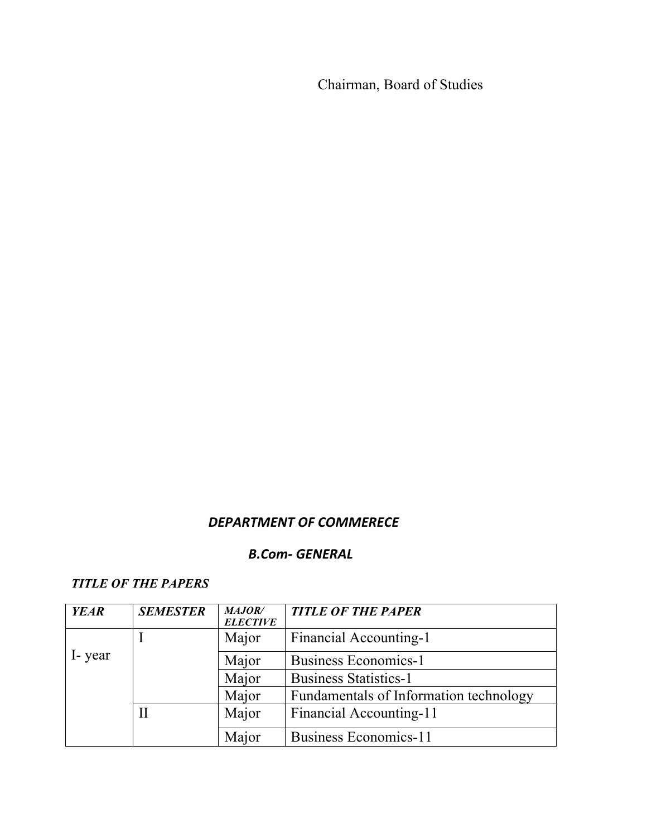Chairman, Board of Studies

# *DEPARTMENT OF COMMERECE*

## **B.Com-** GENERAL

#### *TITLE OF THE PAPERS*

| <b>YEAR</b> | <b>SEMESTER</b> | <b>MAJOR/</b><br><b>ELECTIVE</b> | <b>TITLE OF THE PAPER</b>              |
|-------------|-----------------|----------------------------------|----------------------------------------|
|             |                 | Major                            | Financial Accounting-1                 |
| I-year      |                 | Major                            | <b>Business Economics-1</b>            |
|             |                 | Major                            | <b>Business Statistics-1</b>           |
|             |                 | Major                            | Fundamentals of Information technology |
|             |                 | Major                            | Financial Accounting-11                |
|             |                 | Major                            | <b>Business Economics-11</b>           |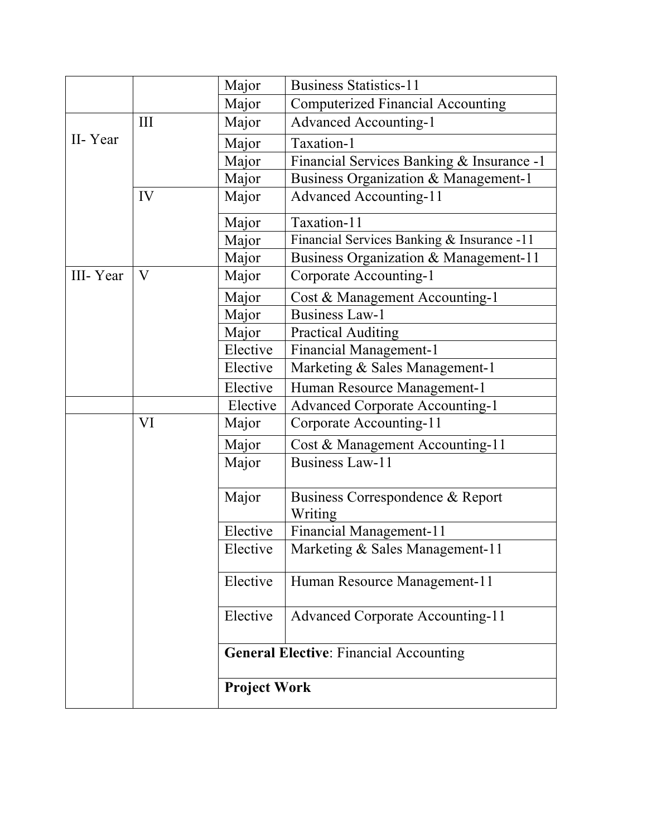|          |     | Major               | <b>Business Statistics-11</b>                 |  |
|----------|-----|---------------------|-----------------------------------------------|--|
|          |     | Major               | <b>Computerized Financial Accounting</b>      |  |
|          | III | Major               | <b>Advanced Accounting-1</b>                  |  |
| II-Year  |     | Major               | Taxation-1                                    |  |
|          |     | Major               | Financial Services Banking & Insurance -1     |  |
|          |     | Major               | Business Organization & Management-1          |  |
|          | IV  | Major               | <b>Advanced Accounting-11</b>                 |  |
|          |     | Major               | Taxation-11                                   |  |
|          |     | Major               | Financial Services Banking & Insurance -11    |  |
|          |     | Major               | Business Organization & Management-11         |  |
| III-Year | V   | Major               | Corporate Accounting-1                        |  |
|          |     | Major               | Cost & Management Accounting-1                |  |
|          |     | Major               | <b>Business Law-1</b>                         |  |
|          |     | Major               | <b>Practical Auditing</b>                     |  |
|          |     | Elective            | <b>Financial Management-1</b>                 |  |
|          |     | Elective            | Marketing & Sales Management-1                |  |
|          |     | Elective            | Human Resource Management-1                   |  |
|          |     | Elective            | <b>Advanced Corporate Accounting-1</b>        |  |
|          | VI  | Major               | Corporate Accounting-11                       |  |
|          |     | Major               | Cost & Management Accounting-11               |  |
|          |     | Major               | <b>Business Law-11</b>                        |  |
|          |     | Major               | Business Correspondence & Report<br>Writing   |  |
|          |     | Elective            | Financial Management-11                       |  |
|          |     | Elective            | Marketing & Sales Management-11               |  |
|          |     | Elective            | Human Resource Management-11                  |  |
|          |     | Elective            | <b>Advanced Corporate Accounting-11</b>       |  |
|          |     |                     | <b>General Elective: Financial Accounting</b> |  |
|          |     | <b>Project Work</b> |                                               |  |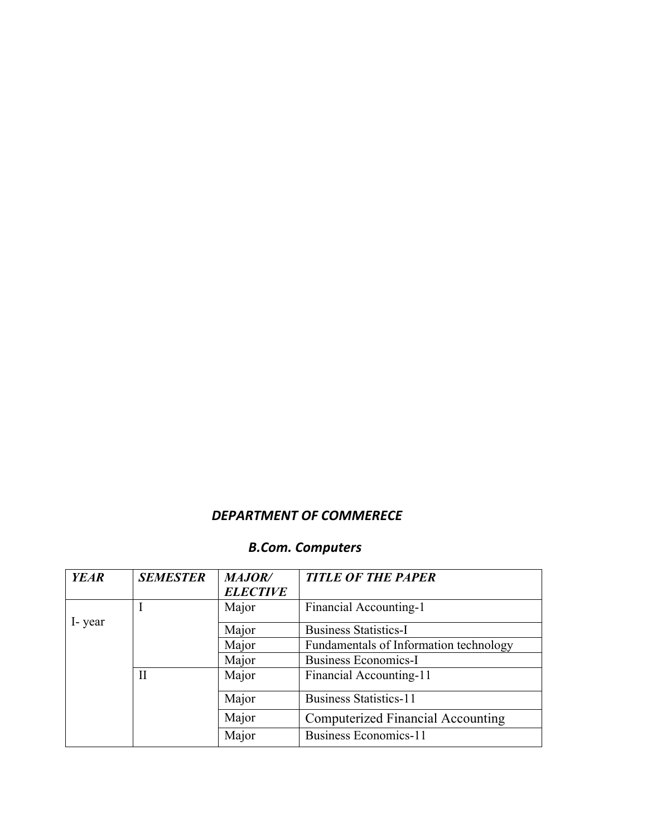# **DEPARTMENT** OF COMMERECE

# **B.Com.** *Computers*

| <b>YEAR</b> | <b>SEMESTER</b> | <b>MAJOR/</b><br><b>ELECTIVE</b> | <b>TITLE OF THE PAPER</b>                |
|-------------|-----------------|----------------------------------|------------------------------------------|
|             |                 | Major                            | Financial Accounting-1                   |
| I-year      |                 | Major                            | <b>Business Statistics-I</b>             |
|             |                 | Major                            | Fundamentals of Information technology   |
|             |                 | Major                            | <b>Business Economics-I</b>              |
|             | $\rm II$        | Major                            | Financial Accounting-11                  |
|             |                 | Major                            | <b>Business Statistics-11</b>            |
|             |                 | Major                            | <b>Computerized Financial Accounting</b> |
|             |                 | Major                            | <b>Business Economics-11</b>             |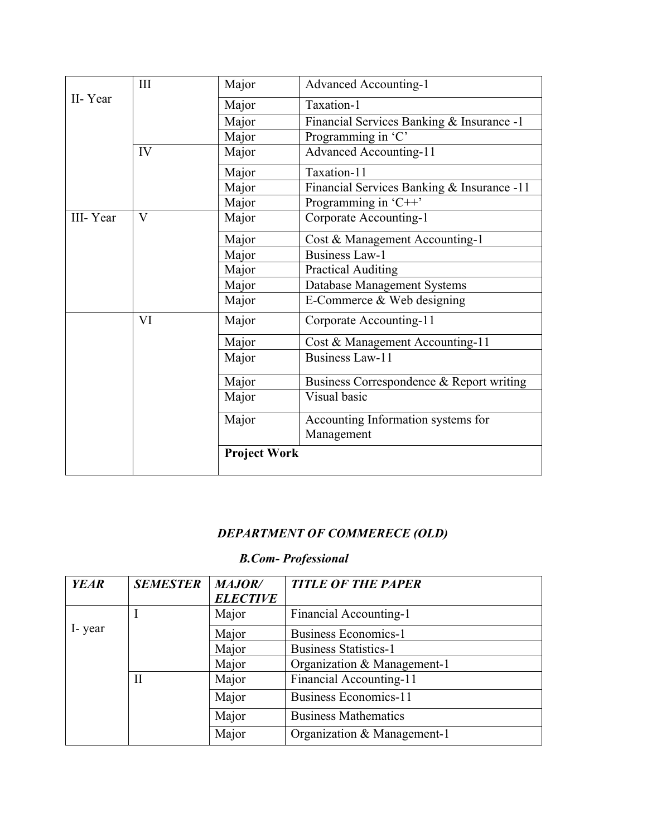|          | III                     | Major               | <b>Advanced Accounting-1</b>               |
|----------|-------------------------|---------------------|--------------------------------------------|
| II-Year  |                         | Major               | Taxation-1                                 |
|          |                         | Major               | Financial Services Banking & Insurance -1  |
|          |                         | Major               | Programming in 'C'                         |
|          | IV                      | Major               | <b>Advanced Accounting-11</b>              |
|          |                         | Major               | Taxation-11                                |
|          |                         | Major               | Financial Services Banking & Insurance -11 |
|          |                         | Major               | Programming in 'C++'                       |
| III-Year | $\overline{\mathbf{V}}$ | Major               | Corporate Accounting-1                     |
|          |                         | Major               | Cost & Management Accounting-1             |
|          |                         | Major               | <b>Business Law-1</b>                      |
|          |                         | Major               | <b>Practical Auditing</b>                  |
|          |                         | Major               | <b>Database Management Systems</b>         |
|          |                         | Major               | E-Commerce & Web designing                 |
|          | VI                      | Major               | Corporate Accounting-11                    |
|          |                         | Major               | Cost & Management Accounting-11            |
|          |                         | Major               | <b>Business Law-11</b>                     |
|          |                         | Major               | Business Correspondence & Report writing   |
|          |                         | Major               | Visual basic                               |
|          |                         | Major               | Accounting Information systems for         |
|          |                         |                     | Management                                 |
|          |                         | <b>Project Work</b> |                                            |

# *DEPARTMENT OF COMMERECE (OLD)*

# *B.Com- Professional*

| <b>YEAR</b> | <b>SEMESTER</b> | <b>MAJOR/</b>   | <b>TITLE OF THE PAPER</b>    |
|-------------|-----------------|-----------------|------------------------------|
|             |                 | <b>ELECTIVE</b> |                              |
|             |                 | Major           | Financial Accounting-1       |
| I-year      |                 | Major           | <b>Business Economics-1</b>  |
|             |                 | Major           | <b>Business Statistics-1</b> |
|             |                 | Major           | Organization & Management-1  |
|             | $\mathbf{I}$    | Major           | Financial Accounting-11      |
|             |                 | Major           | <b>Business Economics-11</b> |
|             |                 | Major           | <b>Business Mathematics</b>  |
|             |                 | Major           | Organization & Management-1  |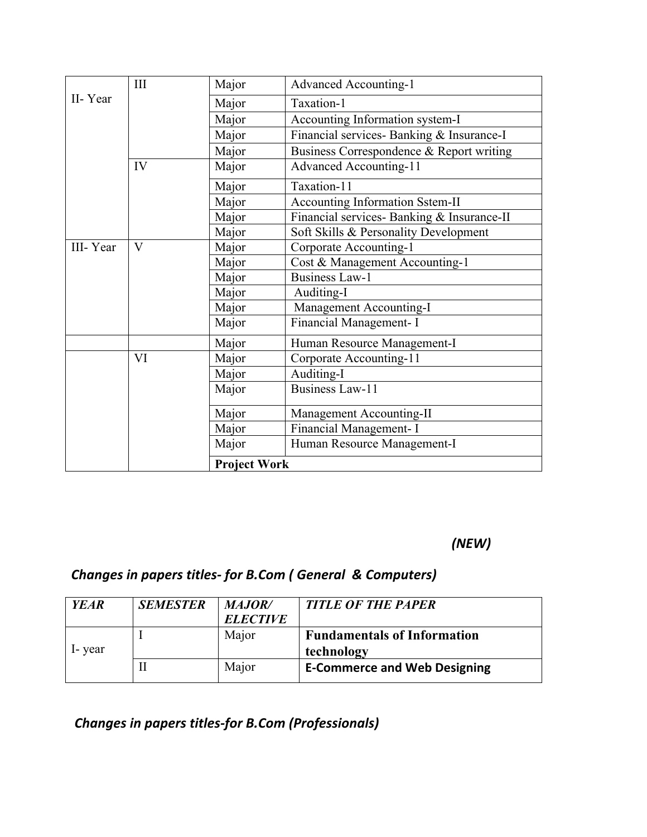|          |              | <b>Project Work</b> |                                            |
|----------|--------------|---------------------|--------------------------------------------|
|          |              | Major               | Human Resource Management-I                |
|          |              | Major               | Financial Management- I                    |
|          |              | Major               | Management Accounting-II                   |
|          |              | Major               | <b>Business Law-11</b>                     |
|          |              | Major               | Auditing-I                                 |
|          | VI           | Major               | Corporate Accounting-11                    |
|          |              | Major               | Human Resource Management-I                |
|          |              | Major               | Financial Management- I                    |
|          |              | Major               | Management Accounting-I                    |
|          |              | Major               | Auditing-I                                 |
|          |              | Major               | <b>Business Law-1</b>                      |
|          |              | Major               | Cost & Management Accounting-1             |
| III-Year | $\mathbf{V}$ | Major               | Corporate Accounting-1                     |
|          |              | Major               | Soft Skills & Personality Development      |
|          |              | Major               | Financial services- Banking & Insurance-II |
|          |              | Major               | Accounting Information Sstem-II            |
|          |              | Major               | Taxation-11                                |
|          | IV           | Major               | <b>Advanced Accounting-11</b>              |
|          |              | Major               | Business Correspondence & Report writing   |
|          |              | Major               | Financial services- Banking & Insurance-I  |
|          |              | Major               | Accounting Information system-I            |
| II-Year  |              | Major               | Taxation-1                                 |
|          | III          | Major               | <b>Advanced Accounting-1</b>               |
|          |              |                     |                                            |

*(NEW)*

# **Changes in papers titles- for B.Com (***General & Computers*)

| <b>YEAR</b> | <b>SEMESTER</b> | <b>MAJOR</b><br><b>ELECTIVE</b> | <b>TITLE OF THE PAPER</b>                        |
|-------------|-----------------|---------------------------------|--------------------------------------------------|
| I-vear      |                 | Major                           | <b>Fundamentals of Information</b><br>technology |
|             | П               | Major                           | <b>E-Commerce and Web Designing</b>              |

 *Changes in papers titles-for B.Com (Professionals)*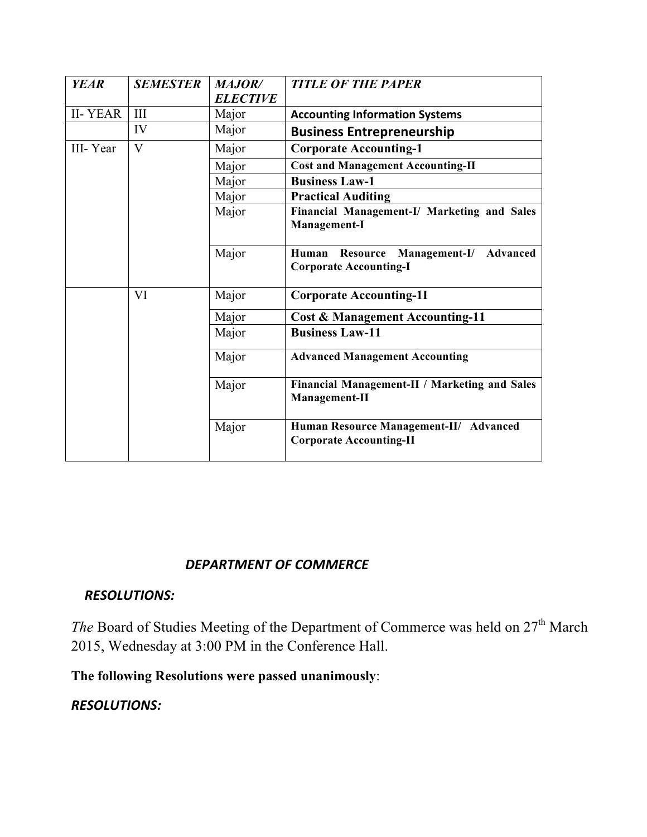| <b>YEAR</b>    | <b>SEMESTER</b> | <b>MAJOR/</b><br><b>ELECTIVE</b> | <b>TITLE OF THE PAPER</b>                                                    |
|----------------|-----------------|----------------------------------|------------------------------------------------------------------------------|
| <b>II-YEAR</b> | III             | Major                            | <b>Accounting Information Systems</b>                                        |
|                | IV              | Major                            | <b>Business Entrepreneurship</b>                                             |
| III-Year       | $\mathbf{V}$    | Major                            | <b>Corporate Accounting-1</b>                                                |
|                |                 | Major                            | <b>Cost and Management Accounting-II</b>                                     |
|                |                 | Major                            | <b>Business Law-1</b>                                                        |
|                |                 | Major                            | <b>Practical Auditing</b>                                                    |
|                |                 | Major                            | Financial Management-I/ Marketing and Sales<br>Management-I                  |
|                |                 | Major                            | Resource<br>Management-I/ Advanced<br>Human<br><b>Corporate Accounting-I</b> |
|                | VI              | Major                            | <b>Corporate Accounting-1I</b>                                               |
|                |                 | Major                            | <b>Cost &amp; Management Accounting-11</b>                                   |
|                |                 | Major                            | <b>Business Law-11</b>                                                       |
|                |                 | Major                            | <b>Advanced Management Accounting</b>                                        |
|                |                 | Major                            | Financial Management-II / Marketing and Sales<br>Management-II               |
|                |                 | Major                            | Human Resource Management-II/ Advanced<br><b>Corporate Accounting-II</b>     |

## **DEPARTMENT OF COMMERCE**

### *RESOLUTIONS:*

*The Board of Studies Meeting of the Department of Commerce was held on 27<sup>th</sup> March* 2015, Wednesday at 3:00 PM in the Conference Hall.

**The following Resolutions were passed unanimously**:

### **RESOLUTIONS:**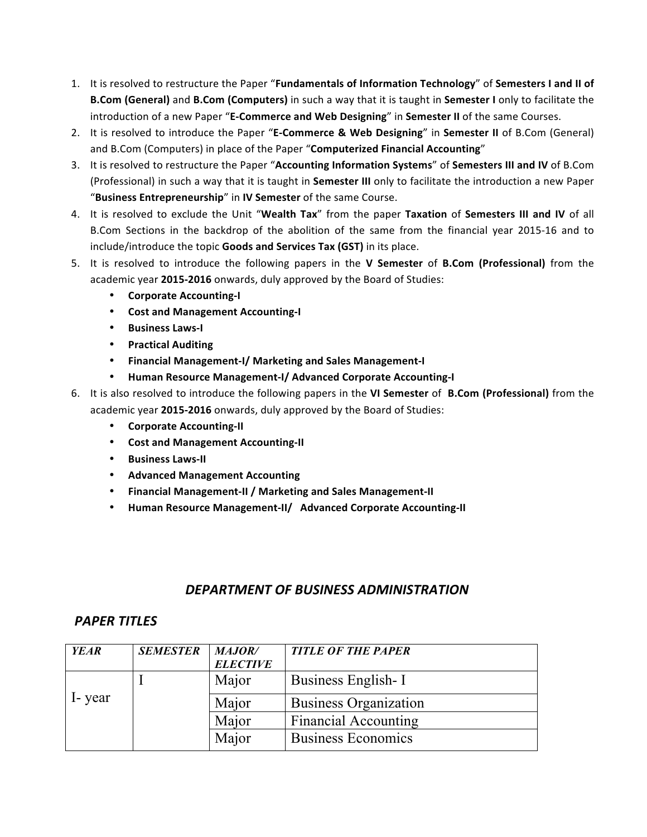- 1. It is resolved to restructure the Paper "**Fundamentals of Information Technology**" of **Semesters I and II of B.Com (General)** and **B.Com (Computers)** in such a way that it is taught in **Semester I** only to facilitate the introduction of a new Paper "E-Commerce and Web Designing" in Semester II of the same Courses.
- 2. It is resolved to introduce the Paper "E-Commerce & Web Designing" in Semester II of B.Com (General) and B.Com (Computers) in place of the Paper "Computerized Financial Accounting"
- 3. It is resolved to restructure the Paper "Accounting Information Systems" of Semesters III and IV of B.Com (Professional) in such a way that it is taught in **Semester III** only to facilitate the introduction a new Paper "Business Entrepreneurship" in IV Semester of the same Course.
- 4. It is resolved to exclude the Unit "Wealth Tax" from the paper Taxation of Semesters III and IV of all B.Com Sections in the backdrop of the abolition of the same from the financial year 2015-16 and to include/introduce the topic **Goods and Services Tax (GST)** in its place.
- 5. It is resolved to introduce the following papers in the **V Semester** of **B.Com (Professional)** from the academic year 2015-2016 onwards, duly approved by the Board of Studies:
	- **Corporate Accounting-I**
	- **Cost and Management Accounting-I**
	- **Business Laws-I**
	- **Practical Auditing**
	- **Financial Management-I/ Marketing and Sales Management-I**
	- **Human Resource Management-I/ Advanced Corporate Accounting-I**
- 6. It is also resolved to introduce the following papers in the VI Semester of B.Com (Professional) from the academic year **2015-2016** onwards, duly approved by the Board of Studies:
	- **Corporate Accounting-II**
	- **Cost and Management Accounting-II**
	- **Business Laws-II**
	- **Advanced Management Accounting**
	- **Financial Management-II / Marketing and Sales Management-II**
	- **Human Resource Management-II/ Advanced Corporate Accounting-II**

#### *DEPARTMENT OF BUSINESS ADMINISTRATION*

#### *PAPER TITLES*

| <b>YEAR</b> | <b>SEMESTER</b> | MAJOR/          | <b>TITLE OF THE PAPER</b>    |
|-------------|-----------------|-----------------|------------------------------|
|             |                 | <b>ELECTIVE</b> |                              |
|             |                 | Major           | Business English-I           |
| I-year      |                 | Major           | <b>Business Organization</b> |
|             |                 | Major           | <b>Financial Accounting</b>  |
|             |                 | Major           | <b>Business Economics</b>    |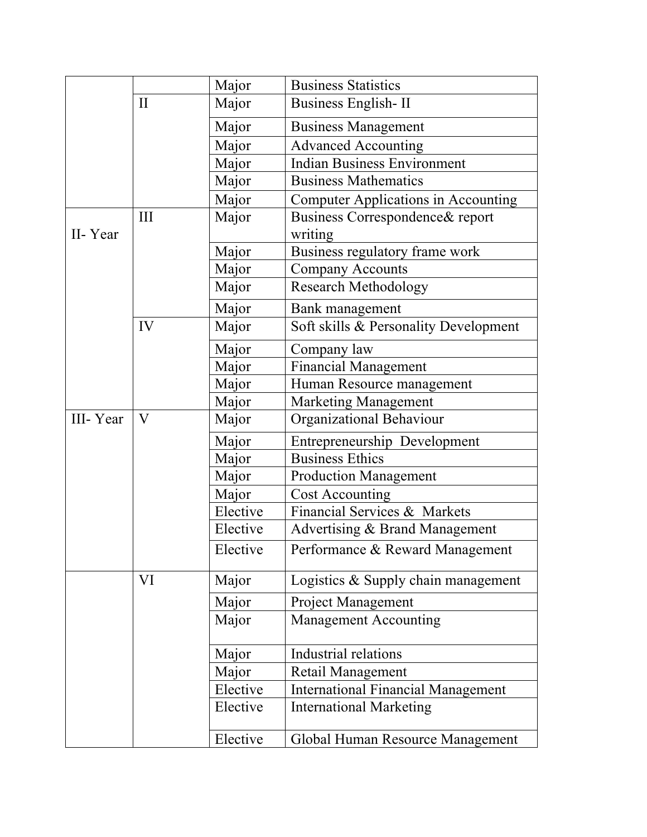|          |          | Major    | <b>Business Statistics</b>                  |
|----------|----------|----------|---------------------------------------------|
|          | $\rm II$ | Major    | <b>Business English-II</b>                  |
|          |          | Major    | <b>Business Management</b>                  |
|          |          | Major    | <b>Advanced Accounting</b>                  |
|          |          | Major    | <b>Indian Business Environment</b>          |
|          |          | Major    | <b>Business Mathematics</b>                 |
|          |          | Major    | <b>Computer Applications in Accounting</b>  |
| II-Year  | Ш        | Major    | Business Correspondence & report<br>writing |
|          |          | Major    | Business regulatory frame work              |
|          |          | Major    | <b>Company Accounts</b>                     |
|          |          | Major    | <b>Research Methodology</b>                 |
|          |          | Major    | Bank management                             |
|          | IV       | Major    | Soft skills & Personality Development       |
|          |          | Major    | Company law                                 |
|          |          | Major    | <b>Financial Management</b>                 |
|          |          | Major    | Human Resource management                   |
|          |          | Major    | <b>Marketing Management</b>                 |
| III-Year | V        | Major    | Organizational Behaviour                    |
|          |          | Major    | Entrepreneurship Development                |
|          |          | Major    | <b>Business Ethics</b>                      |
|          |          | Major    | <b>Production Management</b>                |
|          |          | Major    | <b>Cost Accounting</b>                      |
|          |          | Elective | Financial Services & Markets                |
|          |          | Elective | Advertising & Brand Management              |
|          |          | Elective | Performance & Reward Management             |
|          | VI       | Major    | Logistics $&$ Supply chain management       |
|          |          | Major    | <b>Project Management</b>                   |
|          |          | Major    | <b>Management Accounting</b>                |
|          |          | Major    | Industrial relations                        |
|          |          | Major    | Retail Management                           |
|          |          | Elective | <b>International Financial Management</b>   |
|          |          | Elective | <b>International Marketing</b>              |
|          |          | Elective | Global Human Resource Management            |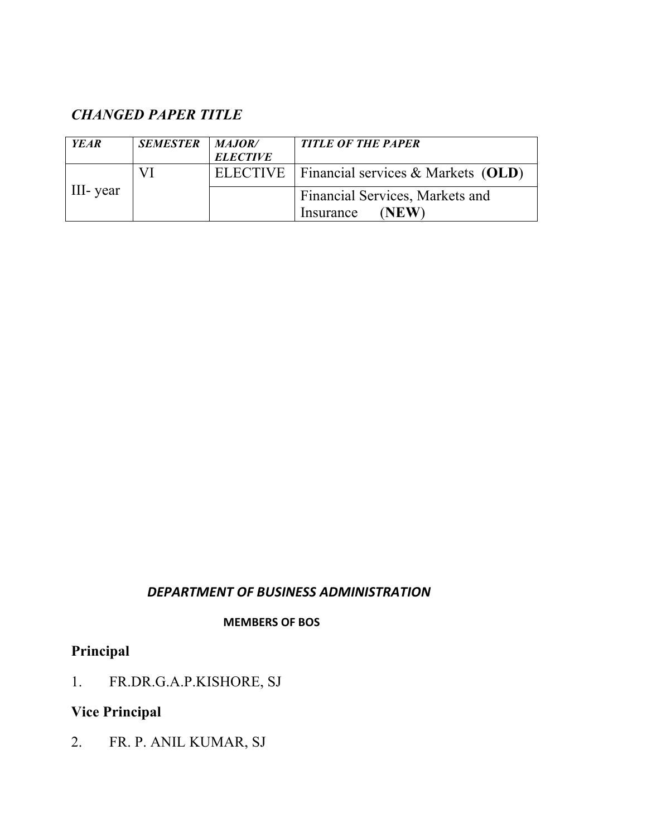# *CHANGED PAPER TITLE*

| <b>YEAR</b> | <b>SEMESTER</b> | MAJOR/          | <b>TITLE OF THE PAPER</b>                     |
|-------------|-----------------|-----------------|-----------------------------------------------|
|             |                 | <b>ELECTIVE</b> |                                               |
|             | VI              |                 | ELECTIVE   Financial services & Markets (OLD) |
| III- year   |                 |                 | Financial Services, Markets and               |
|             |                 |                 | <b>NEW</b><br>Insurance                       |

### *DEPARTMENT OF BUSINESS ADMINISTRATION*

#### **MEMBERS OF BOS**

# **Principal**

1. FR.DR.G.A.P.KISHORE, SJ

# **Vice Principal**

2. FR. P. ANIL KUMAR, SJ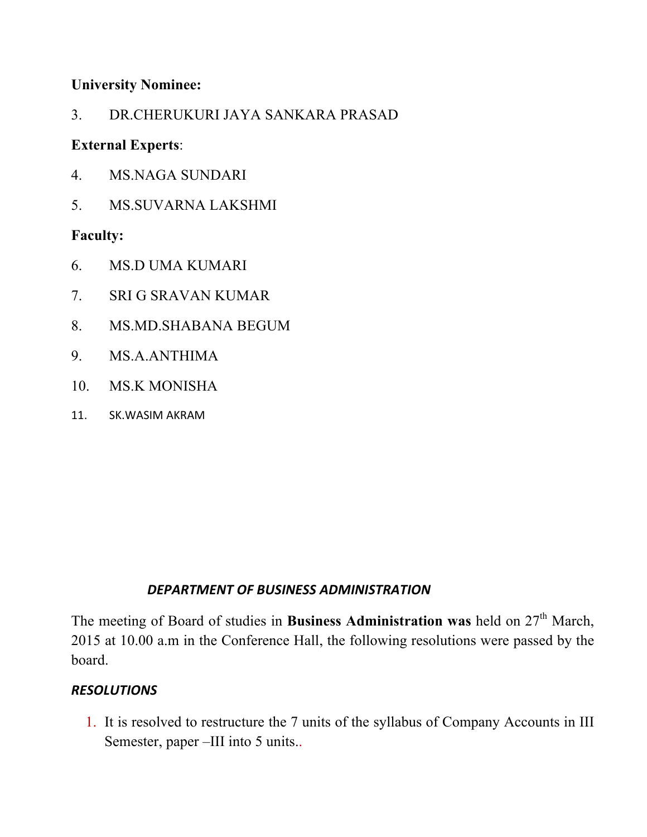## **University Nominee:**

3. DR.CHERUKURI JAYA SANKARA PRASAD

# **External Experts**:

- 4. MS.NAGA SUNDARI
- 5. MS.SUVARNA LAKSHMI

# **Faculty:**

- 6. MS.D UMA KUMARI
- 7. SRI G SRAVAN KUMAR
- 8. MS.MD.SHABANA BEGUM
- 9. MS.A.ANTHIMA
- 10. MS.K MONISHA
- 11. SK.WASIM AKRAM

# *DEPARTMENT OF BUSINESS ADMINISTRATION*

The meeting of Board of studies in **Business Administration was** held on 27<sup>th</sup> March, 2015 at 10.00 a.m in the Conference Hall, the following resolutions were passed by the board.

# *RESOLUTIONS*

1. It is resolved to restructure the 7 units of the syllabus of Company Accounts in III Semester, paper –III into 5 units..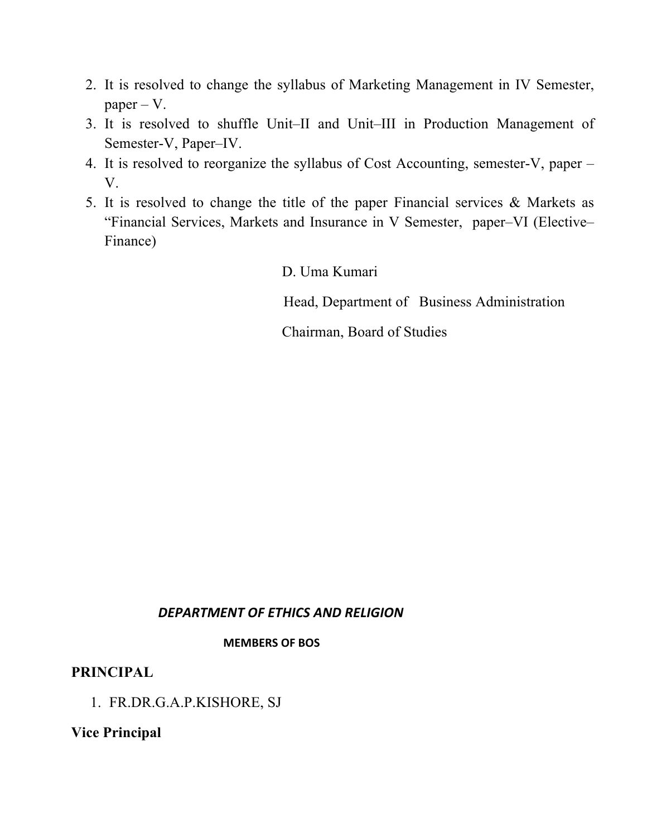- 2. It is resolved to change the syllabus of Marketing Management in IV Semester, paper – V.
- 3. It is resolved to shuffle Unit–II and Unit–III in Production Management of Semester-V, Paper–IV.
- 4. It is resolved to reorganize the syllabus of Cost Accounting, semester-V, paper V.
- 5. It is resolved to change the title of the paper Financial services & Markets as "Financial Services, Markets and Insurance in V Semester, paper–VI (Elective– Finance)

D. Uma Kumari

Head, Department of Business Administration

Chairman, Board of Studies

#### *DEPARTMENT OF ETHICS AND RELIGION*

#### **MEMBERS OF BOS**

### **PRINCIPAL**

1. FR.DR.G.A.P.KISHORE, SJ

**Vice Principal**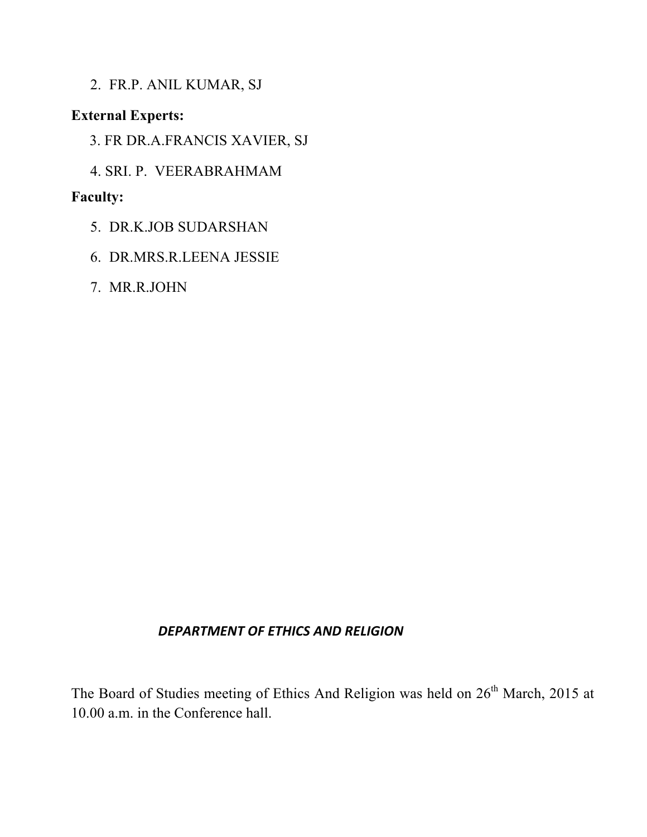2. FR.P. ANIL KUMAR, SJ

## **External Experts:**

- 3. FR DR.A.FRANCIS XAVIER, SJ
- 4. SRI. P. VEERABRAHMAM

### **Faculty:**

- 5. DR.K.JOB SUDARSHAN
- 6. DR.MRS.R.LEENA JESSIE
- 7. MR.R.JOHN

### *DEPARTMENT OF ETHICS AND RELIGION*

The Board of Studies meeting of Ethics And Religion was held on 26<sup>th</sup> March, 2015 at 10.00 a.m. in the Conference hall.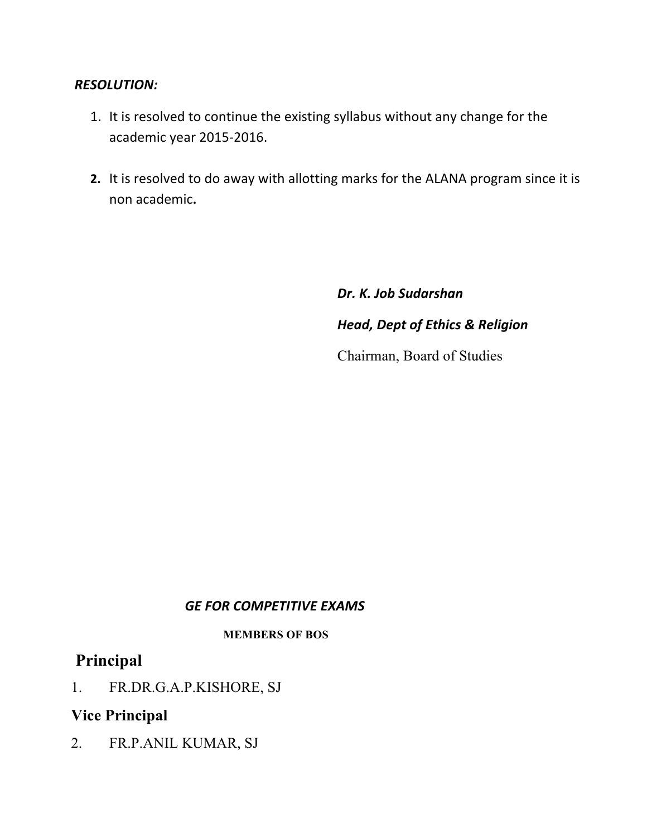### *RESOLUTION:*

- 1. It is resolved to continue the existing syllabus without any change for the academic year 2015-2016.
- **2.** It is resolved to do away with allotting marks for the ALANA program since it is non academic**.**

*Dr. K. Job Sudarshan Head, Dept of Ethics & Religion* Chairman, Board of Studies

### *GE FOR COMPETITIVE EXAMS*

#### **MEMBERS OF BOS**

# **Principal**

1. FR.DR.G.A.P.KISHORE, SJ

### **Vice Principal**

2. FR.P.ANIL KUMAR, SJ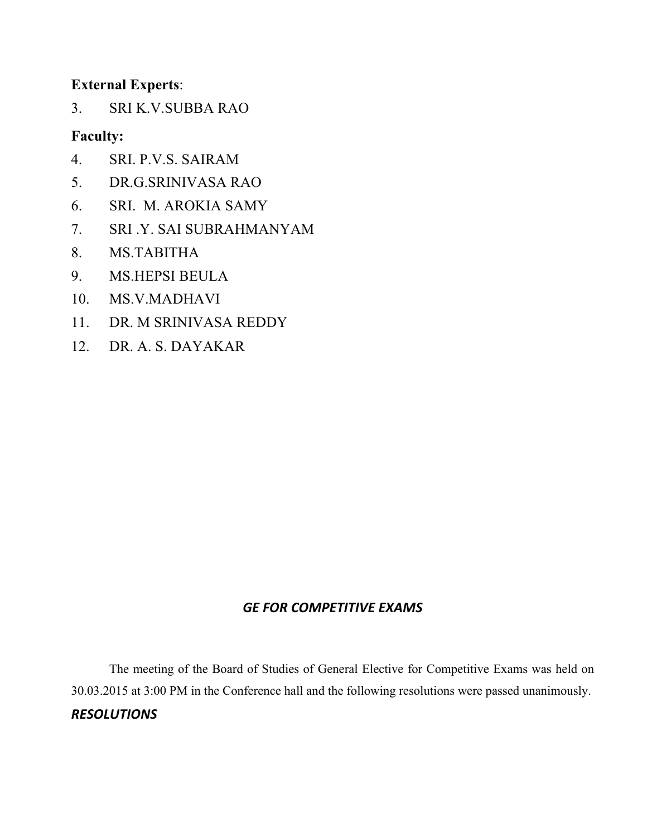### **External Experts**:

3. SRI K.V.SUBBA RAO

### **Faculty:**

- 4. SRI. P.V.S. SAIRAM
- 5. DR.G.SRINIVASA RAO
- 6. SRI. M. AROKIA SAMY
- 7. SRI .Y. SAI SUBRAHMANYAM
- 8. MS.TABITHA
- 9. MS.HEPSI BEULA
- 10. MS.V.MADHAVI
- 11. DR. M SRINIVASA REDDY
- 12. DR. A. S. DAYAKAR

#### *GE FOR COMPETITIVE EXAMS*

The meeting of the Board of Studies of General Elective for Competitive Exams was held on 30.03.2015 at 3:00 PM in the Conference hall and the following resolutions were passed unanimously. *RESOLUTIONS*